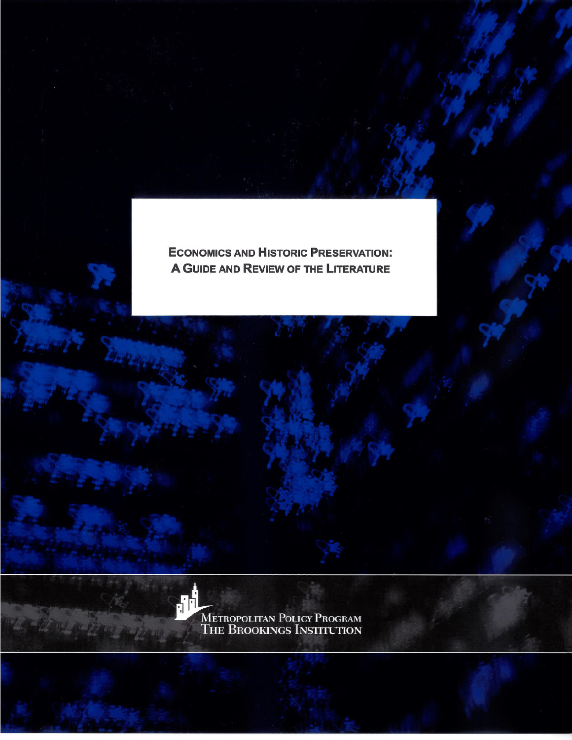**ECONOMICS AND HISTORIC PRESERVATION:** A GUIDE AND REVIEW OF THE LITERATURE



METROPOLITAN POLICY PROGRAM<br>THE BROOKINGS INSTITUTION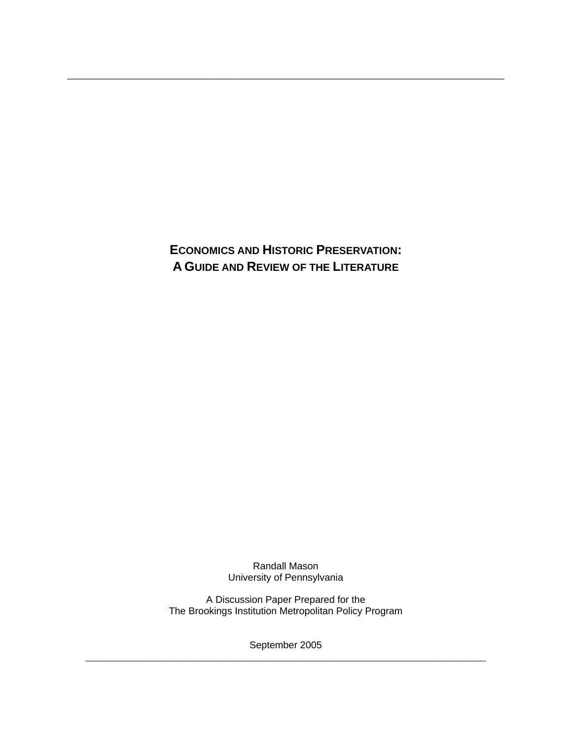**ECONOMICS AND HISTORIC PRESERVATION: A GUIDE AND REVIEW OF THE LITERATURE**

\_\_\_\_\_\_\_\_\_\_\_\_\_\_\_\_\_\_\_\_\_\_\_\_\_\_\_\_\_\_\_\_\_\_\_\_\_\_\_\_\_\_\_\_\_\_\_\_\_\_\_\_\_\_\_\_\_\_\_\_\_\_\_\_\_\_\_\_\_\_\_\_\_\_\_\_\_\_

Randall Mason University of Pennsylvania

A Discussion Paper Prepared for the The Brookings Institution Metropolitan Policy Program

September 2005 \_\_\_\_\_\_\_\_\_\_\_\_\_\_\_\_\_\_\_\_\_\_\_\_\_\_\_\_\_\_\_\_\_\_\_\_\_\_\_\_\_\_\_\_\_\_\_\_\_\_\_\_\_\_\_\_\_\_\_\_\_\_\_\_\_\_\_\_\_\_\_\_\_\_\_\_\_\_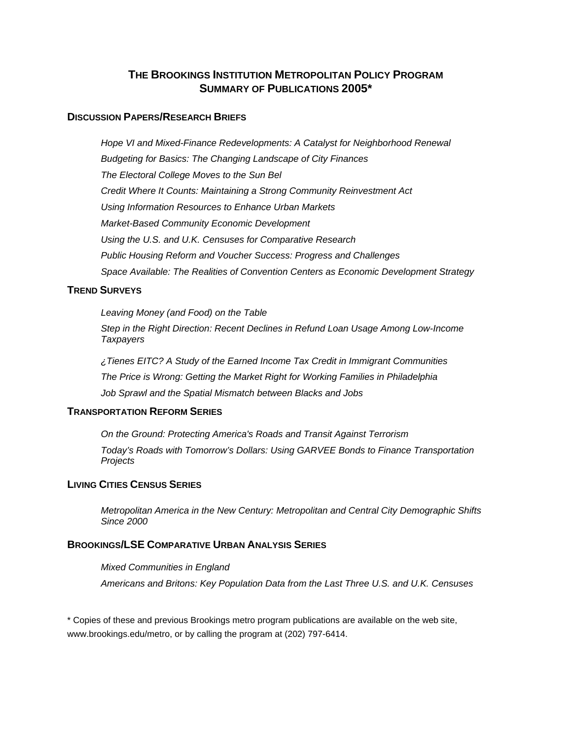## **THE BROOKINGS INSTITUTION METROPOLITAN POLICY PROGRAM SUMMARY OF PUBLICATIONS 2005\***

#### **DISCUSSION PAPERS/RESEARCH BRIEFS**

*Hope VI and Mixed-Finance Redevelopments: A Catalyst for Neighborhood Renewal Budgeting for Basics: The Changing Landscape of City Finances The Electoral College Moves to the Sun Bel Credit Where It Counts: Maintaining a Strong Community Reinvestment Act Using Information Resources to Enhance Urban Markets Market-Based Community Economic Development Using the U.S. and U.K. Censuses for Comparative Research Public Housing Reform and Voucher Success: Progress and Challenges Space Available: The Realities of Convention Centers as Economic Development Strategy* 

### **TREND SURVEYS**

*Leaving Money (and Food) on the Table* 

*Step in the Right Direction: Recent Declines in Refund Loan Usage Among Low-Income Taxpayers* 

 *¿Tienes EITC? A Study of the Earned Income Tax Credit in Immigrant Communities The Price is Wrong: Getting the Market Right for Working Families in Philadelphia Job Sprawl and the Spatial Mismatch between Blacks and Jobs* 

### **TRANSPORTATION REFORM SERIES**

*On the Ground: Protecting America's Roads and Transit Against Terrorism Today's Roads with Tomorrow's Dollars: Using GARVEE Bonds to Finance Transportation Projects* 

### **LIVING CITIES CENSUS SERIES**

*Metropolitan America in the New Century: Metropolitan and Central City Demographic Shifts Since 2000* 

### **BROOKINGS/LSE COMPARATIVE URBAN ANALYSIS SERIES**

*Mixed Communities in England Americans and Britons: Key Population Data from the Last Three U.S. and U.K. Censuses* 

\* Copies of these and previous Brookings metro program publications are available on the web site, www.brookings.edu/metro, or by calling the program at (202) 797-6414.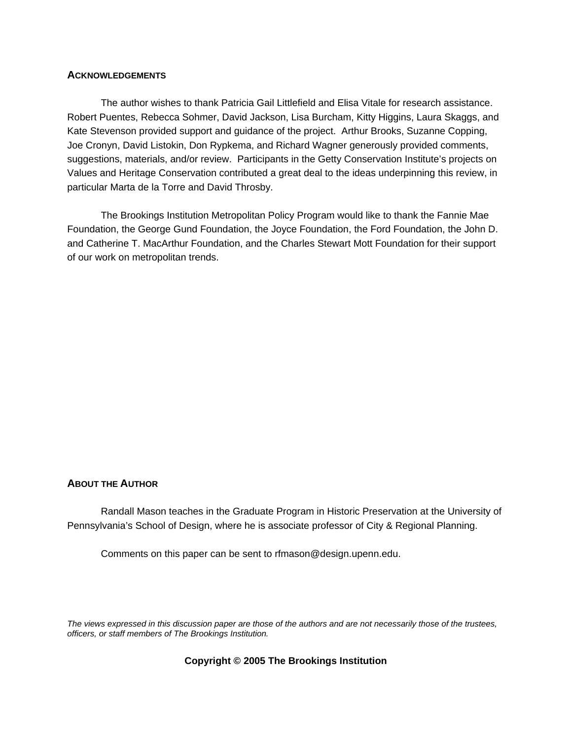#### **ACKNOWLEDGEMENTS**

The author wishes to thank Patricia Gail Littlefield and Elisa Vitale for research assistance. Robert Puentes, Rebecca Sohmer, David Jackson, Lisa Burcham, Kitty Higgins, Laura Skaggs, and Kate Stevenson provided support and guidance of the project. Arthur Brooks, Suzanne Copping, Joe Cronyn, David Listokin, Don Rypkema, and Richard Wagner generously provided comments, suggestions, materials, and/or review. Participants in the Getty Conservation Institute's projects on Values and Heritage Conservation contributed a great deal to the ideas underpinning this review, in particular Marta de la Torre and David Throsby.

The Brookings Institution Metropolitan Policy Program would like to thank the Fannie Mae Foundation, the George Gund Foundation, the Joyce Foundation, the Ford Foundation, the John D. and Catherine T. MacArthur Foundation, and the Charles Stewart Mott Foundation for their support of our work on metropolitan trends.

### **ABOUT THE AUTHOR**

Randall Mason teaches in the Graduate Program in Historic Preservation at the University of Pennsylvania's School of Design, where he is associate professor of City & Regional Planning.

Comments on this paper can be sent to rfmason@design.upenn.edu.

*The views expressed in this discussion paper are those of the authors and are not necessarily those of the trustees, officers, or staff members of The Brookings Institution.* 

#### **Copyright © 2005 The Brookings Institution**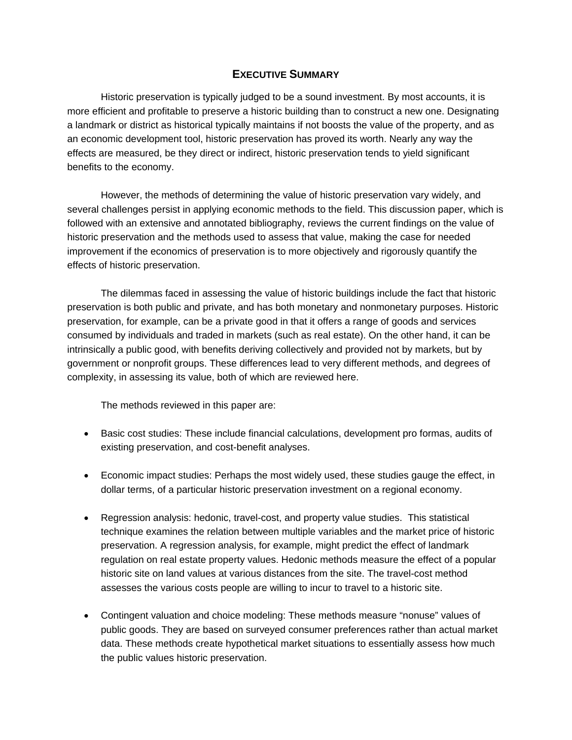## **EXECUTIVE SUMMARY**

Historic preservation is typically judged to be a sound investment. By most accounts, it is more efficient and profitable to preserve a historic building than to construct a new one. Designating a landmark or district as historical typically maintains if not boosts the value of the property, and as an economic development tool, historic preservation has proved its worth. Nearly any way the effects are measured, be they direct or indirect, historic preservation tends to yield significant benefits to the economy.

However, the methods of determining the value of historic preservation vary widely, and several challenges persist in applying economic methods to the field. This discussion paper, which is followed with an extensive and annotated bibliography, reviews the current findings on the value of historic preservation and the methods used to assess that value, making the case for needed improvement if the economics of preservation is to more objectively and rigorously quantify the effects of historic preservation.

The dilemmas faced in assessing the value of historic buildings include the fact that historic preservation is both public and private, and has both monetary and nonmonetary purposes. Historic preservation, for example, can be a private good in that it offers a range of goods and services consumed by individuals and traded in markets (such as real estate). On the other hand, it can be intrinsically a public good, with benefits deriving collectively and provided not by markets, but by government or nonprofit groups. These differences lead to very different methods, and degrees of complexity, in assessing its value, both of which are reviewed here.

The methods reviewed in this paper are:

- Basic cost studies: These include financial calculations, development pro formas, audits of existing preservation, and cost-benefit analyses.
- Economic impact studies: Perhaps the most widely used, these studies gauge the effect, in dollar terms, of a particular historic preservation investment on a regional economy.
- Regression analysis: hedonic, travel-cost, and property value studies. This statistical technique examines the relation between multiple variables and the market price of historic preservation. A regression analysis, for example, might predict the effect of landmark regulation on real estate property values. Hedonic methods measure the effect of a popular historic site on land values at various distances from the site. The travel-cost method assesses the various costs people are willing to incur to travel to a historic site.
- Contingent valuation and choice modeling: These methods measure "nonuse" values of public goods. They are based on surveyed consumer preferences rather than actual market data. These methods create hypothetical market situations to essentially assess how much the public values historic preservation.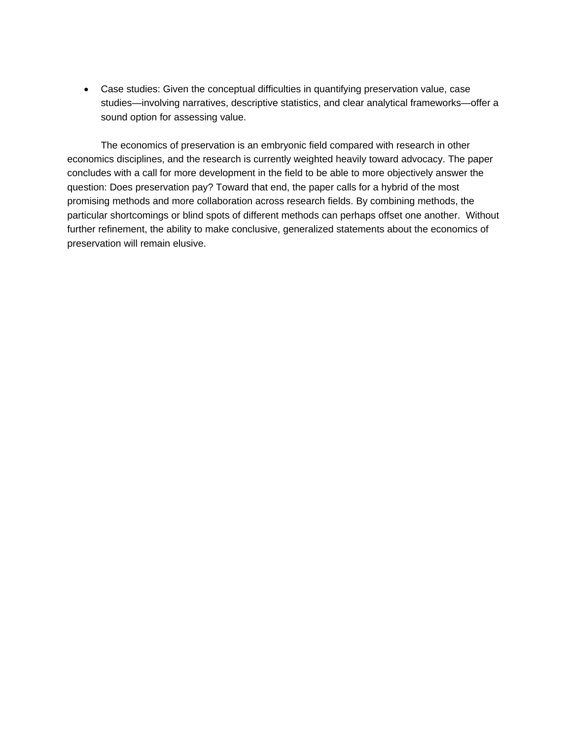• Case studies: Given the conceptual difficulties in quantifying preservation value, case studies—involving narratives, descriptive statistics, and clear analytical frameworks—offer a sound option for assessing value.

The economics of preservation is an embryonic field compared with research in other economics disciplines, and the research is currently weighted heavily toward advocacy. The paper concludes with a call for more development in the field to be able to more objectively answer the question: Does preservation pay? Toward that end, the paper calls for a hybrid of the most promising methods and more collaboration across research fields. By combining methods, the particular shortcomings or blind spots of different methods can perhaps offset one another. Without further refinement, the ability to make conclusive, generalized statements about the economics of preservation will remain elusive.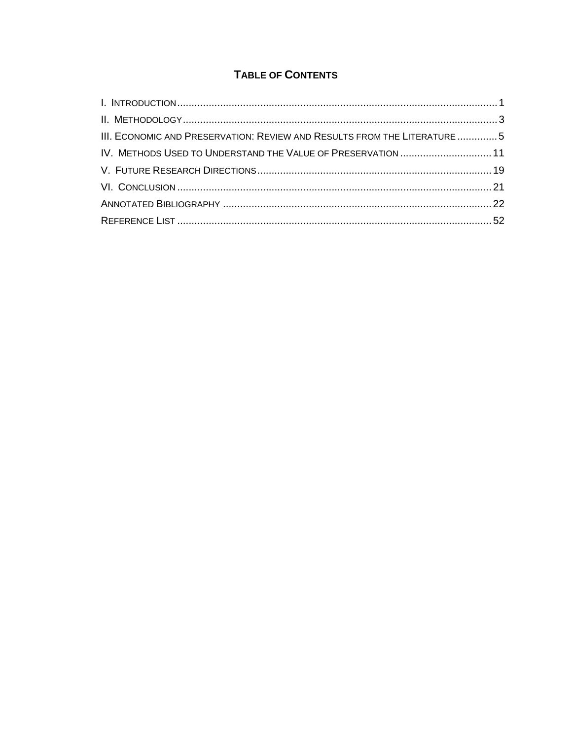# **TABLE OF CONTENTS**

| III. ECONOMIC AND PRESERVATION: REVIEW AND RESULTS FROM THE LITERATURE  5 |  |
|---------------------------------------------------------------------------|--|
| IV. METHODS USED TO UNDERSTAND THE VALUE OF PRESERVATION  11              |  |
|                                                                           |  |
|                                                                           |  |
|                                                                           |  |
|                                                                           |  |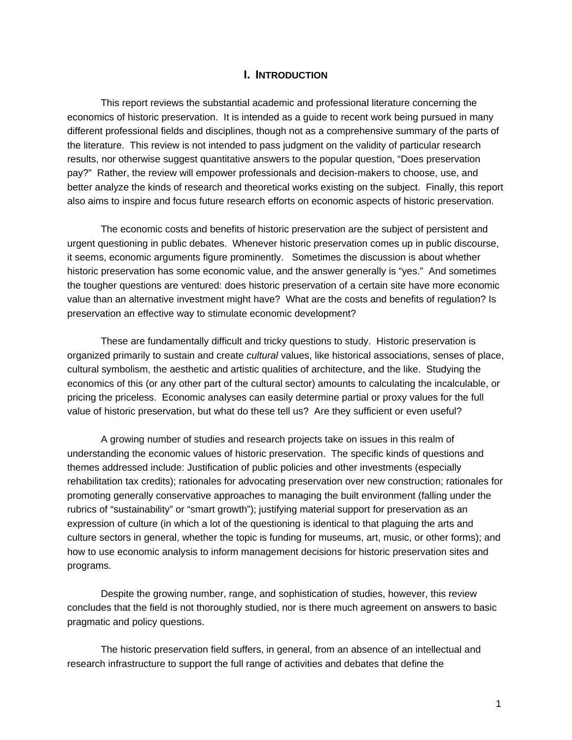#### **I. INTRODUCTION**

This report reviews the substantial academic and professional literature concerning the economics of historic preservation. It is intended as a guide to recent work being pursued in many different professional fields and disciplines, though not as a comprehensive summary of the parts of the literature. This review is not intended to pass judgment on the validity of particular research results, nor otherwise suggest quantitative answers to the popular question, "Does preservation pay?" Rather, the review will empower professionals and decision-makers to choose, use, and better analyze the kinds of research and theoretical works existing on the subject. Finally, this report also aims to inspire and focus future research efforts on economic aspects of historic preservation.

The economic costs and benefits of historic preservation are the subject of persistent and urgent questioning in public debates. Whenever historic preservation comes up in public discourse, it seems, economic arguments figure prominently. Sometimes the discussion is about whether historic preservation has some economic value, and the answer generally is "yes." And sometimes the tougher questions are ventured: does historic preservation of a certain site have more economic value than an alternative investment might have? What are the costs and benefits of regulation? Is preservation an effective way to stimulate economic development?

These are fundamentally difficult and tricky questions to study. Historic preservation is organized primarily to sustain and create *cultural* values, like historical associations, senses of place, cultural symbolism, the aesthetic and artistic qualities of architecture, and the like. Studying the economics of this (or any other part of the cultural sector) amounts to calculating the incalculable, or pricing the priceless. Economic analyses can easily determine partial or proxy values for the full value of historic preservation, but what do these tell us? Are they sufficient or even useful?

A growing number of studies and research projects take on issues in this realm of understanding the economic values of historic preservation. The specific kinds of questions and themes addressed include: Justification of public policies and other investments (especially rehabilitation tax credits); rationales for advocating preservation over new construction; rationales for promoting generally conservative approaches to managing the built environment (falling under the rubrics of "sustainability" or "smart growth"); justifying material support for preservation as an expression of culture (in which a lot of the questioning is identical to that plaguing the arts and culture sectors in general, whether the topic is funding for museums, art, music, or other forms); and how to use economic analysis to inform management decisions for historic preservation sites and programs.

Despite the growing number, range, and sophistication of studies, however, this review concludes that the field is not thoroughly studied, nor is there much agreement on answers to basic pragmatic and policy questions.

The historic preservation field suffers, in general, from an absence of an intellectual and research infrastructure to support the full range of activities and debates that define the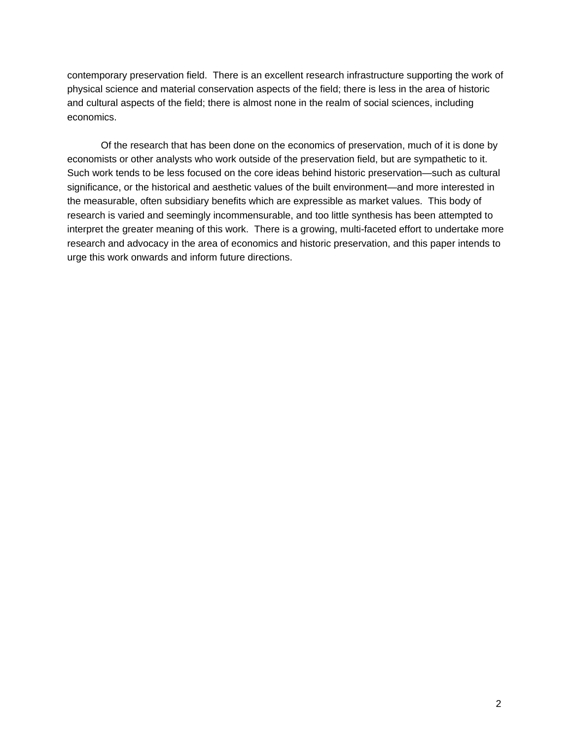contemporary preservation field. There is an excellent research infrastructure supporting the work of physical science and material conservation aspects of the field; there is less in the area of historic and cultural aspects of the field; there is almost none in the realm of social sciences, including economics.

Of the research that has been done on the economics of preservation, much of it is done by economists or other analysts who work outside of the preservation field, but are sympathetic to it. Such work tends to be less focused on the core ideas behind historic preservation—such as cultural significance, or the historical and aesthetic values of the built environment—and more interested in the measurable, often subsidiary benefits which are expressible as market values. This body of research is varied and seemingly incommensurable, and too little synthesis has been attempted to interpret the greater meaning of this work. There is a growing, multi-faceted effort to undertake more research and advocacy in the area of economics and historic preservation, and this paper intends to urge this work onwards and inform future directions.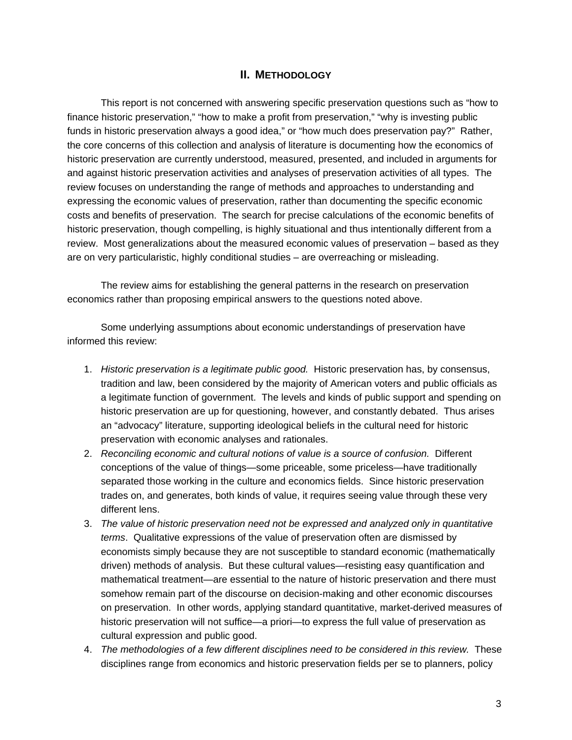### **II. METHODOLOGY**

This report is not concerned with answering specific preservation questions such as "how to finance historic preservation," "how to make a profit from preservation," "why is investing public funds in historic preservation always a good idea," or "how much does preservation pay?" Rather, the core concerns of this collection and analysis of literature is documenting how the economics of historic preservation are currently understood, measured, presented, and included in arguments for and against historic preservation activities and analyses of preservation activities of all types. The review focuses on understanding the range of methods and approaches to understanding and expressing the economic values of preservation, rather than documenting the specific economic costs and benefits of preservation. The search for precise calculations of the economic benefits of historic preservation, though compelling, is highly situational and thus intentionally different from a review. Most generalizations about the measured economic values of preservation – based as they are on very particularistic, highly conditional studies – are overreaching or misleading.

The review aims for establishing the general patterns in the research on preservation economics rather than proposing empirical answers to the questions noted above.

Some underlying assumptions about economic understandings of preservation have informed this review:

- 1. *Historic preservation is a legitimate public good.* Historic preservation has, by consensus, tradition and law, been considered by the majority of American voters and public officials as a legitimate function of government. The levels and kinds of public support and spending on historic preservation are up for questioning, however, and constantly debated. Thus arises an "advocacy" literature, supporting ideological beliefs in the cultural need for historic preservation with economic analyses and rationales.
- 2. *Reconciling economic and cultural notions of value is a source of confusion.* Different conceptions of the value of things—some priceable, some priceless—have traditionally separated those working in the culture and economics fields. Since historic preservation trades on, and generates, both kinds of value, it requires seeing value through these very different lens.
- 3. *The value of historic preservation need not be expressed and analyzed only in quantitative terms*. Qualitative expressions of the value of preservation often are dismissed by economists simply because they are not susceptible to standard economic (mathematically driven) methods of analysis. But these cultural values—resisting easy quantification and mathematical treatment—are essential to the nature of historic preservation and there must somehow remain part of the discourse on decision-making and other economic discourses on preservation. In other words, applying standard quantitative, market-derived measures of historic preservation will not suffice—a priori—to express the full value of preservation as cultural expression and public good.
- 4. *The methodologies of a few different disciplines need to be considered in this review.* These disciplines range from economics and historic preservation fields per se to planners, policy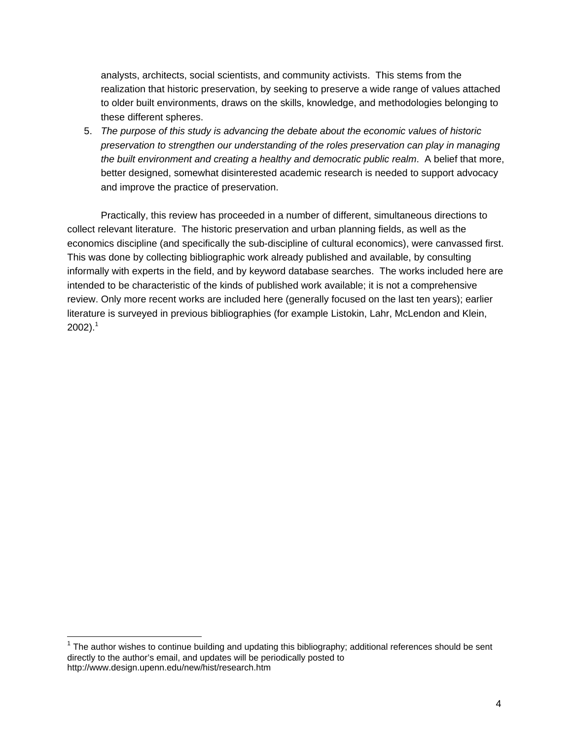analysts, architects, social scientists, and community activists. This stems from the realization that historic preservation, by seeking to preserve a wide range of values attached to older built environments, draws on the skills, knowledge, and methodologies belonging to these different spheres.

5. *The purpose of this study is advancing the debate about the economic values of historic preservation to strengthen our understanding of the roles preservation can play in managing the built environment and creating a healthy and democratic public realm*. A belief that more, better designed, somewhat disinterested academic research is needed to support advocacy and improve the practice of preservation.

Practically, this review has proceeded in a number of different, simultaneous directions to collect relevant literature. The historic preservation and urban planning fields, as well as the economics discipline (and specifically the sub-discipline of cultural economics), were canvassed first. This was done by collecting bibliographic work already published and available, by consulting informally with experts in the field, and by keyword database searches. The works included here are intended to be characteristic of the kinds of published work available; it is not a comprehensive review. Only more recent works are included here (generally focused on the last ten years); earlier literature is surveyed in previous bibliographies (for example Listokin, Lahr, McLendon and Klein,  $2002$ ).<sup>1</sup>

 $\overline{\phantom{a}}$ 

 $1$  The author wishes to continue building and updating this bibliography; additional references should be sent directly to the author's email, and updates will be periodically posted to http://www.design.upenn.edu/new/hist/research.htm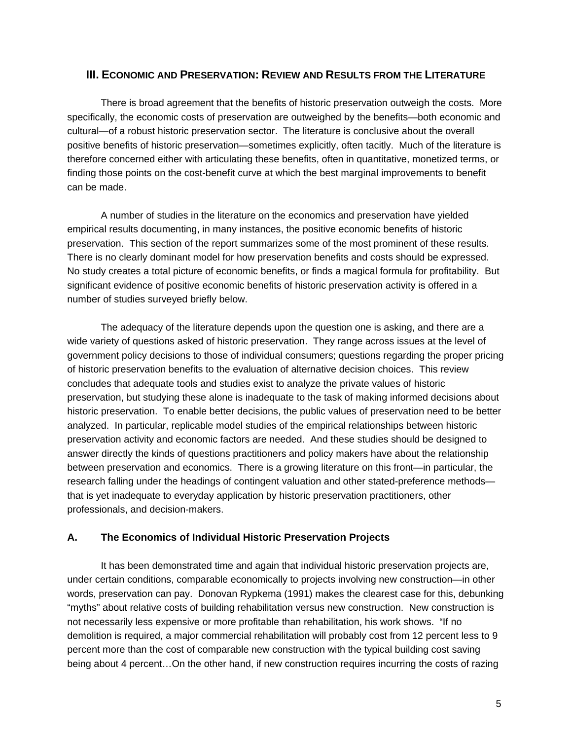### **III. ECONOMIC AND PRESERVATION: REVIEW AND RESULTS FROM THE LITERATURE**

There is broad agreement that the benefits of historic preservation outweigh the costs. More specifically, the economic costs of preservation are outweighed by the benefits—both economic and cultural—of a robust historic preservation sector. The literature is conclusive about the overall positive benefits of historic preservation—sometimes explicitly, often tacitly. Much of the literature is therefore concerned either with articulating these benefits, often in quantitative, monetized terms, or finding those points on the cost-benefit curve at which the best marginal improvements to benefit can be made.

A number of studies in the literature on the economics and preservation have yielded empirical results documenting, in many instances, the positive economic benefits of historic preservation. This section of the report summarizes some of the most prominent of these results. There is no clearly dominant model for how preservation benefits and costs should be expressed. No study creates a total picture of economic benefits, or finds a magical formula for profitability. But significant evidence of positive economic benefits of historic preservation activity is offered in a number of studies surveyed briefly below.

The adequacy of the literature depends upon the question one is asking, and there are a wide variety of questions asked of historic preservation. They range across issues at the level of government policy decisions to those of individual consumers; questions regarding the proper pricing of historic preservation benefits to the evaluation of alternative decision choices. This review concludes that adequate tools and studies exist to analyze the private values of historic preservation, but studying these alone is inadequate to the task of making informed decisions about historic preservation. To enable better decisions, the public values of preservation need to be better analyzed. In particular, replicable model studies of the empirical relationships between historic preservation activity and economic factors are needed. And these studies should be designed to answer directly the kinds of questions practitioners and policy makers have about the relationship between preservation and economics. There is a growing literature on this front—in particular, the research falling under the headings of contingent valuation and other stated-preference methods that is yet inadequate to everyday application by historic preservation practitioners, other professionals, and decision-makers.

### **A. The Economics of Individual Historic Preservation Projects**

It has been demonstrated time and again that individual historic preservation projects are, under certain conditions, comparable economically to projects involving new construction—in other words, preservation can pay. Donovan Rypkema (1991) makes the clearest case for this, debunking "myths" about relative costs of building rehabilitation versus new construction. New construction is not necessarily less expensive or more profitable than rehabilitation, his work shows. "If no demolition is required, a major commercial rehabilitation will probably cost from 12 percent less to 9 percent more than the cost of comparable new construction with the typical building cost saving being about 4 percent…On the other hand, if new construction requires incurring the costs of razing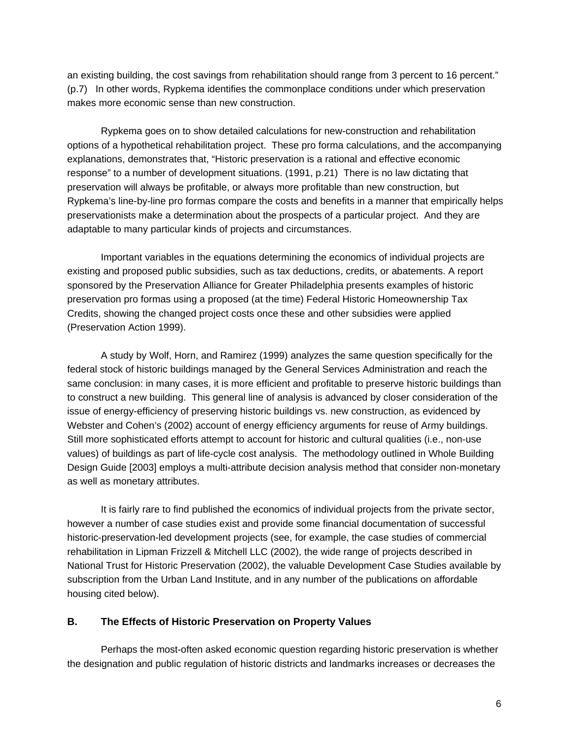an existing building, the cost savings from rehabilitation should range from 3 percent to 16 percent." (p.7) In other words, Rypkema identifies the commonplace conditions under which preservation makes more economic sense than new construction.

Rypkema goes on to show detailed calculations for new-construction and rehabilitation options of a hypothetical rehabilitation project. These pro forma calculations, and the accompanying explanations, demonstrates that, "Historic preservation is a rational and effective economic response" to a number of development situations. (1991, p.21) There is no law dictating that preservation will always be profitable, or always more profitable than new construction, but Rypkema's line-by-line pro formas compare the costs and benefits in a manner that empirically helps preservationists make a determination about the prospects of a particular project. And they are adaptable to many particular kinds of projects and circumstances.

Important variables in the equations determining the economics of individual projects are existing and proposed public subsidies, such as tax deductions, credits, or abatements. A report sponsored by the Preservation Alliance for Greater Philadelphia presents examples of historic preservation pro formas using a proposed (at the time) Federal Historic Homeownership Tax Credits, showing the changed project costs once these and other subsidies were applied (Preservation Action 1999).

A study by Wolf, Horn, and Ramirez (1999) analyzes the same question specifically for the federal stock of historic buildings managed by the General Services Administration and reach the same conclusion: in many cases, it is more efficient and profitable to preserve historic buildings than to construct a new building. This general line of analysis is advanced by closer consideration of the issue of energy-efficiency of preserving historic buildings vs. new construction, as evidenced by Webster and Cohen's (2002) account of energy efficiency arguments for reuse of Army buildings. Still more sophisticated efforts attempt to account for historic and cultural qualities (i.e., non-use values) of buildings as part of life-cycle cost analysis. The methodology outlined in Whole Building Design Guide [2003] employs a multi-attribute decision analysis method that consider non-monetary as well as monetary attributes.

It is fairly rare to find published the economics of individual projects from the private sector, however a number of case studies exist and provide some financial documentation of successful historic-preservation-led development projects (see, for example, the case studies of commercial rehabilitation in Lipman Frizzell & Mitchell LLC (2002), the wide range of projects described in National Trust for Historic Preservation (2002), the valuable Development Case Studies available by subscription from the Urban Land Institute, and in any number of the publications on affordable housing cited below).

#### **B. The Effects of Historic Preservation on Property Values**

Perhaps the most-often asked economic question regarding historic preservation is whether the designation and public regulation of historic districts and landmarks increases or decreases the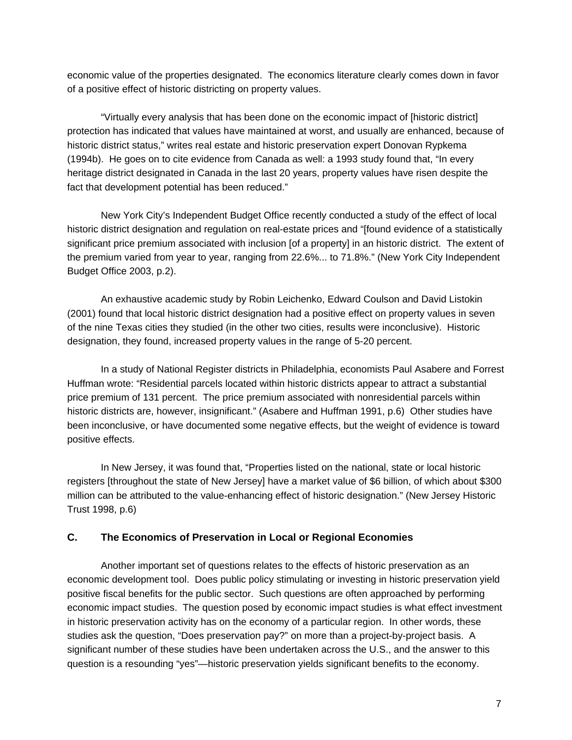economic value of the properties designated. The economics literature clearly comes down in favor of a positive effect of historic districting on property values.

"Virtually every analysis that has been done on the economic impact of [historic district] protection has indicated that values have maintained at worst, and usually are enhanced, because of historic district status," writes real estate and historic preservation expert Donovan Rypkema (1994b). He goes on to cite evidence from Canada as well: a 1993 study found that, "In every heritage district designated in Canada in the last 20 years, property values have risen despite the fact that development potential has been reduced."

New York City's Independent Budget Office recently conducted a study of the effect of local historic district designation and regulation on real-estate prices and "[found evidence of a statistically significant price premium associated with inclusion [of a property] in an historic district. The extent of the premium varied from year to year, ranging from 22.6%... to 71.8%." (New York City Independent Budget Office 2003, p.2).

An exhaustive academic study by Robin Leichenko, Edward Coulson and David Listokin (2001) found that local historic district designation had a positive effect on property values in seven of the nine Texas cities they studied (in the other two cities, results were inconclusive). Historic designation, they found, increased property values in the range of 5-20 percent.

In a study of National Register districts in Philadelphia, economists Paul Asabere and Forrest Huffman wrote: "Residential parcels located within historic districts appear to attract a substantial price premium of 131 percent. The price premium associated with nonresidential parcels within historic districts are, however, insignificant." (Asabere and Huffman 1991, p.6) Other studies have been inconclusive, or have documented some negative effects, but the weight of evidence is toward positive effects.

In New Jersey, it was found that, "Properties listed on the national, state or local historic registers [throughout the state of New Jersey] have a market value of \$6 billion, of which about \$300 million can be attributed to the value-enhancing effect of historic designation." (New Jersey Historic Trust 1998, p.6)

### **C. The Economics of Preservation in Local or Regional Economies**

Another important set of questions relates to the effects of historic preservation as an economic development tool. Does public policy stimulating or investing in historic preservation yield positive fiscal benefits for the public sector. Such questions are often approached by performing economic impact studies. The question posed by economic impact studies is what effect investment in historic preservation activity has on the economy of a particular region. In other words, these studies ask the question, "Does preservation pay?" on more than a project-by-project basis. A significant number of these studies have been undertaken across the U.S., and the answer to this question is a resounding "yes"—historic preservation yields significant benefits to the economy.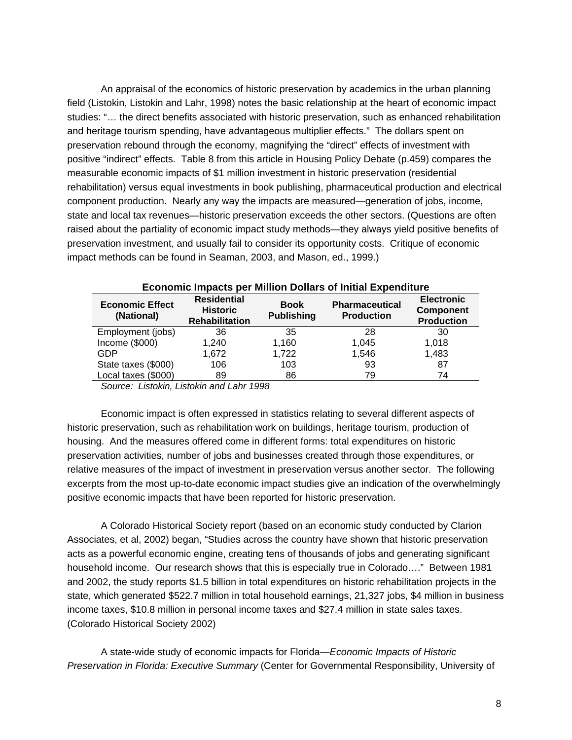An appraisal of the economics of historic preservation by academics in the urban planning field (Listokin, Listokin and Lahr, 1998) notes the basic relationship at the heart of economic impact studies: "… the direct benefits associated with historic preservation, such as enhanced rehabilitation and heritage tourism spending, have advantageous multiplier effects." The dollars spent on preservation rebound through the economy, magnifying the "direct" effects of investment with positive "indirect" effects. Table 8 from this article in Housing Policy Debate (p.459) compares the measurable economic impacts of \$1 million investment in historic preservation (residential rehabilitation) versus equal investments in book publishing, pharmaceutical production and electrical component production. Nearly any way the impacts are measured—generation of jobs, income, state and local tax revenues—historic preservation exceeds the other sectors. (Questions are often raised about the partiality of economic impact study methods—they always yield positive benefits of preservation investment, and usually fail to consider its opportunity costs. Critique of economic impact methods can be found in Seaman, 2003, and Mason, ed., 1999.)

| <b>Economic Effect</b><br>(National) | <b>Residential</b><br><b>Historic</b><br><b>Rehabilitation</b> | <b>Book</b><br><b>Publishing</b> | <b>Pharmaceutical</b><br><b>Production</b> | <b>Electronic</b><br><b>Component</b><br><b>Production</b> |
|--------------------------------------|----------------------------------------------------------------|----------------------------------|--------------------------------------------|------------------------------------------------------------|
| Employment (jobs)                    | 36                                                             | 35                               | 28                                         | 30                                                         |
| Income (\$000)                       | 1,240                                                          | 1,160                            | 1,045                                      | 1.018                                                      |
| GDP                                  | 1.672                                                          | 1,722                            | 1,546                                      | 1,483                                                      |
| State taxes (\$000)                  | 106                                                            | 103                              | 93                                         | 87                                                         |
| Local taxes (\$000)                  | 89                                                             | 86                               | 79                                         | 74                                                         |

#### **Economic Impacts per Million Dollars of Initial Expenditure**

*Source: Listokin, Listokin and Lahr 1998* 

Economic impact is often expressed in statistics relating to several different aspects of historic preservation, such as rehabilitation work on buildings, heritage tourism, production of housing. And the measures offered come in different forms: total expenditures on historic preservation activities, number of jobs and businesses created through those expenditures, or relative measures of the impact of investment in preservation versus another sector. The following excerpts from the most up-to-date economic impact studies give an indication of the overwhelmingly positive economic impacts that have been reported for historic preservation.

A Colorado Historical Society report (based on an economic study conducted by Clarion Associates, et al, 2002) began, "Studies across the country have shown that historic preservation acts as a powerful economic engine, creating tens of thousands of jobs and generating significant household income. Our research shows that this is especially true in Colorado…." Between 1981 and 2002, the study reports \$1.5 billion in total expenditures on historic rehabilitation projects in the state, which generated \$522.7 million in total household earnings, 21,327 jobs, \$4 million in business income taxes, \$10.8 million in personal income taxes and \$27.4 million in state sales taxes. (Colorado Historical Society 2002)

A state-wide study of economic impacts for Florida—*Economic Impacts of Historic Preservation in Florida: Executive Summary* (Center for Governmental Responsibility, University of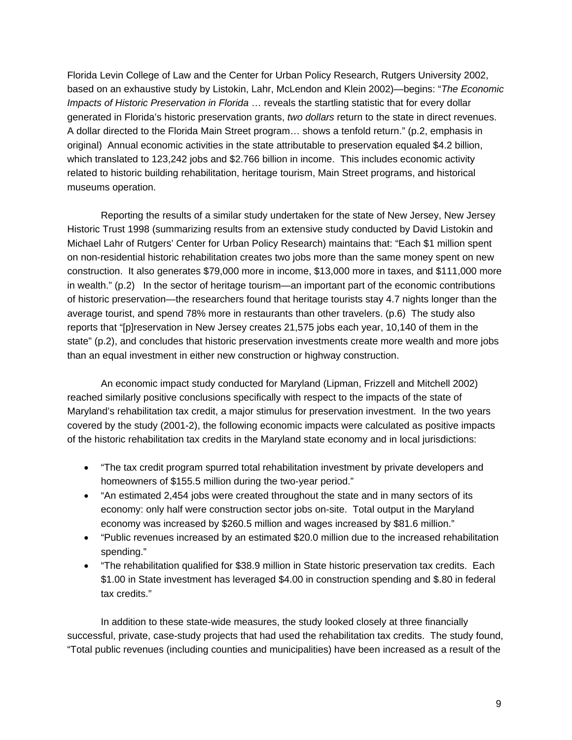Florida Levin College of Law and the Center for Urban Policy Research, Rutgers University 2002, based on an exhaustive study by Listokin, Lahr, McLendon and Klein 2002)—begins: "*The Economic Impacts of Historic Preservation in Florida* … reveals the startling statistic that for every dollar generated in Florida's historic preservation grants, *two dollars* return to the state in direct revenues. A dollar directed to the Florida Main Street program… shows a tenfold return." (p.2, emphasis in original) Annual economic activities in the state attributable to preservation equaled \$4.2 billion, which translated to 123,242 jobs and \$2.766 billion in income. This includes economic activity related to historic building rehabilitation, heritage tourism, Main Street programs, and historical museums operation.

Reporting the results of a similar study undertaken for the state of New Jersey, New Jersey Historic Trust 1998 (summarizing results from an extensive study conducted by David Listokin and Michael Lahr of Rutgers' Center for Urban Policy Research) maintains that: "Each \$1 million spent on non-residential historic rehabilitation creates two jobs more than the same money spent on new construction. It also generates \$79,000 more in income, \$13,000 more in taxes, and \$111,000 more in wealth." (p.2) In the sector of heritage tourism—an important part of the economic contributions of historic preservation—the researchers found that heritage tourists stay 4.7 nights longer than the average tourist, and spend 78% more in restaurants than other travelers. (p.6) The study also reports that "[p]reservation in New Jersey creates 21,575 jobs each year, 10,140 of them in the state" (p.2), and concludes that historic preservation investments create more wealth and more jobs than an equal investment in either new construction or highway construction.

An economic impact study conducted for Maryland (Lipman, Frizzell and Mitchell 2002) reached similarly positive conclusions specifically with respect to the impacts of the state of Maryland's rehabilitation tax credit, a major stimulus for preservation investment. In the two years covered by the study (2001-2), the following economic impacts were calculated as positive impacts of the historic rehabilitation tax credits in the Maryland state economy and in local jurisdictions:

- "The tax credit program spurred total rehabilitation investment by private developers and homeowners of \$155.5 million during the two-year period."
- "An estimated 2,454 jobs were created throughout the state and in many sectors of its economy: only half were construction sector jobs on-site. Total output in the Maryland economy was increased by \$260.5 million and wages increased by \$81.6 million."
- "Public revenues increased by an estimated \$20.0 million due to the increased rehabilitation spending."
- "The rehabilitation qualified for \$38.9 million in State historic preservation tax credits. Each \$1.00 in State investment has leveraged \$4.00 in construction spending and \$.80 in federal tax credits."

In addition to these state-wide measures, the study looked closely at three financially successful, private, case-study projects that had used the rehabilitation tax credits. The study found, "Total public revenues (including counties and municipalities) have been increased as a result of the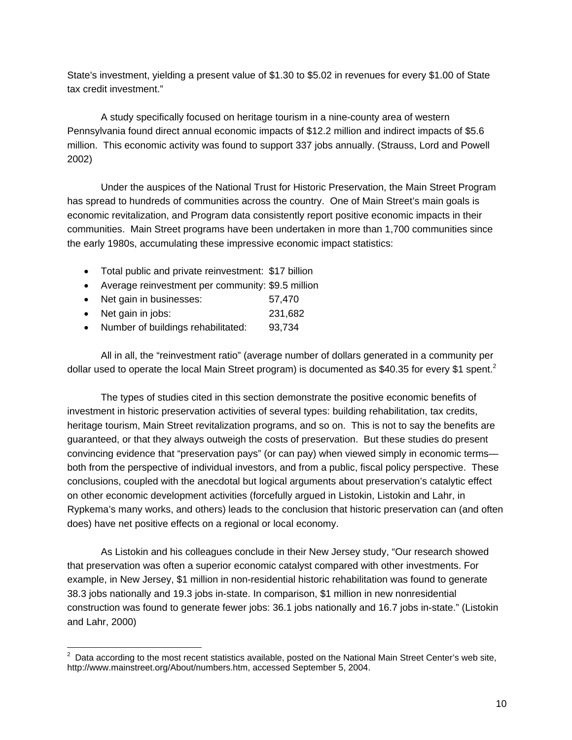State's investment, yielding a present value of \$1.30 to \$5.02 in revenues for every \$1.00 of State tax credit investment."

A study specifically focused on heritage tourism in a nine-county area of western Pennsylvania found direct annual economic impacts of \$12.2 million and indirect impacts of \$5.6 million. This economic activity was found to support 337 jobs annually. (Strauss, Lord and Powell 2002)

Under the auspices of the National Trust for Historic Preservation, the Main Street Program has spread to hundreds of communities across the country. One of Main Street's main goals is economic revitalization, and Program data consistently report positive economic impacts in their communities. Main Street programs have been undertaken in more than 1,700 communities since the early 1980s, accumulating these impressive economic impact statistics:

- Total public and private reinvestment: \$17 billion
- Average reinvestment per community: \$9.5 million
- Net gain in businesses: 57,470
- Net gain in jobs: 231,682
- Number of buildings rehabilitated: 93,734

All in all, the "reinvestment ratio" (average number of dollars generated in a community per dollar used to operate the local Main Street program) is documented as \$40.35 for every \$1 spent.<sup>2</sup>

The types of studies cited in this section demonstrate the positive economic benefits of investment in historic preservation activities of several types: building rehabilitation, tax credits, heritage tourism, Main Street revitalization programs, and so on. This is not to say the benefits are guaranteed, or that they always outweigh the costs of preservation. But these studies do present convincing evidence that "preservation pays" (or can pay) when viewed simply in economic terms both from the perspective of individual investors, and from a public, fiscal policy perspective. These conclusions, coupled with the anecdotal but logical arguments about preservation's catalytic effect on other economic development activities (forcefully argued in Listokin, Listokin and Lahr, in Rypkema's many works, and others) leads to the conclusion that historic preservation can (and often does) have net positive effects on a regional or local economy.

As Listokin and his colleagues conclude in their New Jersey study, "Our research showed that preservation was often a superior economic catalyst compared with other investments. For example, in New Jersey, \$1 million in non-residential historic rehabilitation was found to generate 38.3 jobs nationally and 19.3 jobs in-state. In comparison, \$1 million in new nonresidential construction was found to generate fewer jobs: 36.1 jobs nationally and 16.7 jobs in-state." (Listokin and Lahr, 2000)

<sup>&</sup>lt;u>2</u><br><sup>2</sup> Data according to the most recent statistics available, posted on the National Main Street Center's web site, http://www.mainstreet.org/About/numbers.htm, accessed September 5, 2004.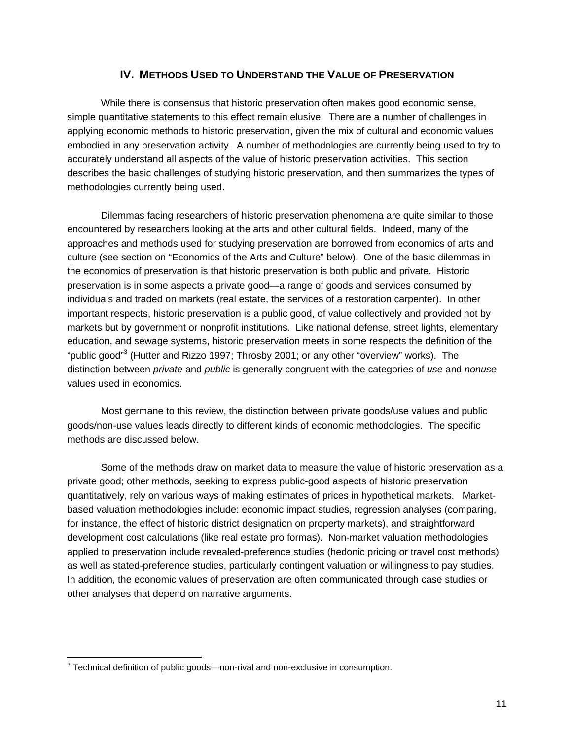## **IV. METHODS USED TO UNDERSTAND THE VALUE OF PRESERVATION**

While there is consensus that historic preservation often makes good economic sense, simple quantitative statements to this effect remain elusive. There are a number of challenges in applying economic methods to historic preservation, given the mix of cultural and economic values embodied in any preservation activity. A number of methodologies are currently being used to try to accurately understand all aspects of the value of historic preservation activities. This section describes the basic challenges of studying historic preservation, and then summarizes the types of methodologies currently being used.

Dilemmas facing researchers of historic preservation phenomena are quite similar to those encountered by researchers looking at the arts and other cultural fields. Indeed, many of the approaches and methods used for studying preservation are borrowed from economics of arts and culture (see section on "Economics of the Arts and Culture" below). One of the basic dilemmas in the economics of preservation is that historic preservation is both public and private. Historic preservation is in some aspects a private good—a range of goods and services consumed by individuals and traded on markets (real estate, the services of a restoration carpenter). In other important respects, historic preservation is a public good, of value collectively and provided not by markets but by government or nonprofit institutions. Like national defense, street lights, elementary education, and sewage systems, historic preservation meets in some respects the definition of the "public good"<sup>3</sup> (Hutter and Rizzo 1997; Throsby 2001; or any other "overview" works). The distinction between *private* and *public* is generally congruent with the categories of *use* and *nonuse*  values used in economics.

Most germane to this review, the distinction between private goods/use values and public goods/non-use values leads directly to different kinds of economic methodologies. The specific methods are discussed below.

Some of the methods draw on market data to measure the value of historic preservation as a private good; other methods, seeking to express public-good aspects of historic preservation quantitatively, rely on various ways of making estimates of prices in hypothetical markets. Marketbased valuation methodologies include: economic impact studies, regression analyses (comparing, for instance, the effect of historic district designation on property markets), and straightforward development cost calculations (like real estate pro formas). Non-market valuation methodologies applied to preservation include revealed-preference studies (hedonic pricing or travel cost methods) as well as stated-preference studies, particularly contingent valuation or willingness to pay studies. In addition, the economic values of preservation are often communicated through case studies or other analyses that depend on narrative arguments.

 $\overline{a}$ 

<sup>&</sup>lt;sup>3</sup> Technical definition of public goods—non-rival and non-exclusive in consumption.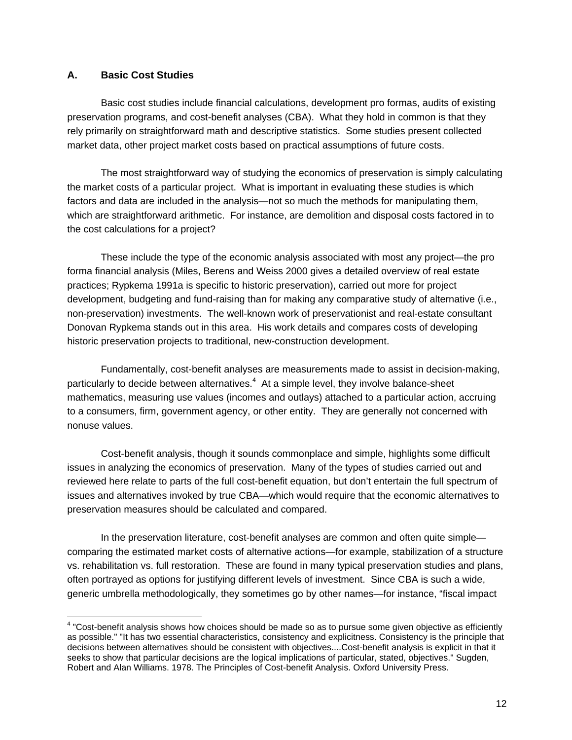### **A. Basic Cost Studies**

 $\overline{a}$ 

Basic cost studies include financial calculations, development pro formas, audits of existing preservation programs, and cost-benefit analyses (CBA). What they hold in common is that they rely primarily on straightforward math and descriptive statistics. Some studies present collected market data, other project market costs based on practical assumptions of future costs.

The most straightforward way of studying the economics of preservation is simply calculating the market costs of a particular project. What is important in evaluating these studies is which factors and data are included in the analysis—not so much the methods for manipulating them, which are straightforward arithmetic. For instance, are demolition and disposal costs factored in to the cost calculations for a project?

These include the type of the economic analysis associated with most any project—the pro forma financial analysis (Miles, Berens and Weiss 2000 gives a detailed overview of real estate practices; Rypkema 1991a is specific to historic preservation), carried out more for project development, budgeting and fund-raising than for making any comparative study of alternative (i.e., non-preservation) investments. The well-known work of preservationist and real-estate consultant Donovan Rypkema stands out in this area. His work details and compares costs of developing historic preservation projects to traditional, new-construction development.

Fundamentally, cost-benefit analyses are measurements made to assist in decision-making, particularly to decide between alternatives. $4\,$  At a simple level, they involve balance-sheet mathematics, measuring use values (incomes and outlays) attached to a particular action, accruing to a consumers, firm, government agency, or other entity. They are generally not concerned with nonuse values.

Cost-benefit analysis, though it sounds commonplace and simple, highlights some difficult issues in analyzing the economics of preservation. Many of the types of studies carried out and reviewed here relate to parts of the full cost-benefit equation, but don't entertain the full spectrum of issues and alternatives invoked by true CBA—which would require that the economic alternatives to preservation measures should be calculated and compared.

In the preservation literature, cost-benefit analyses are common and often quite simple comparing the estimated market costs of alternative actions—for example, stabilization of a structure vs. rehabilitation vs. full restoration. These are found in many typical preservation studies and plans, often portrayed as options for justifying different levels of investment. Since CBA is such a wide, generic umbrella methodologically, they sometimes go by other names—for instance, "fiscal impact

 $4$  "Cost-benefit analysis shows how choices should be made so as to pursue some given objective as efficiently as possible." "It has two essential characteristics, consistency and explicitness. Consistency is the principle that decisions between alternatives should be consistent with objectives....Cost-benefit analysis is explicit in that it seeks to show that particular decisions are the logical implications of particular, stated, objectives." Sugden, Robert and Alan Williams. 1978. The Principles of Cost-benefit Analysis. Oxford University Press.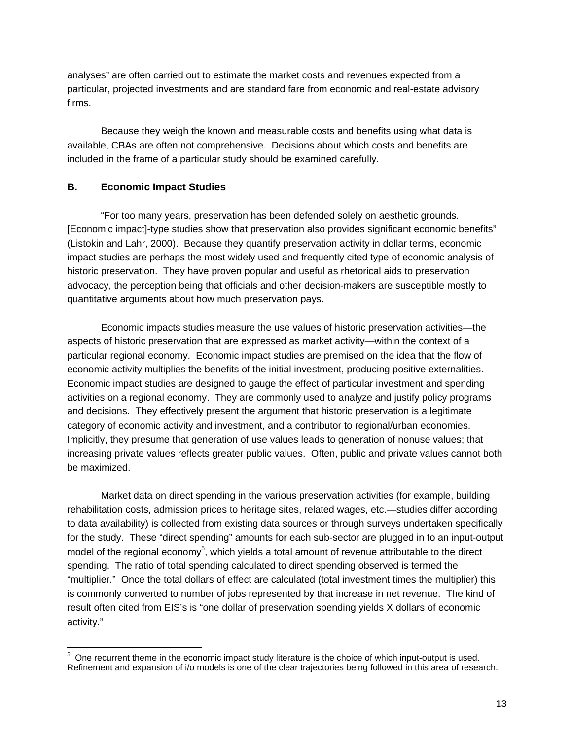analyses" are often carried out to estimate the market costs and revenues expected from a particular, projected investments and are standard fare from economic and real-estate advisory firms.

Because they weigh the known and measurable costs and benefits using what data is available, CBAs are often not comprehensive. Decisions about which costs and benefits are included in the frame of a particular study should be examined carefully.

### **B. Economic Impact Studies**

"For too many years, preservation has been defended solely on aesthetic grounds. [Economic impact]-type studies show that preservation also provides significant economic benefits" (Listokin and Lahr, 2000). Because they quantify preservation activity in dollar terms, economic impact studies are perhaps the most widely used and frequently cited type of economic analysis of historic preservation. They have proven popular and useful as rhetorical aids to preservation advocacy, the perception being that officials and other decision-makers are susceptible mostly to quantitative arguments about how much preservation pays.

Economic impacts studies measure the use values of historic preservation activities—the aspects of historic preservation that are expressed as market activity—within the context of a particular regional economy. Economic impact studies are premised on the idea that the flow of economic activity multiplies the benefits of the initial investment, producing positive externalities. Economic impact studies are designed to gauge the effect of particular investment and spending activities on a regional economy. They are commonly used to analyze and justify policy programs and decisions. They effectively present the argument that historic preservation is a legitimate category of economic activity and investment, and a contributor to regional/urban economies. Implicitly, they presume that generation of use values leads to generation of nonuse values; that increasing private values reflects greater public values. Often, public and private values cannot both be maximized.

Market data on direct spending in the various preservation activities (for example, building rehabilitation costs, admission prices to heritage sites, related wages, etc.—studies differ according to data availability) is collected from existing data sources or through surveys undertaken specifically for the study. These "direct spending" amounts for each sub-sector are plugged in to an input-output model of the regional economy<sup>5</sup>, which yields a total amount of revenue attributable to the direct spending. The ratio of total spending calculated to direct spending observed is termed the "multiplier." Once the total dollars of effect are calculated (total investment times the multiplier) this is commonly converted to number of jobs represented by that increase in net revenue. The kind of result often cited from EIS's is "one dollar of preservation spending yields X dollars of economic activity."

**EXECTS 2018**<br><sup>5</sup> One recurrent theme in the economic impact study literature is the choice of which input-output is used. Refinement and expansion of i/o models is one of the clear trajectories being followed in this area of research.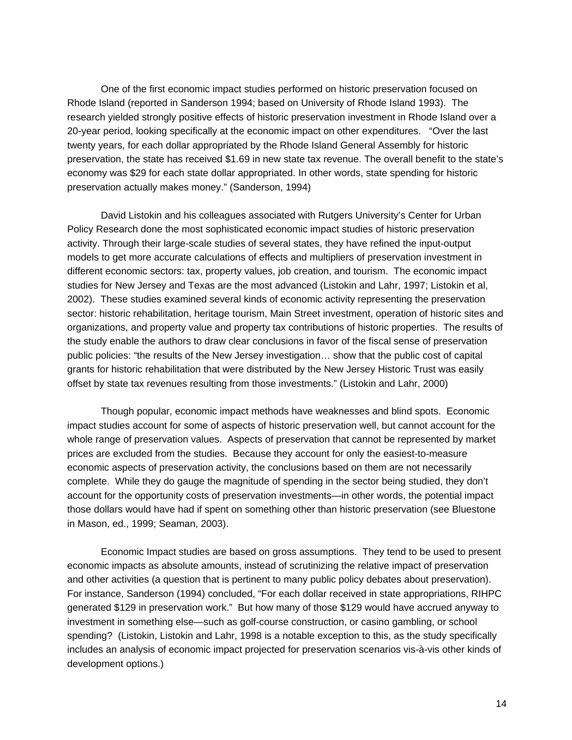One of the first economic impact studies performed on historic preservation focused on Rhode Island (reported in Sanderson 1994; based on University of Rhode Island 1993). The research yielded strongly positive effects of historic preservation investment in Rhode Island over a 20-year period, looking specifically at the economic impact on other expenditures. "Over the last twenty years, for each dollar appropriated by the Rhode Island General Assembly for historic preservation, the state has received \$1.69 in new state tax revenue. The overall benefit to the state's economy was \$29 for each state dollar appropriated. In other words, state spending for historic preservation actually makes money." (Sanderson, 1994)

David Listokin and his colleagues associated with Rutgers University's Center for Urban Policy Research done the most sophisticated economic impact studies of historic preservation activity. Through their large-scale studies of several states, they have refined the input-output models to get more accurate calculations of effects and multipliers of preservation investment in different economic sectors: tax, property values, job creation, and tourism. The economic impact studies for New Jersey and Texas are the most advanced (Listokin and Lahr, 1997; Listokin et al, 2002). These studies examined several kinds of economic activity representing the preservation sector: historic rehabilitation, heritage tourism, Main Street investment, operation of historic sites and organizations, and property value and property tax contributions of historic properties. The results of the study enable the authors to draw clear conclusions in favor of the fiscal sense of preservation public policies: "the results of the New Jersey investigation… show that the public cost of capital grants for historic rehabilitation that were distributed by the New Jersey Historic Trust was easily offset by state tax revenues resulting from those investments." (Listokin and Lahr, 2000)

Though popular, economic impact methods have weaknesses and blind spots. Economic impact studies account for some of aspects of historic preservation well, but cannot account for the whole range of preservation values. Aspects of preservation that cannot be represented by market prices are excluded from the studies. Because they account for only the easiest-to-measure economic aspects of preservation activity, the conclusions based on them are not necessarily complete. While they do gauge the magnitude of spending in the sector being studied, they don't account for the opportunity costs of preservation investments—in other words, the potential impact those dollars would have had if spent on something other than historic preservation (see Bluestone in Mason, ed., 1999; Seaman, 2003).

Economic Impact studies are based on gross assumptions. They tend to be used to present economic impacts as absolute amounts, instead of scrutinizing the relative impact of preservation and other activities (a question that is pertinent to many public policy debates about preservation). For instance, Sanderson (1994) concluded, "For each dollar received in state appropriations, RIHPC generated \$129 in preservation work." But how many of those \$129 would have accrued anyway to investment in something else—such as golf-course construction, or casino gambling, or school spending? (Listokin, Listokin and Lahr, 1998 is a notable exception to this, as the study specifically includes an analysis of economic impact projected for preservation scenarios vis-à-vis other kinds of development options.)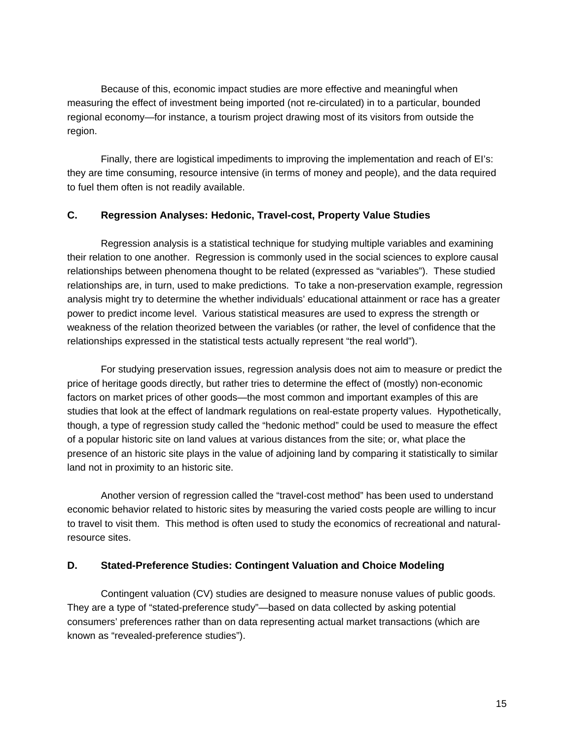Because of this, economic impact studies are more effective and meaningful when measuring the effect of investment being imported (not re-circulated) in to a particular, bounded regional economy—for instance, a tourism project drawing most of its visitors from outside the region.

Finally, there are logistical impediments to improving the implementation and reach of EI's: they are time consuming, resource intensive (in terms of money and people), and the data required to fuel them often is not readily available.

### **C. Regression Analyses: Hedonic, Travel-cost, Property Value Studies**

Regression analysis is a statistical technique for studying multiple variables and examining their relation to one another. Regression is commonly used in the social sciences to explore causal relationships between phenomena thought to be related (expressed as "variables"). These studied relationships are, in turn, used to make predictions. To take a non-preservation example, regression analysis might try to determine the whether individuals' educational attainment or race has a greater power to predict income level. Various statistical measures are used to express the strength or weakness of the relation theorized between the variables (or rather, the level of confidence that the relationships expressed in the statistical tests actually represent "the real world").

For studying preservation issues, regression analysis does not aim to measure or predict the price of heritage goods directly, but rather tries to determine the effect of (mostly) non-economic factors on market prices of other goods—the most common and important examples of this are studies that look at the effect of landmark regulations on real-estate property values. Hypothetically, though, a type of regression study called the "hedonic method" could be used to measure the effect of a popular historic site on land values at various distances from the site; or, what place the presence of an historic site plays in the value of adjoining land by comparing it statistically to similar land not in proximity to an historic site.

Another version of regression called the "travel-cost method" has been used to understand economic behavior related to historic sites by measuring the varied costs people are willing to incur to travel to visit them. This method is often used to study the economics of recreational and naturalresource sites.

### **D. Stated-Preference Studies: Contingent Valuation and Choice Modeling**

Contingent valuation (CV) studies are designed to measure nonuse values of public goods. They are a type of "stated-preference study"—based on data collected by asking potential consumers' preferences rather than on data representing actual market transactions (which are known as "revealed-preference studies").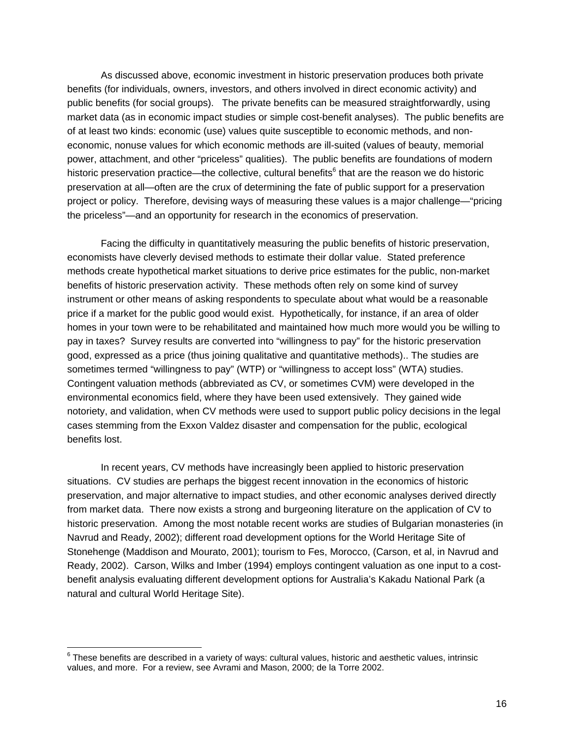As discussed above, economic investment in historic preservation produces both private benefits (for individuals, owners, investors, and others involved in direct economic activity) and public benefits (for social groups). The private benefits can be measured straightforwardly, using market data (as in economic impact studies or simple cost-benefit analyses). The public benefits are of at least two kinds: economic (use) values quite susceptible to economic methods, and noneconomic, nonuse values for which economic methods are ill-suited (values of beauty, memorial power, attachment, and other "priceless" qualities). The public benefits are foundations of modern historic preservation practice—the collective, cultural benefits<sup>6</sup> that are the reason we do historic preservation at all—often are the crux of determining the fate of public support for a preservation project or policy. Therefore, devising ways of measuring these values is a major challenge—"pricing the priceless"—and an opportunity for research in the economics of preservation.

Facing the difficulty in quantitatively measuring the public benefits of historic preservation, economists have cleverly devised methods to estimate their dollar value. Stated preference methods create hypothetical market situations to derive price estimates for the public, non-market benefits of historic preservation activity. These methods often rely on some kind of survey instrument or other means of asking respondents to speculate about what would be a reasonable price if a market for the public good would exist. Hypothetically, for instance, if an area of older homes in your town were to be rehabilitated and maintained how much more would you be willing to pay in taxes? Survey results are converted into "willingness to pay" for the historic preservation good, expressed as a price (thus joining qualitative and quantitative methods).. The studies are sometimes termed "willingness to pay" (WTP) or "willingness to accept loss" (WTA) studies. Contingent valuation methods (abbreviated as CV, or sometimes CVM) were developed in the environmental economics field, where they have been used extensively. They gained wide notoriety, and validation, when CV methods were used to support public policy decisions in the legal cases stemming from the Exxon Valdez disaster and compensation for the public, ecological benefits lost.

In recent years, CV methods have increasingly been applied to historic preservation situations. CV studies are perhaps the biggest recent innovation in the economics of historic preservation, and major alternative to impact studies, and other economic analyses derived directly from market data. There now exists a strong and burgeoning literature on the application of CV to historic preservation. Among the most notable recent works are studies of Bulgarian monasteries (in Navrud and Ready, 2002); different road development options for the World Heritage Site of Stonehenge (Maddison and Mourato, 2001); tourism to Fes, Morocco, (Carson, et al, in Navrud and Ready, 2002). Carson, Wilks and Imber (1994) employs contingent valuation as one input to a costbenefit analysis evaluating different development options for Australia's Kakadu National Park (a natural and cultural World Heritage Site).

 $\overline{a}$ 

 $6$  These benefits are described in a variety of ways: cultural values, historic and aesthetic values, intrinsic values, and more. For a review, see Avrami and Mason, 2000; de la Torre 2002.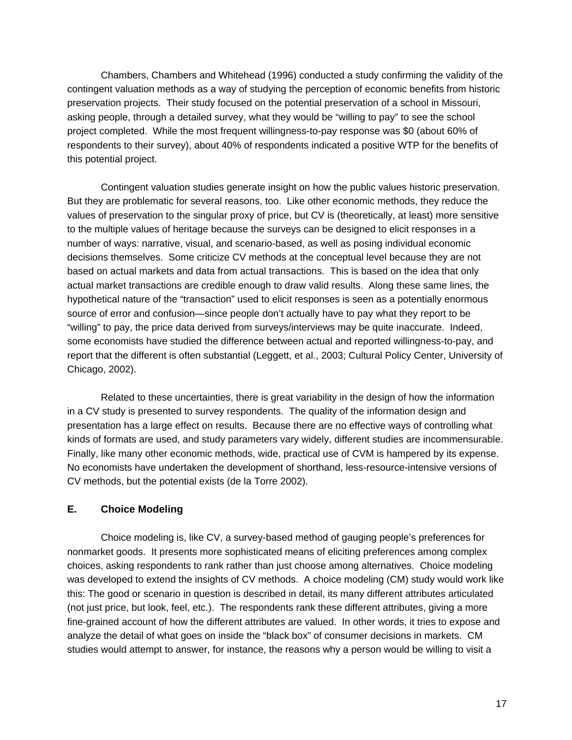Chambers, Chambers and Whitehead (1996) conducted a study confirming the validity of the contingent valuation methods as a way of studying the perception of economic benefits from historic preservation projects. Their study focused on the potential preservation of a school in Missouri, asking people, through a detailed survey, what they would be "willing to pay" to see the school project completed. While the most frequent willingness-to-pay response was \$0 (about 60% of respondents to their survey), about 40% of respondents indicated a positive WTP for the benefits of this potential project.

Contingent valuation studies generate insight on how the public values historic preservation. But they are problematic for several reasons, too. Like other economic methods, they reduce the values of preservation to the singular proxy of price, but CV is (theoretically, at least) more sensitive to the multiple values of heritage because the surveys can be designed to elicit responses in a number of ways: narrative, visual, and scenario-based, as well as posing individual economic decisions themselves. Some criticize CV methods at the conceptual level because they are not based on actual markets and data from actual transactions. This is based on the idea that only actual market transactions are credible enough to draw valid results. Along these same lines, the hypothetical nature of the "transaction" used to elicit responses is seen as a potentially enormous source of error and confusion—since people don't actually have to pay what they report to be "willing" to pay, the price data derived from surveys/interviews may be quite inaccurate. Indeed, some economists have studied the difference between actual and reported willingness-to-pay, and report that the different is often substantial (Leggett, et al., 2003; Cultural Policy Center, University of Chicago, 2002).

Related to these uncertainties, there is great variability in the design of how the information in a CV study is presented to survey respondents. The quality of the information design and presentation has a large effect on results. Because there are no effective ways of controlling what kinds of formats are used, and study parameters vary widely, different studies are incommensurable. Finally, like many other economic methods, wide, practical use of CVM is hampered by its expense. No economists have undertaken the development of shorthand, less-resource-intensive versions of CV methods, but the potential exists (de la Torre 2002).

### **E. Choice Modeling**

Choice modeling is, like CV, a survey-based method of gauging people's preferences for nonmarket goods. It presents more sophisticated means of eliciting preferences among complex choices, asking respondents to rank rather than just choose among alternatives. Choice modeling was developed to extend the insights of CV methods. A choice modeling (CM) study would work like this: The good or scenario in question is described in detail, its many different attributes articulated (not just price, but look, feel, etc.). The respondents rank these different attributes, giving a more fine-grained account of how the different attributes are valued. In other words, it tries to expose and analyze the detail of what goes on inside the "black box" of consumer decisions in markets. CM studies would attempt to answer, for instance, the reasons why a person would be willing to visit a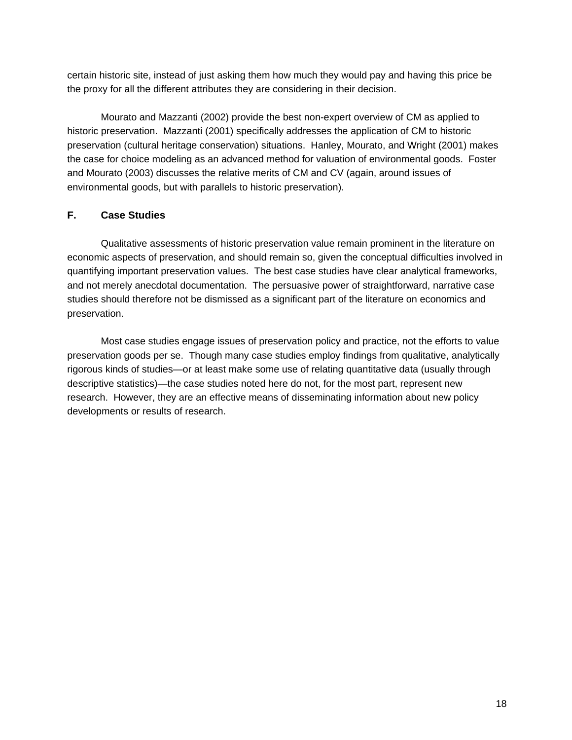certain historic site, instead of just asking them how much they would pay and having this price be the proxy for all the different attributes they are considering in their decision.

Mourato and Mazzanti (2002) provide the best non-expert overview of CM as applied to historic preservation. Mazzanti (2001) specifically addresses the application of CM to historic preservation (cultural heritage conservation) situations. Hanley, Mourato, and Wright (2001) makes the case for choice modeling as an advanced method for valuation of environmental goods. Foster and Mourato (2003) discusses the relative merits of CM and CV (again, around issues of environmental goods, but with parallels to historic preservation).

### **F. Case Studies**

Qualitative assessments of historic preservation value remain prominent in the literature on economic aspects of preservation, and should remain so, given the conceptual difficulties involved in quantifying important preservation values. The best case studies have clear analytical frameworks, and not merely anecdotal documentation. The persuasive power of straightforward, narrative case studies should therefore not be dismissed as a significant part of the literature on economics and preservation.

Most case studies engage issues of preservation policy and practice, not the efforts to value preservation goods per se. Though many case studies employ findings from qualitative, analytically rigorous kinds of studies—or at least make some use of relating quantitative data (usually through descriptive statistics)—the case studies noted here do not, for the most part, represent new research. However, they are an effective means of disseminating information about new policy developments or results of research.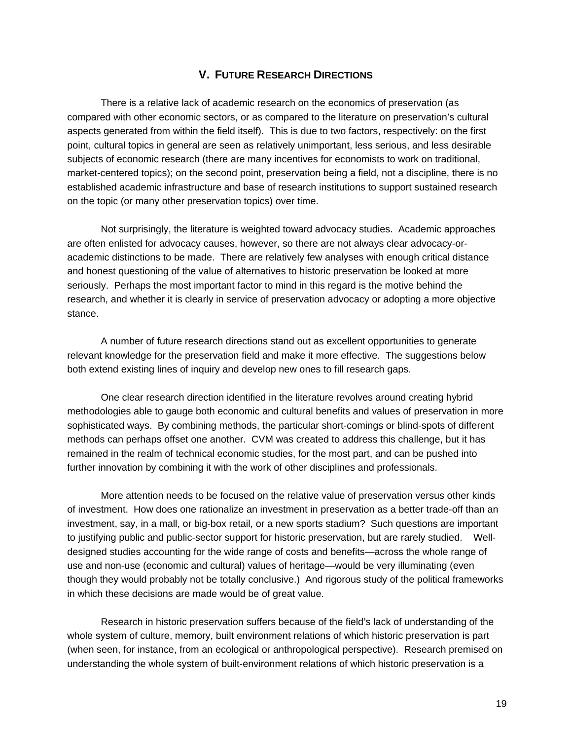### **V. FUTURE RESEARCH DIRECTIONS**

There is a relative lack of academic research on the economics of preservation (as compared with other economic sectors, or as compared to the literature on preservation's cultural aspects generated from within the field itself). This is due to two factors, respectively: on the first point, cultural topics in general are seen as relatively unimportant, less serious, and less desirable subjects of economic research (there are many incentives for economists to work on traditional, market-centered topics); on the second point, preservation being a field, not a discipline, there is no established academic infrastructure and base of research institutions to support sustained research on the topic (or many other preservation topics) over time.

Not surprisingly, the literature is weighted toward advocacy studies. Academic approaches are often enlisted for advocacy causes, however, so there are not always clear advocacy-oracademic distinctions to be made. There are relatively few analyses with enough critical distance and honest questioning of the value of alternatives to historic preservation be looked at more seriously. Perhaps the most important factor to mind in this regard is the motive behind the research, and whether it is clearly in service of preservation advocacy or adopting a more objective stance.

A number of future research directions stand out as excellent opportunities to generate relevant knowledge for the preservation field and make it more effective. The suggestions below both extend existing lines of inquiry and develop new ones to fill research gaps.

One clear research direction identified in the literature revolves around creating hybrid methodologies able to gauge both economic and cultural benefits and values of preservation in more sophisticated ways. By combining methods, the particular short-comings or blind-spots of different methods can perhaps offset one another. CVM was created to address this challenge, but it has remained in the realm of technical economic studies, for the most part, and can be pushed into further innovation by combining it with the work of other disciplines and professionals.

More attention needs to be focused on the relative value of preservation versus other kinds of investment. How does one rationalize an investment in preservation as a better trade-off than an investment, say, in a mall, or big-box retail, or a new sports stadium? Such questions are important to justifying public and public-sector support for historic preservation, but are rarely studied. Welldesigned studies accounting for the wide range of costs and benefits—across the whole range of use and non-use (economic and cultural) values of heritage—would be very illuminating (even though they would probably not be totally conclusive.) And rigorous study of the political frameworks in which these decisions are made would be of great value.

Research in historic preservation suffers because of the field's lack of understanding of the whole system of culture, memory, built environment relations of which historic preservation is part (when seen, for instance, from an ecological or anthropological perspective). Research premised on understanding the whole system of built-environment relations of which historic preservation is a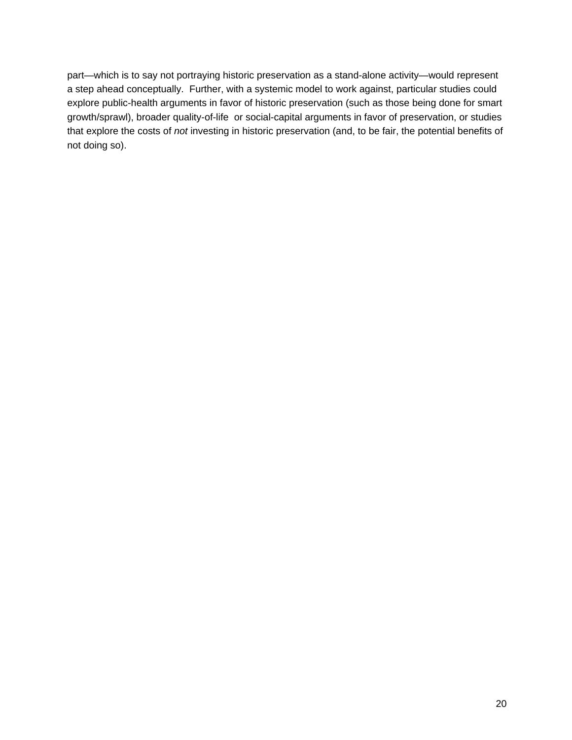part—which is to say not portraying historic preservation as a stand-alone activity—would represent a step ahead conceptually. Further, with a systemic model to work against, particular studies could explore public-health arguments in favor of historic preservation (such as those being done for smart growth/sprawl), broader quality-of-life or social-capital arguments in favor of preservation, or studies that explore the costs of *not* investing in historic preservation (and, to be fair, the potential benefits of not doing so).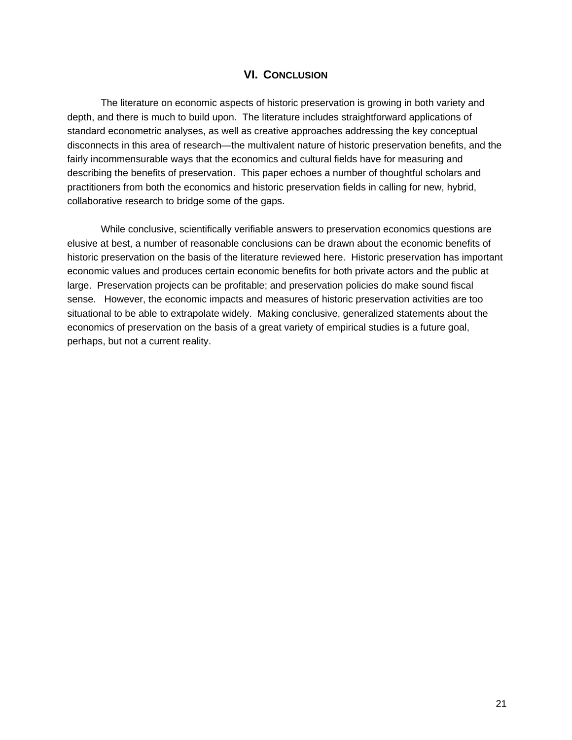## **VI. CONCLUSION**

The literature on economic aspects of historic preservation is growing in both variety and depth, and there is much to build upon. The literature includes straightforward applications of standard econometric analyses, as well as creative approaches addressing the key conceptual disconnects in this area of research—the multivalent nature of historic preservation benefits, and the fairly incommensurable ways that the economics and cultural fields have for measuring and describing the benefits of preservation. This paper echoes a number of thoughtful scholars and practitioners from both the economics and historic preservation fields in calling for new, hybrid, collaborative research to bridge some of the gaps.

While conclusive, scientifically verifiable answers to preservation economics questions are elusive at best, a number of reasonable conclusions can be drawn about the economic benefits of historic preservation on the basis of the literature reviewed here. Historic preservation has important economic values and produces certain economic benefits for both private actors and the public at large. Preservation projects can be profitable; and preservation policies do make sound fiscal sense. However, the economic impacts and measures of historic preservation activities are too situational to be able to extrapolate widely. Making conclusive, generalized statements about the economics of preservation on the basis of a great variety of empirical studies is a future goal, perhaps, but not a current reality.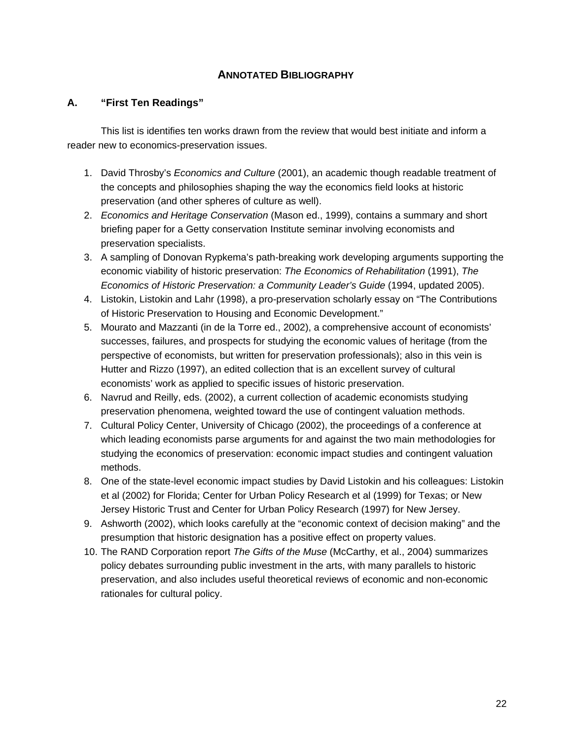## **ANNOTATED BIBLIOGRAPHY**

### **A. "First Ten Readings"**

This list is identifies ten works drawn from the review that would best initiate and inform a reader new to economics-preservation issues.

- 1. David Throsby's *Economics and Culture* (2001), an academic though readable treatment of the concepts and philosophies shaping the way the economics field looks at historic preservation (and other spheres of culture as well).
- 2. *Economics and Heritage Conservation* (Mason ed., 1999), contains a summary and short briefing paper for a Getty conservation Institute seminar involving economists and preservation specialists.
- 3. A sampling of Donovan Rypkema's path-breaking work developing arguments supporting the economic viability of historic preservation: *The Economics of Rehabilitation* (1991), *The Economics of Historic Preservation: a Community Leader's Guide* (1994, updated 2005).
- 4. Listokin, Listokin and Lahr (1998), a pro-preservation scholarly essay on "The Contributions of Historic Preservation to Housing and Economic Development."
- 5. Mourato and Mazzanti (in de la Torre ed., 2002), a comprehensive account of economists' successes, failures, and prospects for studying the economic values of heritage (from the perspective of economists, but written for preservation professionals); also in this vein is Hutter and Rizzo (1997), an edited collection that is an excellent survey of cultural economists' work as applied to specific issues of historic preservation.
- 6. Navrud and Reilly, eds. (2002), a current collection of academic economists studying preservation phenomena, weighted toward the use of contingent valuation methods.
- 7. Cultural Policy Center, University of Chicago (2002), the proceedings of a conference at which leading economists parse arguments for and against the two main methodologies for studying the economics of preservation: economic impact studies and contingent valuation methods.
- 8. One of the state-level economic impact studies by David Listokin and his colleagues: Listokin et al (2002) for Florida; Center for Urban Policy Research et al (1999) for Texas; or New Jersey Historic Trust and Center for Urban Policy Research (1997) for New Jersey.
- 9. Ashworth (2002), which looks carefully at the "economic context of decision making" and the presumption that historic designation has a positive effect on property values.
- 10. The RAND Corporation report *The Gifts of the Muse* (McCarthy, et al., 2004) summarizes policy debates surrounding public investment in the arts, with many parallels to historic preservation, and also includes useful theoretical reviews of economic and non-economic rationales for cultural policy.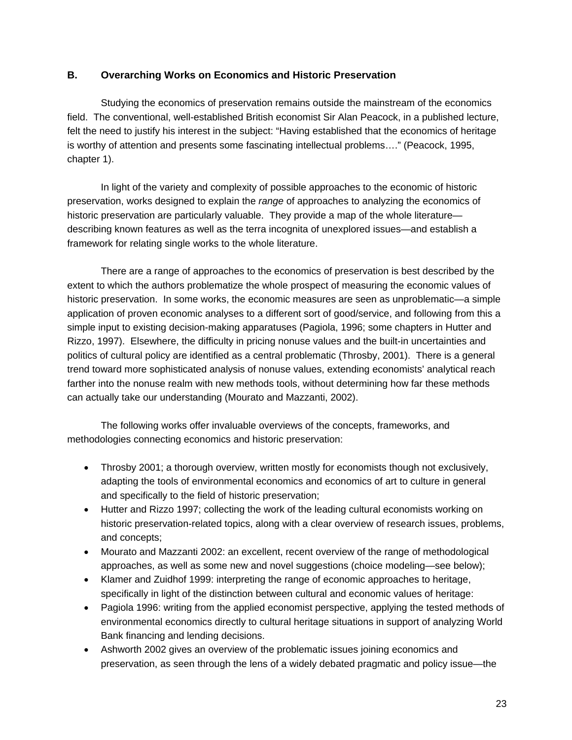## **B. Overarching Works on Economics and Historic Preservation**

Studying the economics of preservation remains outside the mainstream of the economics field. The conventional, well-established British economist Sir Alan Peacock, in a published lecture, felt the need to justify his interest in the subject: "Having established that the economics of heritage is worthy of attention and presents some fascinating intellectual problems…." (Peacock, 1995, chapter 1).

In light of the variety and complexity of possible approaches to the economic of historic preservation, works designed to explain the *range* of approaches to analyzing the economics of historic preservation are particularly valuable. They provide a map of the whole literature describing known features as well as the terra incognita of unexplored issues—and establish a framework for relating single works to the whole literature.

There are a range of approaches to the economics of preservation is best described by the extent to which the authors problematize the whole prospect of measuring the economic values of historic preservation. In some works, the economic measures are seen as unproblematic—a simple application of proven economic analyses to a different sort of good/service, and following from this a simple input to existing decision-making apparatuses (Pagiola, 1996; some chapters in Hutter and Rizzo, 1997). Elsewhere, the difficulty in pricing nonuse values and the built-in uncertainties and politics of cultural policy are identified as a central problematic (Throsby, 2001). There is a general trend toward more sophisticated analysis of nonuse values, extending economists' analytical reach farther into the nonuse realm with new methods tools, without determining how far these methods can actually take our understanding (Mourato and Mazzanti, 2002).

The following works offer invaluable overviews of the concepts, frameworks, and methodologies connecting economics and historic preservation:

- Throsby 2001; a thorough overview, written mostly for economists though not exclusively, adapting the tools of environmental economics and economics of art to culture in general and specifically to the field of historic preservation;
- Hutter and Rizzo 1997; collecting the work of the leading cultural economists working on historic preservation-related topics, along with a clear overview of research issues, problems, and concepts;
- Mourato and Mazzanti 2002: an excellent, recent overview of the range of methodological approaches, as well as some new and novel suggestions (choice modeling—see below);
- Klamer and Zuidhof 1999: interpreting the range of economic approaches to heritage, specifically in light of the distinction between cultural and economic values of heritage:
- Pagiola 1996: writing from the applied economist perspective, applying the tested methods of environmental economics directly to cultural heritage situations in support of analyzing World Bank financing and lending decisions.
- Ashworth 2002 gives an overview of the problematic issues joining economics and preservation, as seen through the lens of a widely debated pragmatic and policy issue—the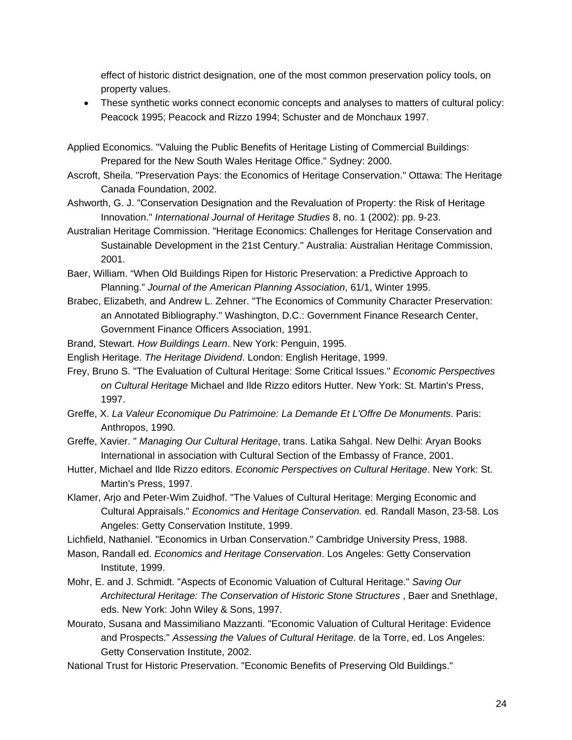effect of historic district designation, one of the most common preservation policy tools, on property values.

• These synthetic works connect economic concepts and analyses to matters of cultural policy: Peacock 1995; Peacock and Rizzo 1994; Schuster and de Monchaux 1997.

Applied Economics. "Valuing the Public Benefits of Heritage Listing of Commercial Buildings: Prepared for the New South Wales Heritage Office." Sydney: 2000.

- Ascroft, Sheila. "Preservation Pays: the Economics of Heritage Conservation." Ottawa: The Heritage Canada Foundation, 2002.
- Ashworth, G. J. "Conservation Designation and the Revaluation of Property: the Risk of Heritage Innovation." *International Journal of Heritage Studies* 8, no. 1 (2002): pp. 9-23.
- Australian Heritage Commission. "Heritage Economics: Challenges for Heritage Conservation and Sustainable Development in the 21st Century." Australia: Australian Heritage Commission, 2001.

Baer, William. "When Old Buildings Ripen for Historic Preservation: a Predictive Approach to Planning." *Journal of the American Planning Association*, 61/1, Winter 1995.

- Brabec, Elizabeth, and Andrew L. Zehner. "The Economics of Community Character Preservation: an Annotated Bibliography." Washington, D.C.: Government Finance Research Center, Government Finance Officers Association, 1991.
- Brand, Stewart. *How Buildings Learn*. New York: Penguin, 1995.
- English Heritage. *The Heritage Dividend*. London: English Heritage, 1999.
- Frey, Bruno S. "The Evaluation of Cultural Heritage: Some Critical Issues." *Economic Perspectives on Cultural Heritage* Michael and Ilde Rizzo editors Hutter. New York: St. Martin's Press, 1997.
- Greffe, X. *La Valeur Economique Du Patrimoine: La Demande Et L'Offre De Monuments*. Paris: Anthropos, 1990.
- Greffe, Xavier. " *Managing Our Cultural Heritage*, trans. Latika Sahgal. New Delhi: Aryan Books International in association with Cultural Section of the Embassy of France, 2001.
- Hutter, Michael and Ilde Rizzo editors. *Economic Perspectives on Cultural Heritage*. New York: St. Martin's Press, 1997.
- Klamer, Arjo and Peter-Wim Zuidhof. "The Values of Cultural Heritage: Merging Economic and Cultural Appraisals." *Economics and Heritage Conservation.* ed. Randall Mason, 23-58. Los Angeles: Getty Conservation Institute, 1999.

Lichfield, Nathaniel. "Economics in Urban Conservation." Cambridge University Press, 1988.

- Mason, Randall ed. *Economics and Heritage Conservation*. Los Angeles: Getty Conservation Institute, 1999.
- Mohr, E. and J. Schmidt. "Aspects of Economic Valuation of Cultural Heritage." *Saving Our*  Architectural Heritage: The Conservation of Historic Stone Structures, Baer and Snethlage, eds. New York: John Wiley & Sons, 1997.
- Mourato, Susana and Massimiliano Mazzanti. "Economic Valuation of Cultural Heritage: Evidence and Prospects." *Assessing the Values of Cultural Heritage.* de la Torre, ed. Los Angeles: Getty Conservation Institute, 2002.
- National Trust for Historic Preservation. "Economic Benefits of Preserving Old Buildings."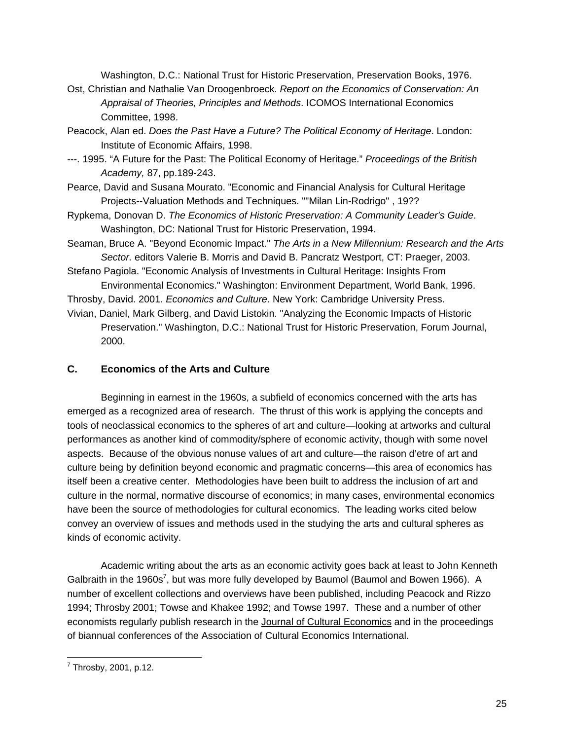Washington, D.C.: National Trust for Historic Preservation, Preservation Books, 1976.

- Ost, Christian and Nathalie Van Droogenbroeck. *Report on the Economics of Conservation: An Appraisal of Theories, Principles and Methods*. ICOMOS International Economics Committee, 1998.
- Peacock, Alan ed. *Does the Past Have a Future? The Political Economy of Heritage*. London: Institute of Economic Affairs, 1998.
- ---. 1995. "A Future for the Past: The Political Economy of Heritage." *Proceedings of the British Academy,* 87, pp.189-243.
- Pearce, David and Susana Mourato. "Economic and Financial Analysis for Cultural Heritage Projects--Valuation Methods and Techniques. ""Milan Lin-Rodrigo" , 19??
- Rypkema, Donovan D. *The Economics of Historic Preservation: A Community Leader's Guide*. Washington, DC: National Trust for Historic Preservation, 1994.
- Seaman, Bruce A. "Beyond Economic Impact." *The Arts in a New Millennium: Research and the Arts Sector.* editors Valerie B. Morris and David B. Pancratz Westport, CT: Praeger, 2003.

Stefano Pagiola. "Economic Analysis of Investments in Cultural Heritage: Insights From Environmental Economics." Washington: Environment Department, World Bank, 1996.

Throsby, David. 2001. *Economics and Culture*. New York: Cambridge University Press.

Vivian, Daniel, Mark Gilberg, and David Listokin. "Analyzing the Economic Impacts of Historic Preservation." Washington, D.C.: National Trust for Historic Preservation, Forum Journal, 2000.

## **C. Economics of the Arts and Culture**

Beginning in earnest in the 1960s, a subfield of economics concerned with the arts has emerged as a recognized area of research. The thrust of this work is applying the concepts and tools of neoclassical economics to the spheres of art and culture—looking at artworks and cultural performances as another kind of commodity/sphere of economic activity, though with some novel aspects. Because of the obvious nonuse values of art and culture—the raison d'etre of art and culture being by definition beyond economic and pragmatic concerns—this area of economics has itself been a creative center. Methodologies have been built to address the inclusion of art and culture in the normal, normative discourse of economics; in many cases, environmental economics have been the source of methodologies for cultural economics. The leading works cited below convey an overview of issues and methods used in the studying the arts and cultural spheres as kinds of economic activity.

Academic writing about the arts as an economic activity goes back at least to John Kenneth Galbraith in the 1960s<sup>7</sup>, but was more fully developed by Baumol (Baumol and Bowen 1966). A number of excellent collections and overviews have been published, including Peacock and Rizzo 1994; Throsby 2001; Towse and Khakee 1992; and Towse 1997. These and a number of other economists regularly publish research in the Journal of Cultural Economics and in the proceedings of biannual conferences of the Association of Cultural Economics International.

 $\overline{a}$  $7$  Throsby, 2001, p.12.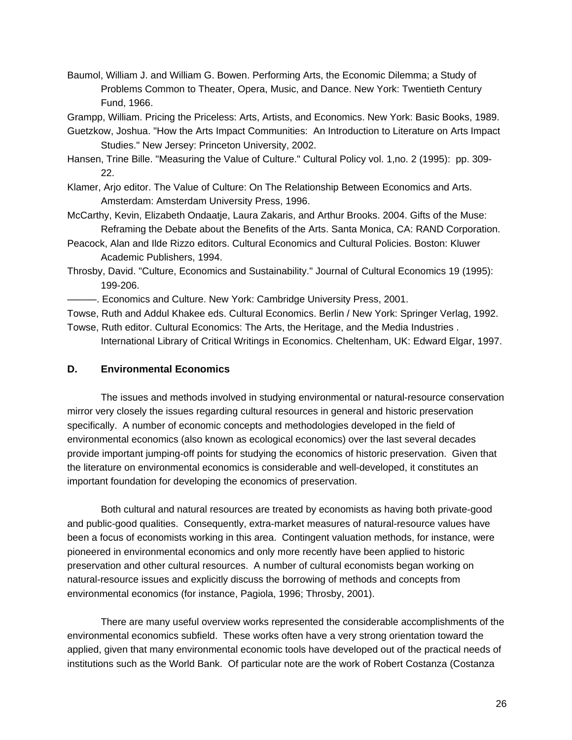- Baumol, William J. and William G. Bowen. Performing Arts, the Economic Dilemma; a Study of Problems Common to Theater, Opera, Music, and Dance. New York: Twentieth Century Fund, 1966.
- Grampp, William. Pricing the Priceless: Arts, Artists, and Economics. New York: Basic Books, 1989.
- Guetzkow, Joshua. "How the Arts Impact Communities: An Introduction to Literature on Arts Impact Studies." New Jersey: Princeton University, 2002.
- Hansen, Trine Bille. "Measuring the Value of Culture." Cultural Policy vol. 1,no. 2 (1995): pp. 309- 22.
- Klamer, Arjo editor. The Value of Culture: On The Relationship Between Economics and Arts. Amsterdam: Amsterdam University Press, 1996.
- McCarthy, Kevin, Elizabeth Ondaatje, Laura Zakaris, and Arthur Brooks. 2004. Gifts of the Muse: Reframing the Debate about the Benefits of the Arts. Santa Monica, CA: RAND Corporation.
- Peacock, Alan and Ilde Rizzo editors. Cultural Economics and Cultural Policies. Boston: Kluwer Academic Publishers, 1994.
- Throsby, David. "Culture, Economics and Sustainability." Journal of Cultural Economics 19 (1995): 199-206.
- ———. Economics and Culture. New York: Cambridge University Press, 2001.
- Towse, Ruth and Addul Khakee eds. Cultural Economics. Berlin / New York: Springer Verlag, 1992.
- Towse, Ruth editor. Cultural Economics: The Arts, the Heritage, and the Media Industries . International Library of Critical Writings in Economics. Cheltenham, UK: Edward Elgar, 1997.

#### **D. Environmental Economics**

The issues and methods involved in studying environmental or natural-resource conservation mirror very closely the issues regarding cultural resources in general and historic preservation specifically. A number of economic concepts and methodologies developed in the field of environmental economics (also known as ecological economics) over the last several decades provide important jumping-off points for studying the economics of historic preservation. Given that the literature on environmental economics is considerable and well-developed, it constitutes an important foundation for developing the economics of preservation.

Both cultural and natural resources are treated by economists as having both private-good and public-good qualities. Consequently, extra-market measures of natural-resource values have been a focus of economists working in this area. Contingent valuation methods, for instance, were pioneered in environmental economics and only more recently have been applied to historic preservation and other cultural resources. A number of cultural economists began working on natural-resource issues and explicitly discuss the borrowing of methods and concepts from environmental economics (for instance, Pagiola, 1996; Throsby, 2001).

There are many useful overview works represented the considerable accomplishments of the environmental economics subfield. These works often have a very strong orientation toward the applied, given that many environmental economic tools have developed out of the practical needs of institutions such as the World Bank. Of particular note are the work of Robert Costanza (Costanza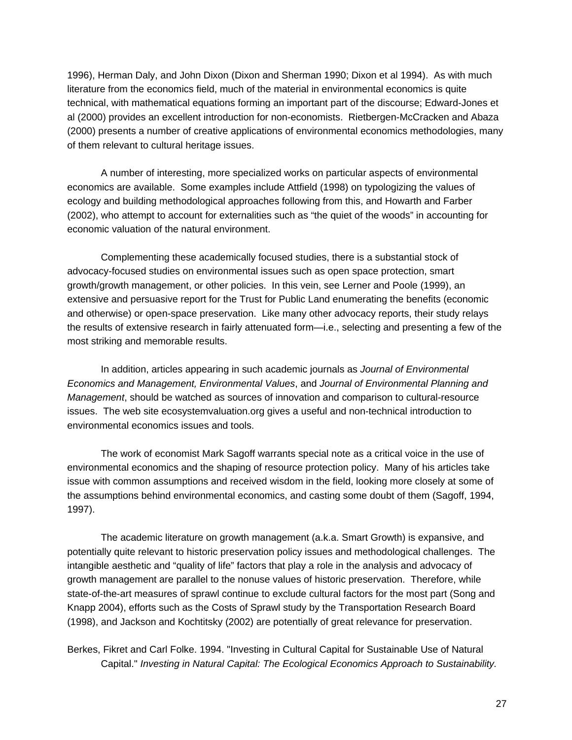1996), Herman Daly, and John Dixon (Dixon and Sherman 1990; Dixon et al 1994). As with much literature from the economics field, much of the material in environmental economics is quite technical, with mathematical equations forming an important part of the discourse; Edward-Jones et al (2000) provides an excellent introduction for non-economists. Rietbergen-McCracken and Abaza (2000) presents a number of creative applications of environmental economics methodologies, many of them relevant to cultural heritage issues.

A number of interesting, more specialized works on particular aspects of environmental economics are available. Some examples include Attfield (1998) on typologizing the values of ecology and building methodological approaches following from this, and Howarth and Farber (2002), who attempt to account for externalities such as "the quiet of the woods" in accounting for economic valuation of the natural environment.

Complementing these academically focused studies, there is a substantial stock of advocacy-focused studies on environmental issues such as open space protection, smart growth/growth management, or other policies. In this vein, see Lerner and Poole (1999), an extensive and persuasive report for the Trust for Public Land enumerating the benefits (economic and otherwise) or open-space preservation. Like many other advocacy reports, their study relays the results of extensive research in fairly attenuated form—i.e., selecting and presenting a few of the most striking and memorable results.

In addition, articles appearing in such academic journals as *Journal of Environmental Economics and Management, Environmental Values*, and *Journal of Environmental Planning and Management*, should be watched as sources of innovation and comparison to cultural-resource issues. The web site ecosystemvaluation.org gives a useful and non-technical introduction to environmental economics issues and tools.

The work of economist Mark Sagoff warrants special note as a critical voice in the use of environmental economics and the shaping of resource protection policy. Many of his articles take issue with common assumptions and received wisdom in the field, looking more closely at some of the assumptions behind environmental economics, and casting some doubt of them (Sagoff, 1994, 1997).

The academic literature on growth management (a.k.a. Smart Growth) is expansive, and potentially quite relevant to historic preservation policy issues and methodological challenges. The intangible aesthetic and "quality of life" factors that play a role in the analysis and advocacy of growth management are parallel to the nonuse values of historic preservation. Therefore, while state-of-the-art measures of sprawl continue to exclude cultural factors for the most part (Song and Knapp 2004), efforts such as the Costs of Sprawl study by the Transportation Research Board (1998), and Jackson and Kochtitsky (2002) are potentially of great relevance for preservation.

Berkes, Fikret and Carl Folke. 1994. "Investing in Cultural Capital for Sustainable Use of Natural Capital." *Investing in Natural Capital: The Ecological Economics Approach to Sustainability.*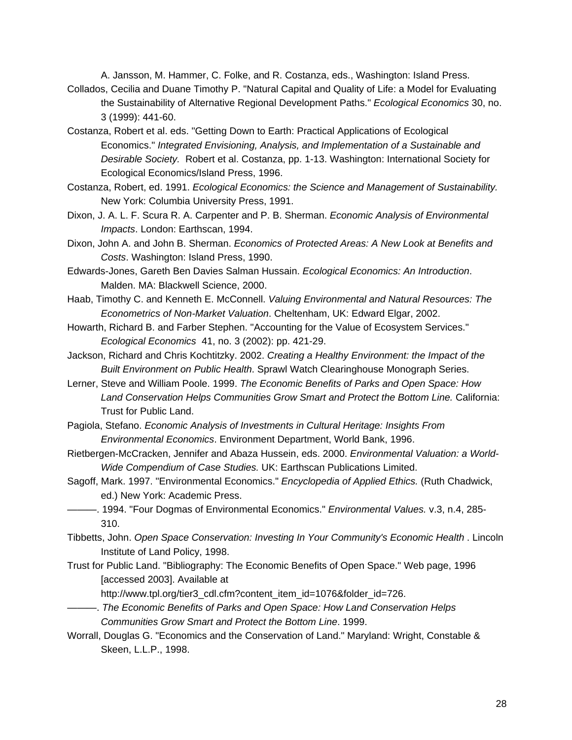A. Jansson, M. Hammer, C. Folke, and R. Costanza, eds., Washington: Island Press. Collados, Cecilia and Duane Timothy P. "Natural Capital and Quality of Life: a Model for Evaluating

- the Sustainability of Alternative Regional Development Paths." *Ecological Economics* 30, no. 3 (1999): 441-60.
- Costanza, Robert et al. eds. "Getting Down to Earth: Practical Applications of Ecological Economics." *Integrated Envisioning, Analysis, and Implementation of a Sustainable and Desirable Society.* Robert et al. Costanza, pp. 1-13. Washington: International Society for Ecological Economics/Island Press, 1996.
- Costanza, Robert, ed. 1991. *Ecological Economics: the Science and Management of Sustainability.*  New York: Columbia University Press, 1991.
- Dixon, J. A. L. F. Scura R. A. Carpenter and P. B. Sherman. *Economic Analysis of Environmental Impacts*. London: Earthscan, 1994.
- Dixon, John A. and John B. Sherman. *Economics of Protected Areas: A New Look at Benefits and Costs*. Washington: Island Press, 1990.
- Edwards-Jones, Gareth Ben Davies Salman Hussain. *Ecological Economics: An Introduction*. Malden. MA: Blackwell Science, 2000.
- Haab, Timothy C. and Kenneth E. McConnell. *Valuing Environmental and Natural Resources: The Econometrics of Non-Market Valuation*. Cheltenham, UK: Edward Elgar, 2002.
- Howarth, Richard B. and Farber Stephen. "Accounting for the Value of Ecosystem Services." *Ecological Economics* 41, no. 3 (2002): pp. 421-29.
- Jackson, Richard and Chris Kochtitzky. 2002. *Creating a Healthy Environment: the Impact of the Built Environment on Public Health*. Sprawl Watch Clearinghouse Monograph Series.
- Lerner, Steve and William Poole. 1999. *The Economic Benefits of Parks and Open Space: How Land Conservation Helps Communities Grow Smart and Protect the Bottom Line.* California: Trust for Public Land.
- Pagiola, Stefano. *Economic Analysis of Investments in Cultural Heritage: Insights From Environmental Economics*. Environment Department, World Bank, 1996.
- Rietbergen-McCracken, Jennifer and Abaza Hussein, eds. 2000. *Environmental Valuation: a World-Wide Compendium of Case Studies.* UK: Earthscan Publications Limited.
- Sagoff, Mark. 1997. "Environmental Economics." *Encyclopedia of Applied Ethics.* (Ruth Chadwick, ed.) New York: Academic Press.
- ———. 1994. "Four Dogmas of Environmental Economics." *Environmental Values.* v.3, n.4, 285- 310.
- Tibbetts, John. *Open Space Conservation: Investing In Your Community's Economic Health* . Lincoln Institute of Land Policy, 1998.
- Trust for Public Land. "Bibliography: The Economic Benefits of Open Space." Web page, 1996 [accessed 2003]. Available at

http://www.tpl.org/tier3\_cdl.cfm?content\_item\_id=1076&folder\_id=726.

- ———. *The Economic Benefits of Parks and Open Space: How Land Conservation Helps Communities Grow Smart and Protect the Bottom Line*. 1999.
- Worrall, Douglas G. "Economics and the Conservation of Land." Maryland: Wright, Constable & Skeen, L.L.P., 1998.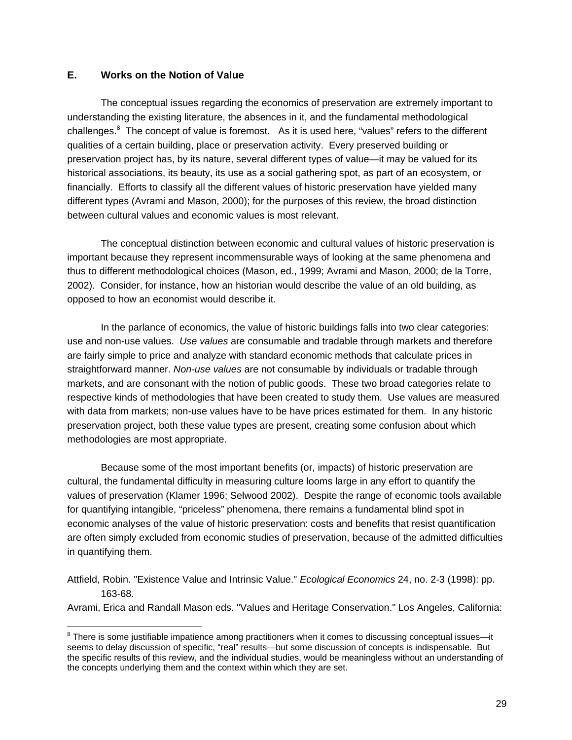### **E. Works on the Notion of Value**

 $\overline{a}$ 

The conceptual issues regarding the economics of preservation are extremely important to understanding the existing literature, the absences in it, and the fundamental methodological challenges.<sup>8</sup> The concept of value is foremost. As it is used here, "values" refers to the different qualities of a certain building, place or preservation activity. Every preserved building or preservation project has, by its nature, several different types of value—it may be valued for its historical associations, its beauty, its use as a social gathering spot, as part of an ecosystem, or financially. Efforts to classify all the different values of historic preservation have yielded many different types (Avrami and Mason, 2000); for the purposes of this review, the broad distinction between cultural values and economic values is most relevant.

The conceptual distinction between economic and cultural values of historic preservation is important because they represent incommensurable ways of looking at the same phenomena and thus to different methodological choices (Mason, ed., 1999; Avrami and Mason, 2000; de la Torre, 2002). Consider, for instance, how an historian would describe the value of an old building, as opposed to how an economist would describe it.

In the parlance of economics, the value of historic buildings falls into two clear categories: use and non-use values. *Use values* are consumable and tradable through markets and therefore are fairly simple to price and analyze with standard economic methods that calculate prices in straightforward manner. *Non-use values* are not consumable by individuals or tradable through markets, and are consonant with the notion of public goods. These two broad categories relate to respective kinds of methodologies that have been created to study them. Use values are measured with data from markets; non-use values have to be have prices estimated for them. In any historic preservation project, both these value types are present, creating some confusion about which methodologies are most appropriate.

Because some of the most important benefits (or, impacts) of historic preservation are cultural, the fundamental difficulty in measuring culture looms large in any effort to quantify the values of preservation (Klamer 1996; Selwood 2002). Despite the range of economic tools available for quantifying intangible, "priceless" phenomena, there remains a fundamental blind spot in economic analyses of the value of historic preservation: costs and benefits that resist quantification are often simply excluded from economic studies of preservation, because of the admitted difficulties in quantifying them.

Attfield, Robin. "Existence Value and Intrinsic Value." *Ecological Economics* 24, no. 2-3 (1998): pp. 163-68.

Avrami, Erica and Randall Mason eds. "Values and Heritage Conservation." Los Angeles, California:

<sup>&</sup>lt;sup>8</sup> There is some justifiable impatience among practitioners when it comes to discussing conceptual issues-it seems to delay discussion of specific, "real" results—but some discussion of concepts is indispensable. But the specific results of this review, and the individual studies, would be meaningless without an understanding of the concepts underlying them and the context within which they are set.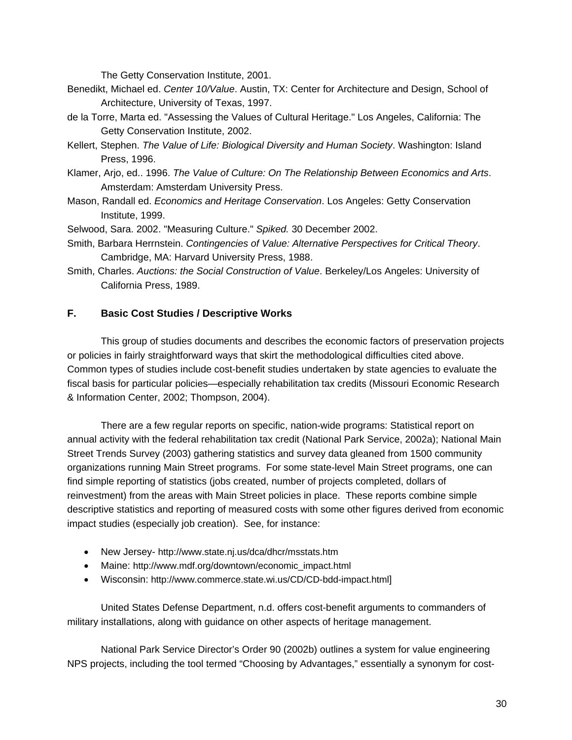The Getty Conservation Institute, 2001.

- Benedikt, Michael ed. *Center 10/Value*. Austin, TX: Center for Architecture and Design, School of Architecture, University of Texas, 1997.
- de la Torre, Marta ed. "Assessing the Values of Cultural Heritage." Los Angeles, California: The Getty Conservation Institute, 2002.
- Kellert, Stephen. *The Value of Life: Biological Diversity and Human Society*. Washington: Island Press, 1996.
- Klamer, Arjo, ed.. 1996. *The Value of Culture: On The Relationship Between Economics and Arts*. Amsterdam: Amsterdam University Press.
- Mason, Randall ed. *Economics and Heritage Conservation*. Los Angeles: Getty Conservation Institute, 1999.
- Selwood, Sara. 2002. "Measuring Culture." *Spiked.* 30 December 2002.
- Smith, Barbara Herrnstein. *Contingencies of Value: Alternative Perspectives for Critical Theory*. Cambridge, MA: Harvard University Press, 1988.
- Smith, Charles. *Auctions: the Social Construction of Value*. Berkeley/Los Angeles: University of California Press, 1989.

## **F. Basic Cost Studies / Descriptive Works**

This group of studies documents and describes the economic factors of preservation projects or policies in fairly straightforward ways that skirt the methodological difficulties cited above. Common types of studies include cost-benefit studies undertaken by state agencies to evaluate the fiscal basis for particular policies—especially rehabilitation tax credits (Missouri Economic Research & Information Center, 2002; Thompson, 2004).

There are a few regular reports on specific, nation-wide programs: Statistical report on annual activity with the federal rehabilitation tax credit (National Park Service, 2002a); National Main Street Trends Survey (2003) gathering statistics and survey data gleaned from 1500 community organizations running Main Street programs. For some state-level Main Street programs, one can find simple reporting of statistics (jobs created, number of projects completed, dollars of reinvestment) from the areas with Main Street policies in place. These reports combine simple descriptive statistics and reporting of measured costs with some other figures derived from economic impact studies (especially job creation). See, for instance:

- New Jersey- http://www.state.nj.us/dca/dhcr/msstats.htm
- Maine: http://www.mdf.org/downtown/economic\_impact.html
- Wisconsin: http://www.commerce.state.wi.us/CD/CD-bdd-impact.html]

United States Defense Department, n.d. offers cost-benefit arguments to commanders of military installations, along with guidance on other aspects of heritage management.

National Park Service Director's Order 90 (2002b) outlines a system for value engineering NPS projects, including the tool termed "Choosing by Advantages," essentially a synonym for cost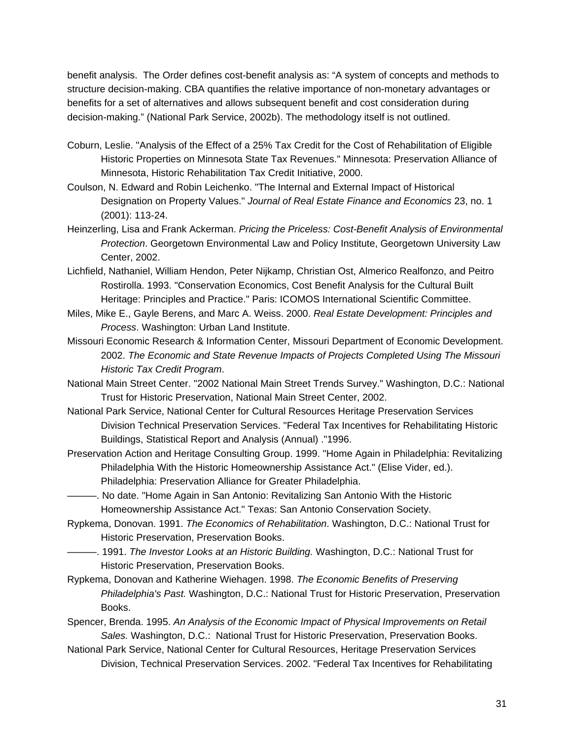benefit analysis. The Order defines cost-benefit analysis as: "A system of concepts and methods to structure decision-making. CBA quantifies the relative importance of non-monetary advantages or benefits for a set of alternatives and allows subsequent benefit and cost consideration during decision-making." (National Park Service, 2002b). The methodology itself is not outlined.

- Coburn, Leslie. "Analysis of the Effect of a 25% Tax Credit for the Cost of Rehabilitation of Eligible Historic Properties on Minnesota State Tax Revenues." Minnesota: Preservation Alliance of Minnesota, Historic Rehabilitation Tax Credit Initiative, 2000.
- Coulson, N. Edward and Robin Leichenko. "The Internal and External Impact of Historical Designation on Property Values." *Journal of Real Estate Finance and Economics* 23, no. 1 (2001): 113-24.
- Heinzerling, Lisa and Frank Ackerman. *Pricing the Priceless: Cost-Benefit Analysis of Environmental Protection*. Georgetown Environmental Law and Policy Institute, Georgetown University Law Center, 2002.
- Lichfield, Nathaniel, William Hendon, Peter Nijkamp, Christian Ost, Almerico Realfonzo, and Peitro Rostirolla. 1993. "Conservation Economics, Cost Benefit Analysis for the Cultural Built Heritage: Principles and Practice." Paris: ICOMOS International Scientific Committee.
- Miles, Mike E., Gayle Berens, and Marc A. Weiss. 2000. *Real Estate Development: Principles and Process*. Washington: Urban Land Institute.
- Missouri Economic Research & Information Center, Missouri Department of Economic Development. 2002. *The Economic and State Revenue Impacts of Projects Completed Using The Missouri Historic Tax Credit Program*.
- National Main Street Center. "2002 National Main Street Trends Survey." Washington, D.C.: National Trust for Historic Preservation, National Main Street Center, 2002.
- National Park Service, National Center for Cultural Resources Heritage Preservation Services Division Technical Preservation Services. "Federal Tax Incentives for Rehabilitating Historic Buildings, Statistical Report and Analysis (Annual) ."1996.
- Preservation Action and Heritage Consulting Group. 1999. "Home Again in Philadelphia: Revitalizing Philadelphia With the Historic Homeownership Assistance Act." (Elise Vider, ed.). Philadelphia: Preservation Alliance for Greater Philadelphia.
- ———. No date. "Home Again in San Antonio: Revitalizing San Antonio With the Historic Homeownership Assistance Act." Texas: San Antonio Conservation Society.
- Rypkema, Donovan. 1991. *The Economics of Rehabilitation*. Washington, D.C.: National Trust for Historic Preservation, Preservation Books.
- ———. 1991. *The Investor Looks at an Historic Building.* Washington, D.C.: National Trust for Historic Preservation, Preservation Books.
- Rypkema, Donovan and Katherine Wiehagen. 1998. *The Economic Benefits of Preserving Philadelphia's Past.* Washington, D.C.: National Trust for Historic Preservation, Preservation Books.
- Spencer, Brenda. 1995. *An Analysis of the Economic Impact of Physical Improvements on Retail Sales.* Washington, D.C.: National Trust for Historic Preservation, Preservation Books.
- National Park Service, National Center for Cultural Resources, Heritage Preservation Services Division, Technical Preservation Services. 2002. "Federal Tax Incentives for Rehabilitating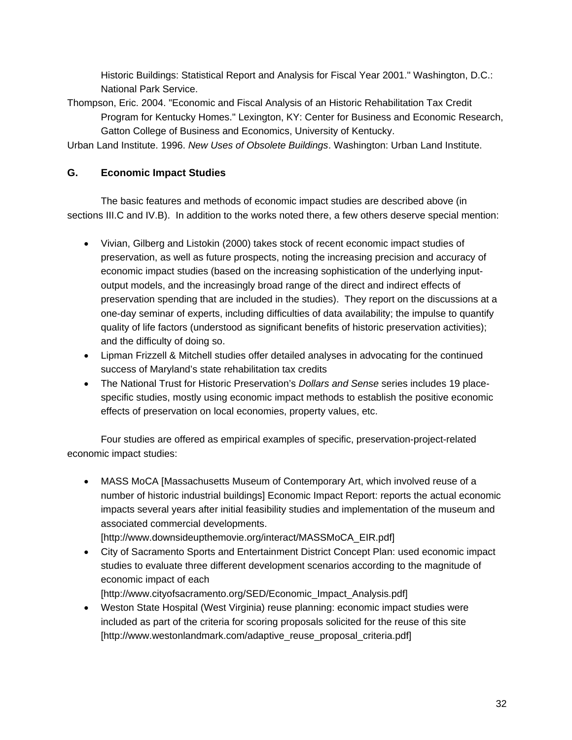Historic Buildings: Statistical Report and Analysis for Fiscal Year 2001." Washington, D.C.: National Park Service.

Thompson, Eric. 2004. "Economic and Fiscal Analysis of an Historic Rehabilitation Tax Credit Program for Kentucky Homes." Lexington, KY: Center for Business and Economic Research, Gatton College of Business and Economics, University of Kentucky.

Urban Land Institute. 1996. *New Uses of Obsolete Buildings*. Washington: Urban Land Institute.

# **G. Economic Impact Studies**

The basic features and methods of economic impact studies are described above (in sections III.C and IV.B). In addition to the works noted there, a few others deserve special mention:

- Vivian, Gilberg and Listokin (2000) takes stock of recent economic impact studies of preservation, as well as future prospects, noting the increasing precision and accuracy of economic impact studies (based on the increasing sophistication of the underlying inputoutput models, and the increasingly broad range of the direct and indirect effects of preservation spending that are included in the studies). They report on the discussions at a one-day seminar of experts, including difficulties of data availability; the impulse to quantify quality of life factors (understood as significant benefits of historic preservation activities); and the difficulty of doing so.
- Lipman Frizzell & Mitchell studies offer detailed analyses in advocating for the continued success of Maryland's state rehabilitation tax credits
- The National Trust for Historic Preservation's *Dollars and Sense* series includes 19 placespecific studies, mostly using economic impact methods to establish the positive economic effects of preservation on local economies, property values, etc.

Four studies are offered as empirical examples of specific, preservation-project-related economic impact studies:

• MASS MoCA [Massachusetts Museum of Contemporary Art, which involved reuse of a number of historic industrial buildings] Economic Impact Report: reports the actual economic impacts several years after initial feasibility studies and implementation of the museum and associated commercial developments.

[http://www.downsideupthemovie.org/interact/MASSMoCA\_EIR.pdf] • City of Sacramento Sports and Entertainment District Concept Plan: used economic impact

studies to evaluate three different development scenarios according to the magnitude of economic impact of each

[http://www.cityofsacramento.org/SED/Economic\_Impact\_Analysis.pdf]

• Weston State Hospital (West Virginia) reuse planning: economic impact studies were included as part of the criteria for scoring proposals solicited for the reuse of this site [http://www.westonlandmark.com/adaptive\_reuse\_proposal\_criteria.pdf]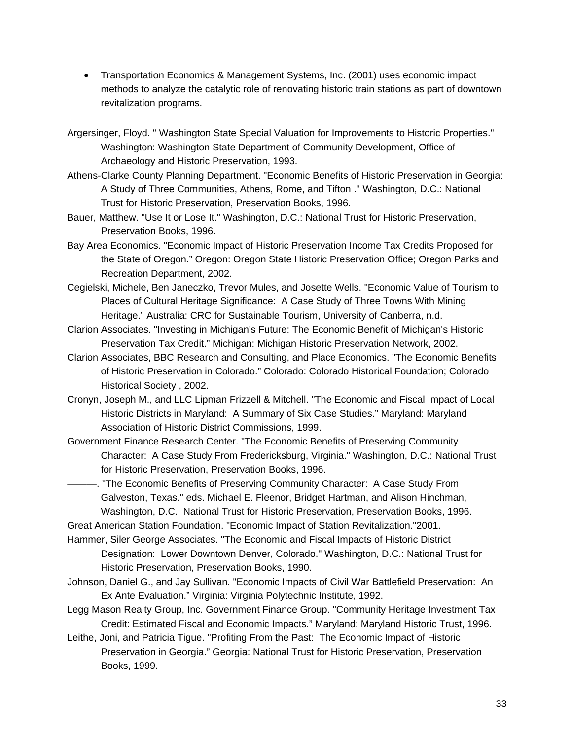- Transportation Economics & Management Systems, Inc. (2001) uses economic impact methods to analyze the catalytic role of renovating historic train stations as part of downtown revitalization programs.
- Argersinger, Floyd. " Washington State Special Valuation for Improvements to Historic Properties." Washington: Washington State Department of Community Development, Office of Archaeology and Historic Preservation, 1993.
- Athens-Clarke County Planning Department. "Economic Benefits of Historic Preservation in Georgia: A Study of Three Communities, Athens, Rome, and Tifton ." Washington, D.C.: National Trust for Historic Preservation, Preservation Books, 1996.
- Bauer, Matthew. "Use It or Lose It." Washington, D.C.: National Trust for Historic Preservation, Preservation Books, 1996.
- Bay Area Economics. "Economic Impact of Historic Preservation Income Tax Credits Proposed for the State of Oregon." Oregon: Oregon State Historic Preservation Office; Oregon Parks and Recreation Department, 2002.
- Cegielski, Michele, Ben Janeczko, Trevor Mules, and Josette Wells. "Economic Value of Tourism to Places of Cultural Heritage Significance: A Case Study of Three Towns With Mining Heritage." Australia: CRC for Sustainable Tourism, University of Canberra, n.d.
- Clarion Associates. "Investing in Michigan's Future: The Economic Benefit of Michigan's Historic Preservation Tax Credit." Michigan: Michigan Historic Preservation Network, 2002.
- Clarion Associates, BBC Research and Consulting, and Place Economics. "The Economic Benefits of Historic Preservation in Colorado." Colorado: Colorado Historical Foundation; Colorado Historical Society , 2002.
- Cronyn, Joseph M., and LLC Lipman Frizzell & Mitchell. "The Economic and Fiscal Impact of Local Historic Districts in Maryland: A Summary of Six Case Studies." Maryland: Maryland Association of Historic District Commissions, 1999.
- Government Finance Research Center. "The Economic Benefits of Preserving Community Character: A Case Study From Fredericksburg, Virginia." Washington, D.C.: National Trust for Historic Preservation, Preservation Books, 1996.

———. "The Economic Benefits of Preserving Community Character: A Case Study From Galveston, Texas." eds. Michael E. Fleenor, Bridget Hartman, and Alison Hinchman, Washington, D.C.: National Trust for Historic Preservation, Preservation Books, 1996.

Great American Station Foundation. "Economic Impact of Station Revitalization."2001.

Hammer, Siler George Associates. "The Economic and Fiscal Impacts of Historic District Designation: Lower Downtown Denver, Colorado." Washington, D.C.: National Trust for Historic Preservation, Preservation Books, 1990.

- Johnson, Daniel G., and Jay Sullivan. "Economic Impacts of Civil War Battlefield Preservation: An Ex Ante Evaluation." Virginia: Virginia Polytechnic Institute, 1992.
- Legg Mason Realty Group, Inc. Government Finance Group. "Community Heritage Investment Tax Credit: Estimated Fiscal and Economic Impacts." Maryland: Maryland Historic Trust, 1996.
- Leithe, Joni, and Patricia Tigue. "Profiting From the Past: The Economic Impact of Historic Preservation in Georgia." Georgia: National Trust for Historic Preservation, Preservation Books, 1999.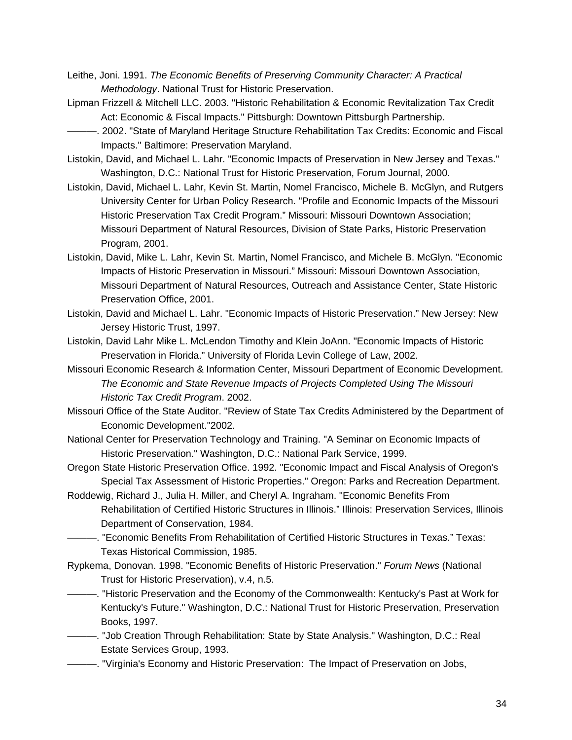- Leithe, Joni. 1991. *The Economic Benefits of Preserving Community Character: A Practical Methodology*. National Trust for Historic Preservation.
- Lipman Frizzell & Mitchell LLC. 2003. "Historic Rehabilitation & Economic Revitalization Tax Credit Act: Economic & Fiscal Impacts." Pittsburgh: Downtown Pittsburgh Partnership.
- ———. 2002. "State of Maryland Heritage Structure Rehabilitation Tax Credits: Economic and Fiscal Impacts." Baltimore: Preservation Maryland.
- Listokin, David, and Michael L. Lahr. "Economic Impacts of Preservation in New Jersey and Texas." Washington, D.C.: National Trust for Historic Preservation, Forum Journal, 2000.
- Listokin, David, Michael L. Lahr, Kevin St. Martin, Nomel Francisco, Michele B. McGlyn, and Rutgers University Center for Urban Policy Research. "Profile and Economic Impacts of the Missouri Historic Preservation Tax Credit Program." Missouri: Missouri Downtown Association; Missouri Department of Natural Resources, Division of State Parks, Historic Preservation Program, 2001.
- Listokin, David, Mike L. Lahr, Kevin St. Martin, Nomel Francisco, and Michele B. McGlyn. "Economic Impacts of Historic Preservation in Missouri." Missouri: Missouri Downtown Association, Missouri Department of Natural Resources, Outreach and Assistance Center, State Historic Preservation Office, 2001.
- Listokin, David and Michael L. Lahr. "Economic Impacts of Historic Preservation." New Jersey: New Jersey Historic Trust, 1997.
- Listokin, David Lahr Mike L. McLendon Timothy and Klein JoAnn. "Economic Impacts of Historic Preservation in Florida." University of Florida Levin College of Law, 2002.
- Missouri Economic Research & Information Center, Missouri Department of Economic Development. *The Economic and State Revenue Impacts of Projects Completed Using The Missouri Historic Tax Credit Program*. 2002.
- Missouri Office of the State Auditor. "Review of State Tax Credits Administered by the Department of Economic Development."2002.
- National Center for Preservation Technology and Training. "A Seminar on Economic Impacts of Historic Preservation." Washington, D.C.: National Park Service, 1999.
- Oregon State Historic Preservation Office. 1992. "Economic Impact and Fiscal Analysis of Oregon's Special Tax Assessment of Historic Properties." Oregon: Parks and Recreation Department.
- Roddewig, Richard J., Julia H. Miller, and Cheryl A. Ingraham. "Economic Benefits From Rehabilitation of Certified Historic Structures in Illinois." Illinois: Preservation Services, Illinois Department of Conservation, 1984.
- ———. "Economic Benefits From Rehabilitation of Certified Historic Structures in Texas." Texas: Texas Historical Commission, 1985.
- Rypkema, Donovan. 1998. "Economic Benefits of Historic Preservation." *Forum News* (National Trust for Historic Preservation), v.4, n.5.
- ———. "Historic Preservation and the Economy of the Commonwealth: Kentucky's Past at Work for Kentucky's Future." Washington, D.C.: National Trust for Historic Preservation, Preservation Books, 1997.
- ———. "Job Creation Through Rehabilitation: State by State Analysis." Washington, D.C.: Real Estate Services Group, 1993.
- ———. "Virginia's Economy and Historic Preservation: The Impact of Preservation on Jobs,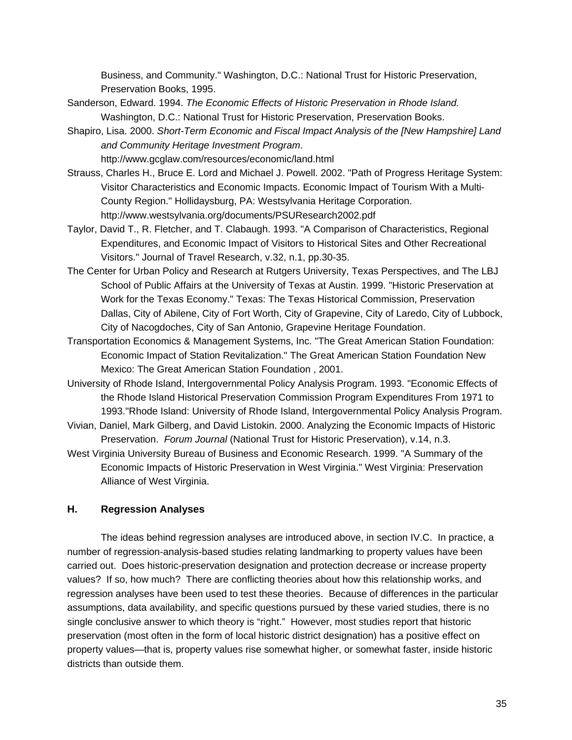Business, and Community." Washington, D.C.: National Trust for Historic Preservation, Preservation Books, 1995.

- Sanderson, Edward. 1994. *The Economic Effects of Historic Preservation in Rhode Island.* Washington, D.C.: National Trust for Historic Preservation, Preservation Books.
- Shapiro, Lisa. 2000. *Short-Term Economic and Fiscal Impact Analysis of the [New Hampshire] Land and Community Heritage Investment Program*.
	- http://www.gcglaw.com/resources/economic/land.html
- Strauss, Charles H., Bruce E. Lord and Michael J. Powell. 2002. "Path of Progress Heritage System: Visitor Characteristics and Economic Impacts. Economic Impact of Tourism With a Multi-County Region." Hollidaysburg, PA: Westsylvania Heritage Corporation. http://www.westsylvania.org/documents/PSUResearch2002.pdf
- Taylor, David T., R. Fletcher, and T. Clabaugh. 1993. "A Comparison of Characteristics, Regional Expenditures, and Economic Impact of Visitors to Historical Sites and Other Recreational Visitors." Journal of Travel Research, v.32, n.1, pp.30-35.
- The Center for Urban Policy and Research at Rutgers University, Texas Perspectives, and The LBJ School of Public Affairs at the University of Texas at Austin. 1999. "Historic Preservation at Work for the Texas Economy." Texas: The Texas Historical Commission, Preservation Dallas, City of Abilene, City of Fort Worth, City of Grapevine, City of Laredo, City of Lubbock, City of Nacogdoches, City of San Antonio, Grapevine Heritage Foundation.
- Transportation Economics & Management Systems, Inc. "The Great American Station Foundation: Economic Impact of Station Revitalization." The Great American Station Foundation New Mexico: The Great American Station Foundation , 2001.
- University of Rhode Island, Intergovernmental Policy Analysis Program. 1993. "Economic Effects of the Rhode Island Historical Preservation Commission Program Expenditures From 1971 to 1993."Rhode Island: University of Rhode Island, Intergovernmental Policy Analysis Program.
- Vivian, Daniel, Mark Gilberg, and David Listokin. 2000. Analyzing the Economic Impacts of Historic Preservation. *Forum Journal* (National Trust for Historic Preservation), v.14, n.3.
- West Virginia University Bureau of Business and Economic Research. 1999. "A Summary of the Economic Impacts of Historic Preservation in West Virginia." West Virginia: Preservation Alliance of West Virginia.

# **H. Regression Analyses**

The ideas behind regression analyses are introduced above, in section IV.C. In practice, a number of regression-analysis-based studies relating landmarking to property values have been carried out. Does historic-preservation designation and protection decrease or increase property values? If so, how much? There are conflicting theories about how this relationship works, and regression analyses have been used to test these theories. Because of differences in the particular assumptions, data availability, and specific questions pursued by these varied studies, there is no single conclusive answer to which theory is "right." However, most studies report that historic preservation (most often in the form of local historic district designation) has a positive effect on property values—that is, property values rise somewhat higher, or somewhat faster, inside historic districts than outside them.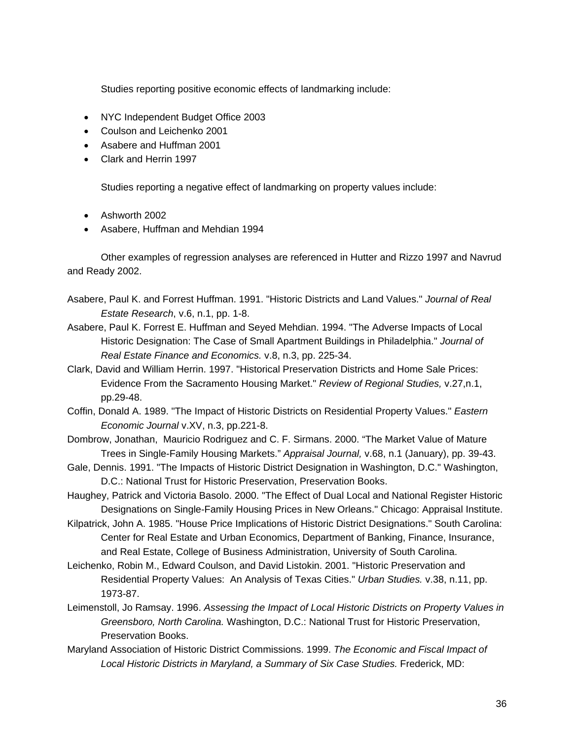Studies reporting positive economic effects of landmarking include:

- NYC Independent Budget Office 2003
- Coulson and Leichenko 2001
- Asabere and Huffman 2001
- Clark and Herrin 1997

Studies reporting a negative effect of landmarking on property values include:

- Ashworth 2002
- Asabere, Huffman and Mehdian 1994

Other examples of regression analyses are referenced in Hutter and Rizzo 1997 and Navrud and Ready 2002.

- Asabere, Paul K. and Forrest Huffman. 1991. "Historic Districts and Land Values." *Journal of Real Estate Research*, v.6, n.1, pp. 1-8.
- Asabere, Paul K. Forrest E. Huffman and Seyed Mehdian. 1994. "The Adverse Impacts of Local Historic Designation: The Case of Small Apartment Buildings in Philadelphia." *Journal of Real Estate Finance and Economics.* v.8, n.3, pp. 225-34.
- Clark, David and William Herrin. 1997. "Historical Preservation Districts and Home Sale Prices: Evidence From the Sacramento Housing Market." *Review of Regional Studies,* v.27,n.1, pp.29-48.
- Coffin, Donald A. 1989. "The Impact of Historic Districts on Residential Property Values." *Eastern Economic Journal* v.XV, n.3, pp.221-8.
- Dombrow, Jonathan, Mauricio Rodriguez and C. F. Sirmans. 2000. "The Market Value of Mature Trees in Single-Family Housing Markets." *Appraisal Journal,* v.68, n.1 (January), pp. 39-43.
- Gale, Dennis. 1991. "The Impacts of Historic District Designation in Washington, D.C." Washington, D.C.: National Trust for Historic Preservation, Preservation Books.

Haughey, Patrick and Victoria Basolo. 2000. "The Effect of Dual Local and National Register Historic Designations on Single-Family Housing Prices in New Orleans." Chicago: Appraisal Institute.

- Kilpatrick, John A. 1985. "House Price Implications of Historic District Designations." South Carolina: Center for Real Estate and Urban Economics, Department of Banking, Finance, Insurance, and Real Estate, College of Business Administration, University of South Carolina.
- Leichenko, Robin M., Edward Coulson, and David Listokin. 2001. "Historic Preservation and Residential Property Values: An Analysis of Texas Cities." *Urban Studies.* v.38, n.11, pp. 1973-87.
- Leimenstoll, Jo Ramsay. 1996. *Assessing the Impact of Local Historic Districts on Property Values in Greensboro, North Carolina.* Washington, D.C.: National Trust for Historic Preservation, Preservation Books.
- Maryland Association of Historic District Commissions. 1999. *The Economic and Fiscal Impact of Local Historic Districts in Maryland, a Summary of Six Case Studies.* Frederick, MD: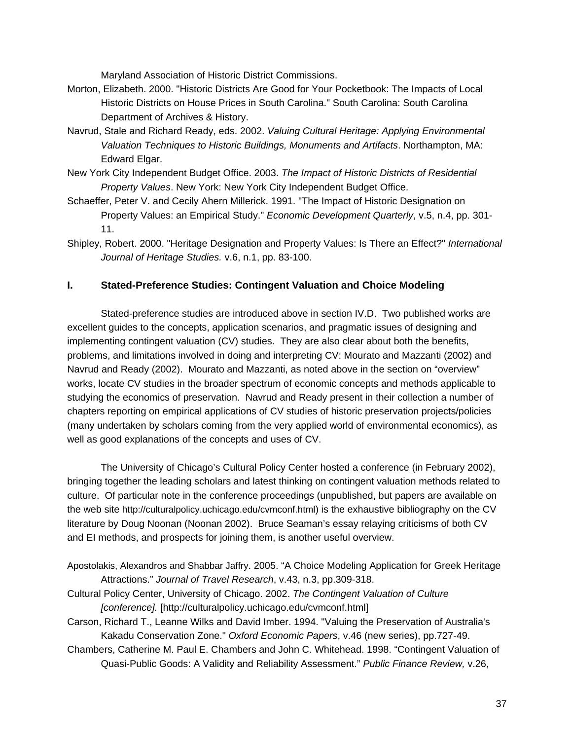Maryland Association of Historic District Commissions.

- Morton, Elizabeth. 2000. "Historic Districts Are Good for Your Pocketbook: The Impacts of Local Historic Districts on House Prices in South Carolina." South Carolina: South Carolina Department of Archives & History.
- Navrud, Stale and Richard Ready, eds. 2002. *Valuing Cultural Heritage: Applying Environmental Valuation Techniques to Historic Buildings, Monuments and Artifacts*. Northampton, MA: Edward Elgar.
- New York City Independent Budget Office. 2003. *The Impact of Historic Districts of Residential Property Values*. New York: New York City Independent Budget Office.
- Schaeffer, Peter V. and Cecily Ahern Millerick. 1991. "The Impact of Historic Designation on Property Values: an Empirical Study." *Economic Development Quarterly*, v.5, n.4, pp. 301- 11.
- Shipley, Robert. 2000. "Heritage Designation and Property Values: Is There an Effect?" *International Journal of Heritage Studies.* v.6, n.1, pp. 83-100.

# **I. Stated-Preference Studies: Contingent Valuation and Choice Modeling**

Stated-preference studies are introduced above in section IV.D. Two published works are excellent guides to the concepts, application scenarios, and pragmatic issues of designing and implementing contingent valuation (CV) studies. They are also clear about both the benefits, problems, and limitations involved in doing and interpreting CV: Mourato and Mazzanti (2002) and Navrud and Ready (2002). Mourato and Mazzanti, as noted above in the section on "overview" works, locate CV studies in the broader spectrum of economic concepts and methods applicable to studying the economics of preservation. Navrud and Ready present in their collection a number of chapters reporting on empirical applications of CV studies of historic preservation projects/policies (many undertaken by scholars coming from the very applied world of environmental economics), as well as good explanations of the concepts and uses of CV.

The University of Chicago's Cultural Policy Center hosted a conference (in February 2002), bringing together the leading scholars and latest thinking on contingent valuation methods related to culture. Of particular note in the conference proceedings (unpublished, but papers are available on the web site http://culturalpolicy.uchicago.edu/cvmconf.html) is the exhaustive bibliography on the CV literature by Doug Noonan (Noonan 2002). Bruce Seaman's essay relaying criticisms of both CV and EI methods, and prospects for joining them, is another useful overview.

- Apostolakis, Alexandros and Shabbar Jaffry. 2005. "A Choice Modeling Application for Greek Heritage Attractions." *Journal of Travel Research*, v.43, n.3, pp.309-318.
- Cultural Policy Center, University of Chicago. 2002. *The Contingent Valuation of Culture [conference].* [http://culturalpolicy.uchicago.edu/cvmconf.html]
- Carson, Richard T., Leanne Wilks and David Imber. 1994. "Valuing the Preservation of Australia's Kakadu Conservation Zone." *Oxford Economic Papers*, v.46 (new series), pp.727-49.
- Chambers, Catherine M. Paul E. Chambers and John C. Whitehead. 1998. "Contingent Valuation of Quasi-Public Goods: A Validity and Reliability Assessment." *Public Finance Review,* v.26,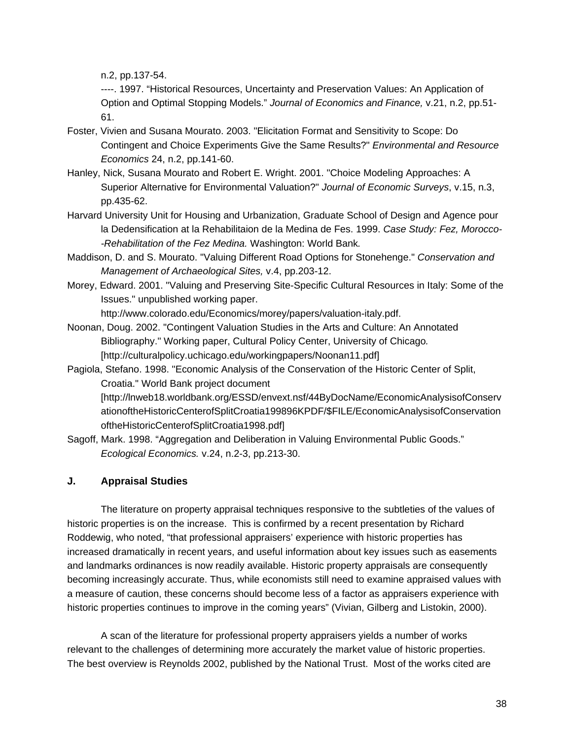n.2, pp.137-54.

 ----. 1997. "Historical Resources, Uncertainty and Preservation Values: An Application of Option and Optimal Stopping Models." *Journal of Economics and Finance,* v.21, n.2, pp.51- 61.

- Foster, Vivien and Susana Mourato. 2003. "Elicitation Format and Sensitivity to Scope: Do Contingent and Choice Experiments Give the Same Results?" *Environmental and Resource Economics* 24, n.2, pp.141-60.
- Hanley, Nick, Susana Mourato and Robert E. Wright. 2001. "Choice Modeling Approaches: A Superior Alternative for Environmental Valuation?" *Journal of Economic Surveys*, v.15, n.3, pp.435-62.
- Harvard University Unit for Housing and Urbanization, Graduate School of Design and Agence pour la Dedensification at la Rehabilitaion de la Medina de Fes. 1999. *Case Study: Fez, Morocco- -Rehabilitation of the Fez Medina.* Washington: World Bank*.*
- Maddison, D. and S. Mourato. "Valuing Different Road Options for Stonehenge." *Conservation and Management of Archaeological Sites,* v.4, pp.203-12.
- Morey, Edward. 2001. "Valuing and Preserving Site-Specific Cultural Resources in Italy: Some of the Issues." unpublished working paper.

http://www.colorado.edu/Economics/morey/papers/valuation-italy.pdf.

- Noonan, Doug. 2002. "Contingent Valuation Studies in the Arts and Culture: An Annotated Bibliography." Working paper, Cultural Policy Center, University of Chicago*.*  [http://culturalpolicy.uchicago.edu/workingpapers/Noonan11.pdf]
- Pagiola, Stefano. 1998. "Economic Analysis of the Conservation of the Historic Center of Split, Croatia." World Bank project document

[http://lnweb18.worldbank.org/ESSD/envext.nsf/44ByDocName/EconomicAnalysisofConserv ationoftheHistoricCenterofSplitCroatia199896KPDF/\$FILE/EconomicAnalysisofConservation oftheHistoricCenterofSplitCroatia1998.pdf]

Sagoff, Mark. 1998. "Aggregation and Deliberation in Valuing Environmental Public Goods." *Ecological Economics.* v.24, n.2-3, pp.213-30.

## **J. Appraisal Studies**

The literature on property appraisal techniques responsive to the subtleties of the values of historic properties is on the increase. This is confirmed by a recent presentation by Richard Roddewig, who noted, "that professional appraisers' experience with historic properties has increased dramatically in recent years, and useful information about key issues such as easements and landmarks ordinances is now readily available. Historic property appraisals are consequently becoming increasingly accurate. Thus, while economists still need to examine appraised values with a measure of caution, these concerns should become less of a factor as appraisers experience with historic properties continues to improve in the coming years" (Vivian, Gilberg and Listokin, 2000).

A scan of the literature for professional property appraisers yields a number of works relevant to the challenges of determining more accurately the market value of historic properties. The best overview is Reynolds 2002, published by the National Trust. Most of the works cited are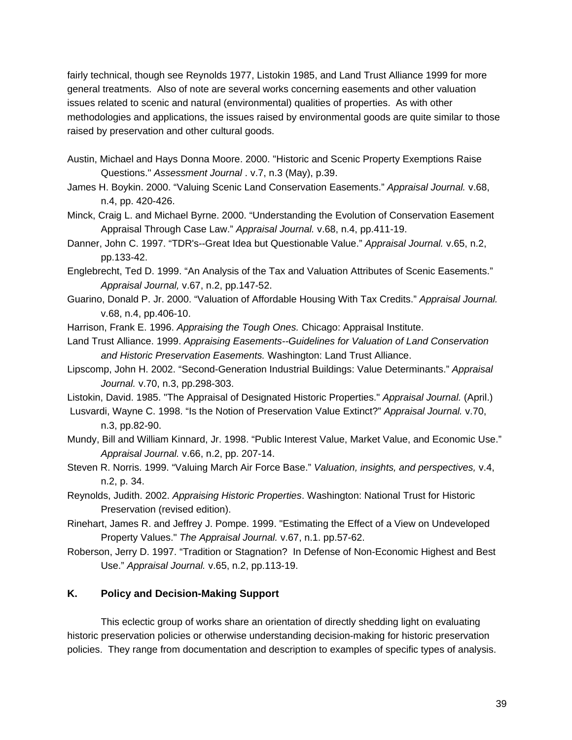fairly technical, though see Reynolds 1977, Listokin 1985, and Land Trust Alliance 1999 for more general treatments. Also of note are several works concerning easements and other valuation issues related to scenic and natural (environmental) qualities of properties. As with other methodologies and applications, the issues raised by environmental goods are quite similar to those raised by preservation and other cultural goods.

- Austin, Michael and Hays Donna Moore. 2000. "Historic and Scenic Property Exemptions Raise Questions." *Assessment Journal* . v.7, n.3 (May), p.39.
- James H. Boykin. 2000. "Valuing Scenic Land Conservation Easements." *Appraisal Journal.* v.68, n.4, pp. 420-426.
- Minck, Craig L. and Michael Byrne. 2000. "Understanding the Evolution of Conservation Easement Appraisal Through Case Law." *Appraisal Journal.* v.68, n.4, pp.411-19.
- Danner, John C. 1997. "TDR's--Great Idea but Questionable Value." *Appraisal Journal.* v.65, n.2, pp.133-42.
- Englebrecht, Ted D. 1999. "An Analysis of the Tax and Valuation Attributes of Scenic Easements." *Appraisal Journal,* v.67, n.2, pp.147-52.
- Guarino, Donald P. Jr. 2000. "Valuation of Affordable Housing With Tax Credits." *Appraisal Journal.* v.68, n.4, pp.406-10.
- Harrison, Frank E. 1996. *Appraising the Tough Ones.* Chicago: Appraisal Institute.
- Land Trust Alliance. 1999. *Appraising Easements--Guidelines for Valuation of Land Conservation and Historic Preservation Easements.* Washington: Land Trust Alliance.
- Lipscomp, John H. 2002. "Second-Generation Industrial Buildings: Value Determinants." *Appraisal Journal.* v.70, n.3, pp.298-303.
- Listokin, David. 1985. "The Appraisal of Designated Historic Properties." *Appraisal Journal.* (April.)
- Lusvardi, Wayne C. 1998. "Is the Notion of Preservation Value Extinct?" *Appraisal Journal.* v.70, n.3, pp.82-90.
- Mundy, Bill and William Kinnard, Jr. 1998. "Public Interest Value, Market Value, and Economic Use." *Appraisal Journal.* v.66, n.2, pp. 207-14.
- Steven R. Norris. 1999. "Valuing March Air Force Base." *Valuation, insights, and perspectives,* v.4, n.2, p. 34.
- Reynolds, Judith. 2002. *Appraising Historic Properties*. Washington: National Trust for Historic Preservation (revised edition).
- Rinehart, James R. and Jeffrey J. Pompe. 1999. "Estimating the Effect of a View on Undeveloped Property Values." *The Appraisal Journal.* v.67, n.1. pp.57-62.
- Roberson, Jerry D. 1997. "Tradition or Stagnation? In Defense of Non-Economic Highest and Best Use." *Appraisal Journal.* v.65, n.2, pp.113-19.

## **K. Policy and Decision-Making Support**

This eclectic group of works share an orientation of directly shedding light on evaluating historic preservation policies or otherwise understanding decision-making for historic preservation policies. They range from documentation and description to examples of specific types of analysis.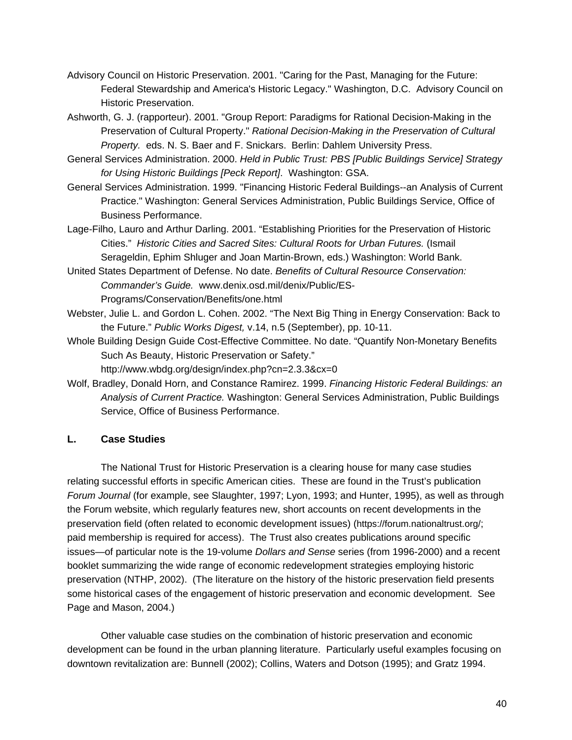- Advisory Council on Historic Preservation. 2001. "Caring for the Past, Managing for the Future: Federal Stewardship and America's Historic Legacy." Washington, D.C. Advisory Council on Historic Preservation.
- Ashworth, G. J. (rapporteur). 2001. "Group Report: Paradigms for Rational Decision-Making in the Preservation of Cultural Property." *Rational Decision-Making in the Preservation of Cultural Property.* eds. N. S. Baer and F. Snickars. Berlin: Dahlem University Press.
- General Services Administration. 2000. *Held in Public Trust: PBS [Public Buildings Service] Strategy for Using Historic Buildings [Peck Report]*. Washington: GSA.
- General Services Administration. 1999. "Financing Historic Federal Buildings--an Analysis of Current Practice." Washington: General Services Administration, Public Buildings Service, Office of Business Performance.
- Lage-Filho, Lauro and Arthur Darling. 2001. "Establishing Priorities for the Preservation of Historic Cities." *Historic Cities and Sacred Sites: Cultural Roots for Urban Futures.* (Ismail Serageldin, Ephim Shluger and Joan Martin-Brown, eds.) Washington: World Bank.
- United States Department of Defense. No date. *Benefits of Cultural Resource Conservation: Commander's Guide.* www.denix.osd.mil/denix/Public/ES-Programs/Conservation/Benefits/one.html
- Webster, Julie L. and Gordon L. Cohen. 2002. "The Next Big Thing in Energy Conservation: Back to the Future." *Public Works Digest,* v.14, n.5 (September), pp. 10-11.
- Whole Building Design Guide Cost-Effective Committee. No date. "Quantify Non-Monetary Benefits Such As Beauty, Historic Preservation or Safety."

http://www.wbdg.org/design/index.php?cn=2.3.3&cx=0

Wolf, Bradley, Donald Horn, and Constance Ramirez. 1999. *Financing Historic Federal Buildings: an Analysis of Current Practice.* Washington: General Services Administration, Public Buildings Service, Office of Business Performance.

## **L. Case Studies**

The National Trust for Historic Preservation is a clearing house for many case studies relating successful efforts in specific American cities. These are found in the Trust's publication *Forum Journal* (for example, see Slaughter, 1997; Lyon, 1993; and Hunter, 1995), as well as through the Forum website, which regularly features new, short accounts on recent developments in the preservation field (often related to economic development issues) (https://forum.nationaltrust.org/; paid membership is required for access). The Trust also creates publications around specific issues—of particular note is the 19-volume *Dollars and Sense* series (from 1996-2000) and a recent booklet summarizing the wide range of economic redevelopment strategies employing historic preservation (NTHP, 2002). (The literature on the history of the historic preservation field presents some historical cases of the engagement of historic preservation and economic development. See Page and Mason, 2004.)

Other valuable case studies on the combination of historic preservation and economic development can be found in the urban planning literature. Particularly useful examples focusing on downtown revitalization are: Bunnell (2002); Collins, Waters and Dotson (1995); and Gratz 1994.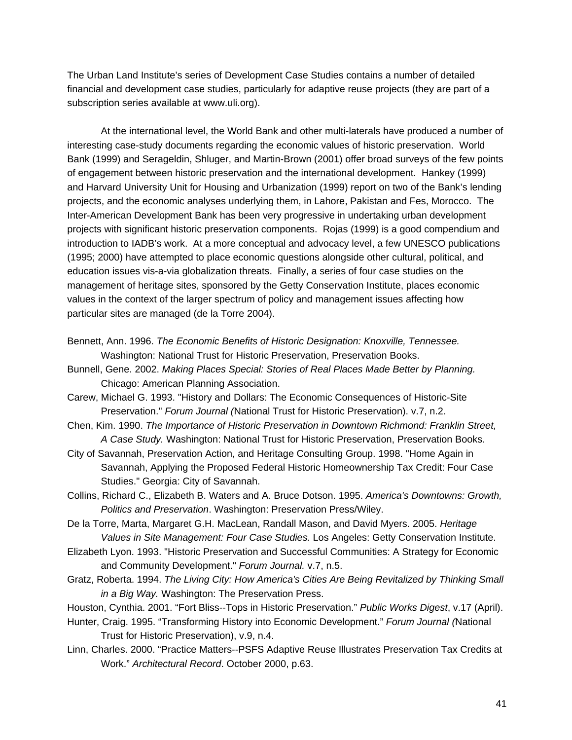The Urban Land Institute's series of Development Case Studies contains a number of detailed financial and development case studies, particularly for adaptive reuse projects (they are part of a subscription series available at www.uli.org).

At the international level, the World Bank and other multi-laterals have produced a number of interesting case-study documents regarding the economic values of historic preservation. World Bank (1999) and Serageldin, Shluger, and Martin-Brown (2001) offer broad surveys of the few points of engagement between historic preservation and the international development. Hankey (1999) and Harvard University Unit for Housing and Urbanization (1999) report on two of the Bank's lending projects, and the economic analyses underlying them, in Lahore, Pakistan and Fes, Morocco. The Inter-American Development Bank has been very progressive in undertaking urban development projects with significant historic preservation components. Rojas (1999) is a good compendium and introduction to IADB's work. At a more conceptual and advocacy level, a few UNESCO publications (1995; 2000) have attempted to place economic questions alongside other cultural, political, and education issues vis-a-via globalization threats. Finally, a series of four case studies on the management of heritage sites, sponsored by the Getty Conservation Institute, places economic values in the context of the larger spectrum of policy and management issues affecting how particular sites are managed (de la Torre 2004).

- Bennett, Ann. 1996. *The Economic Benefits of Historic Designation: Knoxville, Tennessee.* Washington: National Trust for Historic Preservation, Preservation Books.
- Bunnell, Gene. 2002. *Making Places Special: Stories of Real Places Made Better by Planning.* Chicago: American Planning Association.
- Carew, Michael G. 1993. "History and Dollars: The Economic Consequences of Historic-Site Preservation." *Forum Journal (*National Trust for Historic Preservation). v.7, n.2.
- Chen, Kim. 1990. *The Importance of Historic Preservation in Downtown Richmond: Franklin Street, A Case Study.* Washington: National Trust for Historic Preservation, Preservation Books.
- City of Savannah, Preservation Action, and Heritage Consulting Group. 1998. "Home Again in Savannah, Applying the Proposed Federal Historic Homeownership Tax Credit: Four Case Studies." Georgia: City of Savannah.
- Collins, Richard C., Elizabeth B. Waters and A. Bruce Dotson. 1995. *America's Downtowns: Growth, Politics and Preservation*. Washington: Preservation Press/Wiley.
- De la Torre, Marta, Margaret G.H. MacLean, Randall Mason, and David Myers. 2005. *Heritage Values in Site Management: Four Case Studies.* Los Angeles: Getty Conservation Institute.
- Elizabeth Lyon. 1993. "Historic Preservation and Successful Communities: A Strategy for Economic and Community Development." *Forum Journal.* v.7, n.5.
- Gratz, Roberta. 1994. *The Living City: How America's Cities Are Being Revitalized by Thinking Small in a Big Way.* Washington: The Preservation Press.
- Houston, Cynthia. 2001. "Fort Bliss--Tops in Historic Preservation." *Public Works Digest*, v.17 (April).
- Hunter, Craig. 1995. "Transforming History into Economic Development." *Forum Journal (*National Trust for Historic Preservation), v.9, n.4.
- Linn, Charles. 2000. "Practice Matters--PSFS Adaptive Reuse Illustrates Preservation Tax Credits at Work." *Architectural Record*. October 2000, p.63.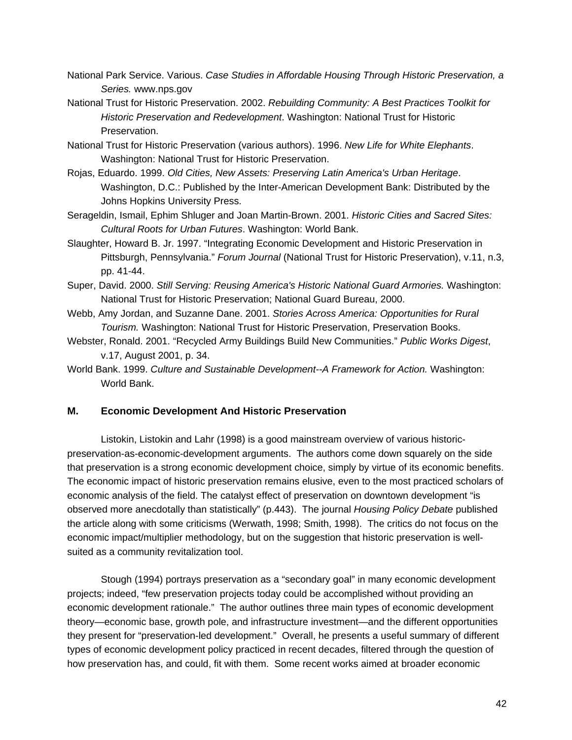- National Park Service. Various. *Case Studies in Affordable Housing Through Historic Preservation, a Series.* www.nps.gov
- National Trust for Historic Preservation. 2002. *Rebuilding Community: A Best Practices Toolkit for Historic Preservation and Redevelopment*. Washington: National Trust for Historic Preservation.
- National Trust for Historic Preservation (various authors). 1996. *New Life for White Elephants*. Washington: National Trust for Historic Preservation.
- Rojas, Eduardo. 1999. *Old Cities, New Assets: Preserving Latin America's Urban Heritage*. Washington, D.C.: Published by the Inter-American Development Bank: Distributed by the Johns Hopkins University Press.
- Serageldin, Ismail, Ephim Shluger and Joan Martin-Brown. 2001. *Historic Cities and Sacred Sites: Cultural Roots for Urban Futures*. Washington: World Bank.
- Slaughter, Howard B. Jr. 1997. "Integrating Economic Development and Historic Preservation in Pittsburgh, Pennsylvania." *Forum Journal* (National Trust for Historic Preservation), v.11, n.3, pp. 41-44.
- Super, David. 2000. *Still Serving: Reusing America's Historic National Guard Armories.* Washington: National Trust for Historic Preservation; National Guard Bureau, 2000.
- Webb, Amy Jordan, and Suzanne Dane. 2001. *Stories Across America: Opportunities for Rural Tourism.* Washington: National Trust for Historic Preservation, Preservation Books.
- Webster, Ronald. 2001. "Recycled Army Buildings Build New Communities." *Public Works Digest*, v.17, August 2001, p. 34.
- World Bank. 1999. *Culture and Sustainable Development--A Framework for Action.* Washington: World Bank.

# **M. Economic Development And Historic Preservation**

Listokin, Listokin and Lahr (1998) is a good mainstream overview of various historicpreservation-as-economic-development arguments. The authors come down squarely on the side that preservation is a strong economic development choice, simply by virtue of its economic benefits. The economic impact of historic preservation remains elusive, even to the most practiced scholars of economic analysis of the field. The catalyst effect of preservation on downtown development "is observed more anecdotally than statistically" (p.443). The journal *Housing Policy Debate* published the article along with some criticisms (Werwath, 1998; Smith, 1998). The critics do not focus on the economic impact/multiplier methodology, but on the suggestion that historic preservation is wellsuited as a community revitalization tool.

Stough (1994) portrays preservation as a "secondary goal" in many economic development projects; indeed, "few preservation projects today could be accomplished without providing an economic development rationale." The author outlines three main types of economic development theory—economic base, growth pole, and infrastructure investment—and the different opportunities they present for "preservation-led development." Overall, he presents a useful summary of different types of economic development policy practiced in recent decades, filtered through the question of how preservation has, and could, fit with them. Some recent works aimed at broader economic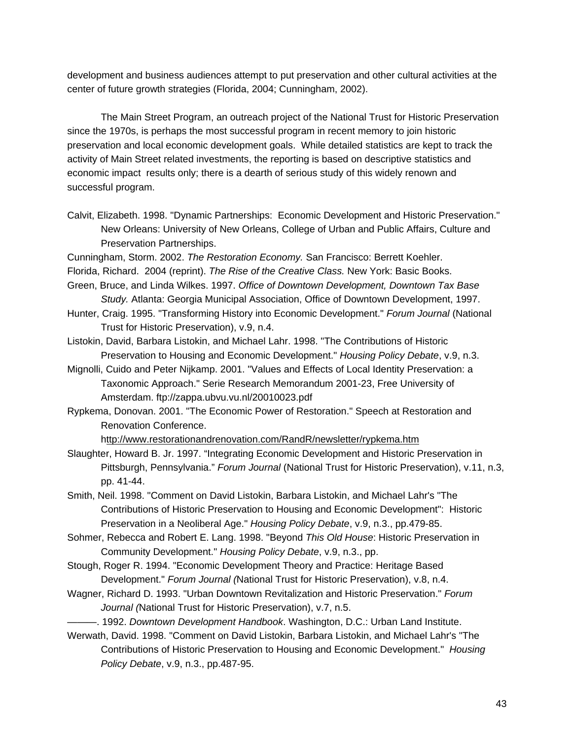development and business audiences attempt to put preservation and other cultural activities at the center of future growth strategies (Florida, 2004; Cunningham, 2002).

The Main Street Program, an outreach project of the National Trust for Historic Preservation since the 1970s, is perhaps the most successful program in recent memory to join historic preservation and local economic development goals. While detailed statistics are kept to track the activity of Main Street related investments, the reporting is based on descriptive statistics and economic impact results only; there is a dearth of serious study of this widely renown and successful program.

- Calvit, Elizabeth. 1998. "Dynamic Partnerships: Economic Development and Historic Preservation." New Orleans: University of New Orleans, College of Urban and Public Affairs, Culture and Preservation Partnerships.
- Cunningham, Storm. 2002. *The Restoration Economy.* San Francisco: Berrett Koehler.
- Florida, Richard. 2004 (reprint). *The Rise of the Creative Class.* New York: Basic Books.
- Green, Bruce, and Linda Wilkes. 1997. *Office of Downtown Development, Downtown Tax Base Study.* Atlanta: Georgia Municipal Association, Office of Downtown Development, 1997.
- Hunter, Craig. 1995. "Transforming History into Economic Development." *Forum Journal* (National Trust for Historic Preservation), v.9, n.4.
- Listokin, David, Barbara Listokin, and Michael Lahr. 1998. "The Contributions of Historic Preservation to Housing and Economic Development." *Housing Policy Debate*, v.9, n.3.
- Mignolli, Cuido and Peter Nijkamp. 2001. "Values and Effects of Local Identity Preservation: a Taxonomic Approach." Serie Research Memorandum 2001-23, Free University of Amsterdam. ftp://zappa.ubvu.vu.nl/20010023.pdf
- Rypkema, Donovan. 2001. "The Economic Power of Restoration." Speech at Restoration and Renovation Conference.

http://www.restorationandrenovation.com/RandR/newsletter/rypkema.htm

Slaughter, Howard B. Jr. 1997. "Integrating Economic Development and Historic Preservation in Pittsburgh, Pennsylvania." *Forum Journal* (National Trust for Historic Preservation), v.11, n.3, pp. 41-44.

- Smith, Neil. 1998. "Comment on David Listokin, Barbara Listokin, and Michael Lahr's "The Contributions of Historic Preservation to Housing and Economic Development": Historic Preservation in a Neoliberal Age." *Housing Policy Debate*, v.9, n.3., pp.479-85.
- Sohmer, Rebecca and Robert E. Lang. 1998. "Beyond *This Old House*: Historic Preservation in Community Development." *Housing Policy Debate*, v.9, n.3., pp.
- Stough, Roger R. 1994. "Economic Development Theory and Practice: Heritage Based Development." *Forum Journal (*National Trust for Historic Preservation), v.8, n.4.
- Wagner, Richard D. 1993. "Urban Downtown Revitalization and Historic Preservation." *Forum Journal (*National Trust for Historic Preservation), v.7, n.5.
- ———. 1992. *Downtown Development Handbook*. Washington, D.C.: Urban Land Institute.
- Werwath, David. 1998. "Comment on David Listokin, Barbara Listokin, and Michael Lahr's "The Contributions of Historic Preservation to Housing and Economic Development." *Housing Policy Debate*, v.9, n.3., pp.487-95.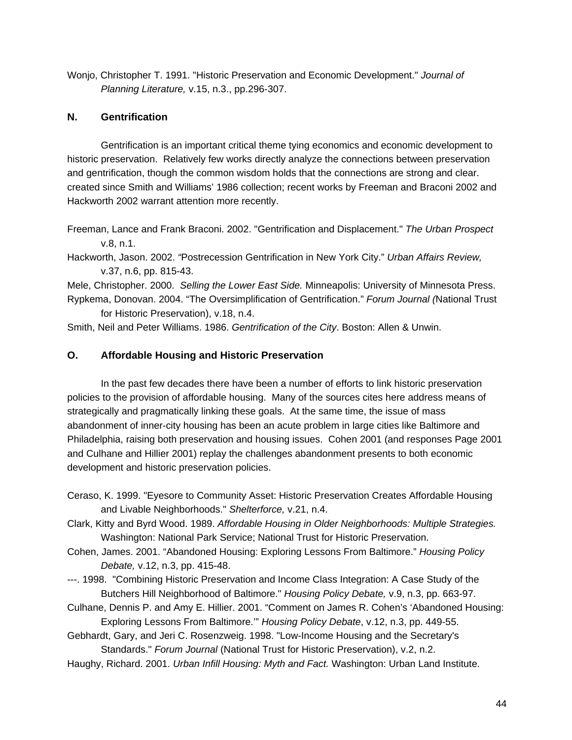Wonjo, Christopher T. 1991. "Historic Preservation and Economic Development." *Journal of Planning Literature,* v.15, n.3., pp.296-307.

## **N. Gentrification**

Gentrification is an important critical theme tying economics and economic development to historic preservation. Relatively few works directly analyze the connections between preservation and gentrification, though the common wisdom holds that the connections are strong and clear. created since Smith and Williams' 1986 collection; recent works by Freeman and Braconi 2002 and Hackworth 2002 warrant attention more recently.

Freeman, Lance and Frank Braconi. 2002. "Gentrification and Displacement." *The Urban Prospect* v.8, n.1.

Hackworth, Jason. 2002. *"*Postrecession Gentrification in New York City." *Urban Affairs Review,*  v.37, n.6, pp. 815-43.

Mele, Christopher. 2000. *Selling the Lower East Side.* Minneapolis: University of Minnesota Press. Rypkema, Donovan. 2004. "The Oversimplification of Gentrification." *Forum Journal (*National Trust

for Historic Preservation), v.18, n.4.

Smith, Neil and Peter Williams. 1986. *Gentrification of the City*. Boston: Allen & Unwin.

### **O. Affordable Housing and Historic Preservation**

In the past few decades there have been a number of efforts to link historic preservation policies to the provision of affordable housing. Many of the sources cites here address means of strategically and pragmatically linking these goals. At the same time, the issue of mass abandonment of inner-city housing has been an acute problem in large cities like Baltimore and Philadelphia, raising both preservation and housing issues. Cohen 2001 (and responses Page 2001 and Culhane and Hillier 2001) replay the challenges abandonment presents to both economic development and historic preservation policies.

Ceraso, K. 1999. "Eyesore to Community Asset: Historic Preservation Creates Affordable Housing and Livable Neighborhoods." *Shelterforce,* v.21, n.4.

Clark, Kitty and Byrd Wood. 1989. *Affordable Housing in Older Neighborhoods: Multiple Strategies.* Washington: National Park Service; National Trust for Historic Preservation.

- Cohen, James. 2001. "Abandoned Housing: Exploring Lessons From Baltimore." *Housing Policy Debate,* v.12, n.3, pp. 415-48.
- ---. 1998. "Combining Historic Preservation and Income Class Integration: A Case Study of the Butchers Hill Neighborhood of Baltimore." *Housing Policy Debate,* v.9, n.3, pp. 663-97.
- Culhane, Dennis P. and Amy E. Hillier. 2001. "Comment on James R. Cohen's 'Abandoned Housing: Exploring Lessons From Baltimore.'" *Housing Policy Debate*, v.12, n.3, pp. 449-55.

Gebhardt, Gary, and Jeri C. Rosenzweig. 1998. "Low-Income Housing and the Secretary's Standards." *Forum Journal* (National Trust for Historic Preservation), v.2, n.2.

Haughy, Richard. 2001. *Urban Infill Housing: Myth and Fact.* Washington: Urban Land Institute.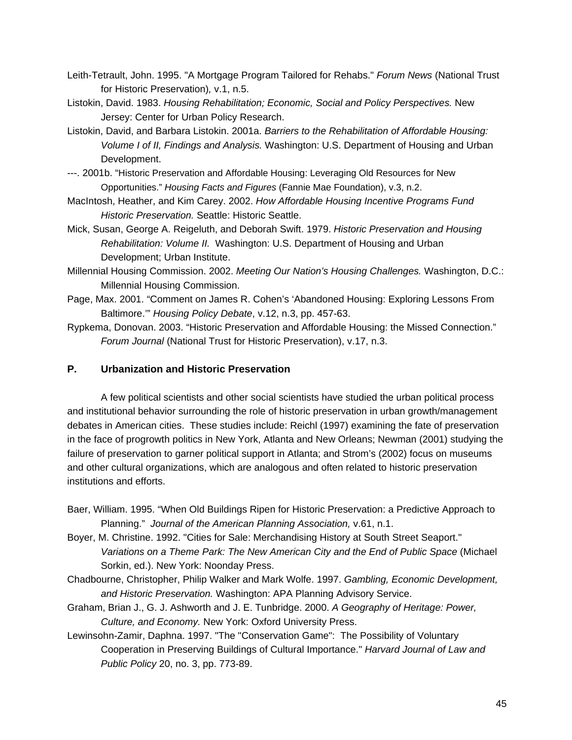- Leith-Tetrault, John. 1995. "A Mortgage Program Tailored for Rehabs." *Forum News* (National Trust for Historic Preservation)*,* v.1, n.5.
- Listokin, David. 1983. *Housing Rehabilitation; Economic, Social and Policy Perspectives.* New Jersey: Center for Urban Policy Research.
- Listokin, David, and Barbara Listokin. 2001a. *Barriers to the Rehabilitation of Affordable Housing: Volume I of II, Findings and Analysis.* Washington: U.S. Department of Housing and Urban Development.
- ---. 2001b. "Historic Preservation and Affordable Housing: Leveraging Old Resources for New Opportunities." *Housing Facts and Figures* (Fannie Mae Foundation), v.3, n.2.
- MacIntosh, Heather, and Kim Carey. 2002. *How Affordable Housing Incentive Programs Fund Historic Preservation.* Seattle: Historic Seattle.
- Mick, Susan, George A. Reigeluth, and Deborah Swift. 1979. *Historic Preservation and Housing Rehabilitation: Volume II.* Washington: U.S. Department of Housing and Urban Development; Urban Institute.
- Millennial Housing Commission. 2002. *Meeting Our Nation's Housing Challenges.* Washington, D.C.: Millennial Housing Commission.
- Page, Max. 2001. "Comment on James R. Cohen's 'Abandoned Housing: Exploring Lessons From Baltimore.'" *Housing Policy Debate*, v.12, n.3, pp. 457-63.
- Rypkema, Donovan. 2003. "Historic Preservation and Affordable Housing: the Missed Connection." *Forum Journal* (National Trust for Historic Preservation), v.17, n.3.

### **P. Urbanization and Historic Preservation**

A few political scientists and other social scientists have studied the urban political process and institutional behavior surrounding the role of historic preservation in urban growth/management debates in American cities. These studies include: Reichl (1997) examining the fate of preservation in the face of progrowth politics in New York, Atlanta and New Orleans; Newman (2001) studying the failure of preservation to garner political support in Atlanta; and Strom's (2002) focus on museums and other cultural organizations, which are analogous and often related to historic preservation institutions and efforts.

- Baer, William. 1995. "When Old Buildings Ripen for Historic Preservation: a Predictive Approach to Planning." *Journal of the American Planning Association,* v.61, n.1.
- Boyer, M. Christine. 1992. "Cities for Sale: Merchandising History at South Street Seaport." *Variations on a Theme Park: The New American City and the End of Public Space* (Michael Sorkin, ed.). New York: Noonday Press.
- Chadbourne, Christopher, Philip Walker and Mark Wolfe. 1997. *Gambling, Economic Development, and Historic Preservation.* Washington: APA Planning Advisory Service.
- Graham, Brian J., G. J. Ashworth and J. E. Tunbridge. 2000. *A Geography of Heritage: Power, Culture, and Economy.* New York: Oxford University Press.
- Lewinsohn-Zamir, Daphna. 1997. "The "Conservation Game": The Possibility of Voluntary Cooperation in Preserving Buildings of Cultural Importance." *Harvard Journal of Law and Public Policy* 20, no. 3, pp. 773-89.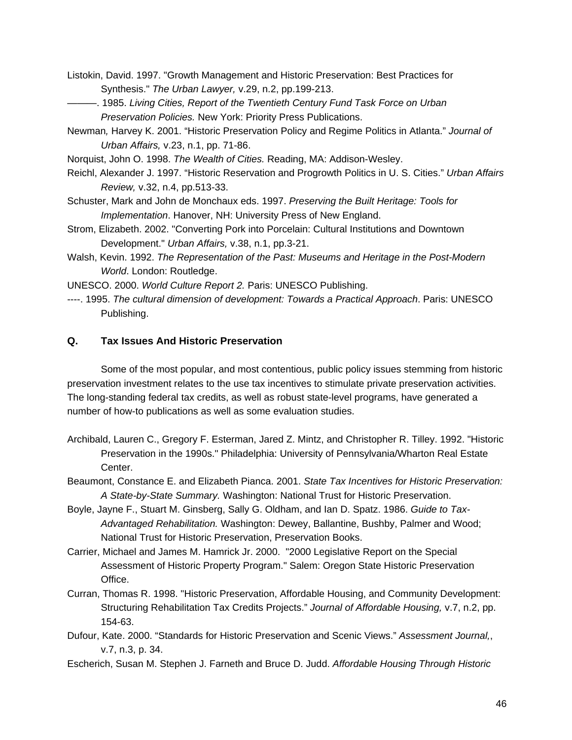- Listokin, David. 1997. "Growth Management and Historic Preservation: Best Practices for Synthesis." *The Urban Lawyer,* v.29, n.2, pp.199-213.
- ———. 1985. *Living Cities, Report of the Twentieth Century Fund Task Force on Urban Preservation Policies.* New York: Priority Press Publications.
- Newman*,* Harvey K. 2001. "Historic Preservation Policy and Regime Politics in Atlanta." *Journal of Urban Affairs,* v.23, n.1, pp. 71-86.
- Norquist, John O. 1998. *The Wealth of Cities.* Reading, MA: Addison-Wesley.
- Reichl, Alexander J. 1997. "Historic Reservation and Progrowth Politics in U. S. Cities." *Urban Affairs Review,* v.32, n.4, pp.513-33.
- Schuster, Mark and John de Monchaux eds. 1997. *Preserving the Built Heritage: Tools for Implementation*. Hanover, NH: University Press of New England.
- Strom, Elizabeth. 2002. "Converting Pork into Porcelain: Cultural Institutions and Downtown Development." *Urban Affairs,* v.38, n.1, pp.3-21.
- Walsh, Kevin. 1992. *The Representation of the Past: Museums and Heritage in the Post-Modern World*. London: Routledge.
- UNESCO. 2000. *World Culture Report 2.* Paris: UNESCO Publishing.
- ----. 1995. *The cultural dimension of development: Towards a Practical Approach*. Paris: UNESCO Publishing.

## **Q. Tax Issues And Historic Preservation**

Some of the most popular, and most contentious, public policy issues stemming from historic preservation investment relates to the use tax incentives to stimulate private preservation activities. The long-standing federal tax credits, as well as robust state-level programs, have generated a number of how-to publications as well as some evaluation studies.

- Archibald, Lauren C., Gregory F. Esterman, Jared Z. Mintz, and Christopher R. Tilley. 1992. "Historic Preservation in the 1990s." Philadelphia: University of Pennsylvania/Wharton Real Estate Center.
- Beaumont, Constance E. and Elizabeth Pianca. 2001. *State Tax Incentives for Historic Preservation: A State-by-State Summary.* Washington: National Trust for Historic Preservation.
- Boyle, Jayne F., Stuart M. Ginsberg, Sally G. Oldham, and Ian D. Spatz. 1986. *Guide to Tax-Advantaged Rehabilitation.* Washington: Dewey, Ballantine, Bushby, Palmer and Wood; National Trust for Historic Preservation, Preservation Books.
- Carrier, Michael and James M. Hamrick Jr. 2000. "2000 Legislative Report on the Special Assessment of Historic Property Program." Salem: Oregon State Historic Preservation Office.
- Curran, Thomas R. 1998. "Historic Preservation, Affordable Housing, and Community Development: Structuring Rehabilitation Tax Credits Projects." *Journal of Affordable Housing,* v.7, n.2, pp. 154-63.
- Dufour, Kate. 2000. "Standards for Historic Preservation and Scenic Views." *Assessment Journal,*, v.7, n.3, p. 34.
- Escherich, Susan M. Stephen J. Farneth and Bruce D. Judd. *Affordable Housing Through Historic*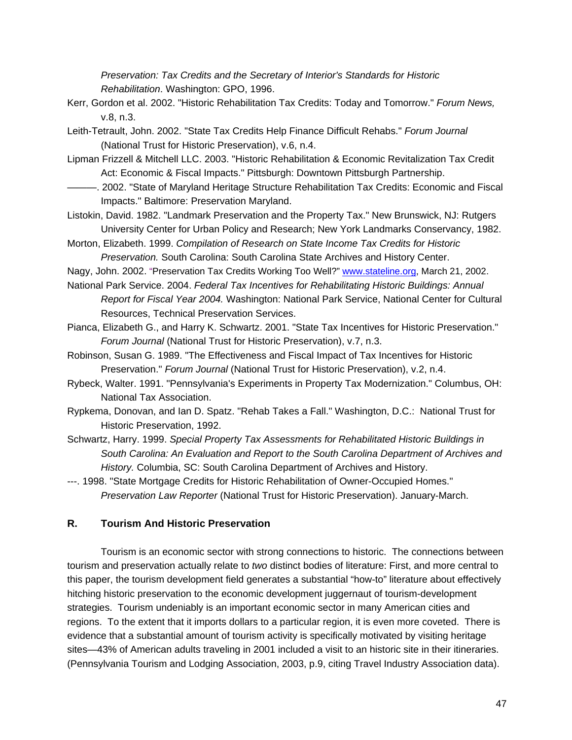*Preservation: Tax Credits and the Secretary of Interior's Standards for Historic Rehabilitation*. Washington: GPO, 1996.

- Kerr, Gordon et al. 2002. "Historic Rehabilitation Tax Credits: Today and Tomorrow." *Forum News,* v.8, n.3.
- Leith-Tetrault, John. 2002. "State Tax Credits Help Finance Difficult Rehabs." *Forum Journal*  (National Trust for Historic Preservation), v.6, n.4.
- Lipman Frizzell & Mitchell LLC. 2003. "Historic Rehabilitation & Economic Revitalization Tax Credit Act: Economic & Fiscal Impacts." Pittsburgh: Downtown Pittsburgh Partnership.
- ———. 2002. "State of Maryland Heritage Structure Rehabilitation Tax Credits: Economic and Fiscal Impacts." Baltimore: Preservation Maryland.
- Listokin, David. 1982. "Landmark Preservation and the Property Tax." New Brunswick, NJ: Rutgers University Center for Urban Policy and Research; New York Landmarks Conservancy, 1982.
- Morton, Elizabeth. 1999. *Compilation of Research on State Income Tax Credits for Historic Preservation.* South Carolina: South Carolina State Archives and History Center.
- Nagy, John. 2002. "Preservation Tax Credits Working Too Well?" www.stateline.org, March 21, 2002.
- National Park Service. 2004. *Federal Tax Incentives for Rehabilitating Historic Buildings: Annual Report for Fiscal Year 2004.* Washington: National Park Service, National Center for Cultural Resources, Technical Preservation Services.
- Pianca, Elizabeth G., and Harry K. Schwartz. 2001. "State Tax Incentives for Historic Preservation." *Forum Journal* (National Trust for Historic Preservation), v.7, n.3.
- Robinson, Susan G. 1989. "The Effectiveness and Fiscal Impact of Tax Incentives for Historic Preservation." *Forum Journal* (National Trust for Historic Preservation), v.2, n.4.
- Rybeck, Walter. 1991. "Pennsylvania's Experiments in Property Tax Modernization." Columbus, OH: National Tax Association.
- Rypkema, Donovan, and Ian D. Spatz. "Rehab Takes a Fall." Washington, D.C.: National Trust for Historic Preservation, 1992.
- Schwartz, Harry. 1999. *Special Property Tax Assessments for Rehabilitated Historic Buildings in South Carolina: An Evaluation and Report to the South Carolina Department of Archives and History.* Columbia, SC: South Carolina Department of Archives and History.

---. 1998. "State Mortgage Credits for Historic Rehabilitation of Owner-Occupied Homes." *Preservation Law Reporter* (National Trust for Historic Preservation). January-March.

### **R. Tourism And Historic Preservation**

Tourism is an economic sector with strong connections to historic. The connections between tourism and preservation actually relate to *two* distinct bodies of literature: First, and more central to this paper, the tourism development field generates a substantial "how-to" literature about effectively hitching historic preservation to the economic development juggernaut of tourism-development strategies. Tourism undeniably is an important economic sector in many American cities and regions. To the extent that it imports dollars to a particular region, it is even more coveted. There is evidence that a substantial amount of tourism activity is specifically motivated by visiting heritage sites—43% of American adults traveling in 2001 included a visit to an historic site in their itineraries. (Pennsylvania Tourism and Lodging Association, 2003, p.9, citing Travel Industry Association data).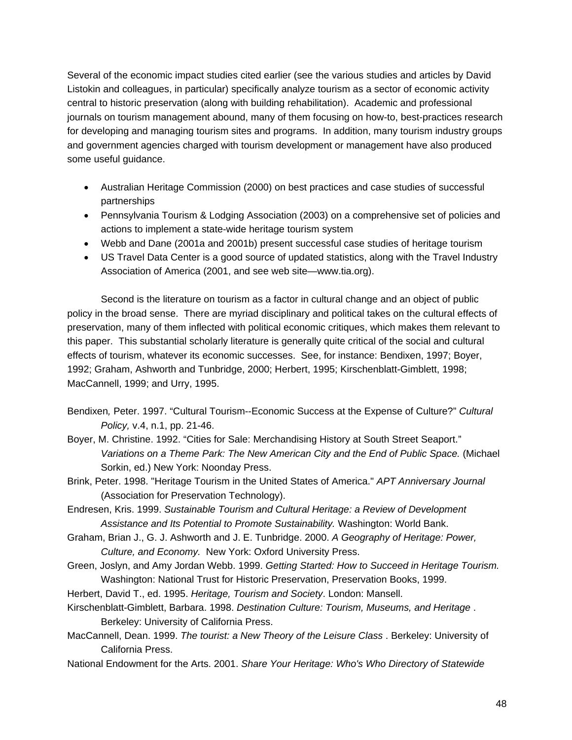Several of the economic impact studies cited earlier (see the various studies and articles by David Listokin and colleagues, in particular) specifically analyze tourism as a sector of economic activity central to historic preservation (along with building rehabilitation). Academic and professional journals on tourism management abound, many of them focusing on how-to, best-practices research for developing and managing tourism sites and programs. In addition, many tourism industry groups and government agencies charged with tourism development or management have also produced some useful guidance.

- Australian Heritage Commission (2000) on best practices and case studies of successful partnerships
- Pennsylvania Tourism & Lodging Association (2003) on a comprehensive set of policies and actions to implement a state-wide heritage tourism system
- Webb and Dane (2001a and 2001b) present successful case studies of heritage tourism
- US Travel Data Center is a good source of updated statistics, along with the Travel Industry Association of America (2001, and see web site—www.tia.org).

Second is the literature on tourism as a factor in cultural change and an object of public policy in the broad sense. There are myriad disciplinary and political takes on the cultural effects of preservation, many of them inflected with political economic critiques, which makes them relevant to this paper. This substantial scholarly literature is generally quite critical of the social and cultural effects of tourism, whatever its economic successes. See, for instance: Bendixen, 1997; Boyer, 1992; Graham, Ashworth and Tunbridge, 2000; Herbert, 1995; Kirschenblatt-Gimblett, 1998; MacCannell, 1999; and Urry, 1995.

- Bendixen*,* Peter. 1997. "Cultural Tourism--Economic Success at the Expense of Culture?" *Cultural Policy,* v.4, n.1, pp. 21-46.
- Boyer, M. Christine. 1992. "Cities for Sale: Merchandising History at South Street Seaport." *Variations on a Theme Park: The New American City and the End of Public Space.* (Michael Sorkin, ed.) New York: Noonday Press.
- Brink, Peter. 1998. "Heritage Tourism in the United States of America." *APT Anniversary Journal*  (Association for Preservation Technology).
- Endresen, Kris. 1999. *Sustainable Tourism and Cultural Heritage: a Review of Development Assistance and Its Potential to Promote Sustainability.* Washington: World Bank.
- Graham, Brian J., G. J. Ashworth and J. E. Tunbridge. 2000. *A Geography of Heritage: Power, Culture, and Economy.* New York: Oxford University Press.
- Green, Joslyn, and Amy Jordan Webb. 1999. *Getting Started: How to Succeed in Heritage Tourism.* Washington: National Trust for Historic Preservation, Preservation Books, 1999.
- Herbert, David T., ed. 1995. *Heritage, Tourism and Society*. London: Mansell.
- Kirschenblatt-Gimblett, Barbara. 1998. *Destination Culture: Tourism, Museums, and Heritage* . Berkeley: University of California Press.
- MacCannell, Dean. 1999. *The tourist: a New Theory of the Leisure Class* . Berkeley: University of California Press.
- National Endowment for the Arts. 2001. *Share Your Heritage: Who's Who Directory of Statewide*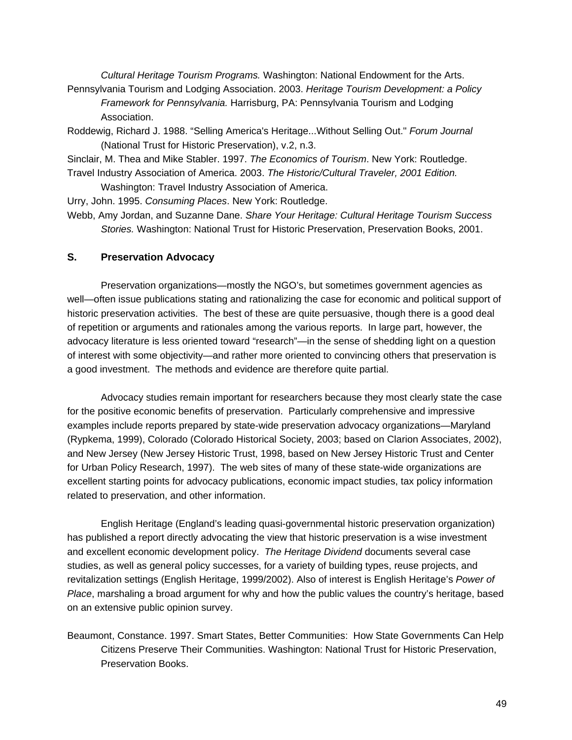*Cultural Heritage Tourism Programs.* Washington: National Endowment for the Arts. Pennsylvania Tourism and Lodging Association. 2003. *Heritage Tourism Development: a Policy* 

*Framework for Pennsylvania.* Harrisburg, PA: Pennsylvania Tourism and Lodging Association.

Roddewig, Richard J. 1988. "Selling America's Heritage...Without Selling Out." *Forum Journal*  (National Trust for Historic Preservation), v.2, n.3.

Sinclair, M. Thea and Mike Stabler. 1997. *The Economics of Tourism*. New York: Routledge.

Travel Industry Association of America. 2003. *The Historic/Cultural Traveler, 2001 Edition.*

Washington: Travel Industry Association of America.

Urry, John. 1995. *Consuming Places*. New York: Routledge.

Webb, Amy Jordan, and Suzanne Dane. *Share Your Heritage: Cultural Heritage Tourism Success Stories.* Washington: National Trust for Historic Preservation, Preservation Books, 2001.

## **S. Preservation Advocacy**

Preservation organizations—mostly the NGO's, but sometimes government agencies as well—often issue publications stating and rationalizing the case for economic and political support of historic preservation activities. The best of these are quite persuasive, though there is a good deal of repetition or arguments and rationales among the various reports. In large part, however, the advocacy literature is less oriented toward "research"—in the sense of shedding light on a question of interest with some objectivity—and rather more oriented to convincing others that preservation is a good investment. The methods and evidence are therefore quite partial.

Advocacy studies remain important for researchers because they most clearly state the case for the positive economic benefits of preservation. Particularly comprehensive and impressive examples include reports prepared by state-wide preservation advocacy organizations—Maryland (Rypkema, 1999), Colorado (Colorado Historical Society, 2003; based on Clarion Associates, 2002), and New Jersey (New Jersey Historic Trust, 1998, based on New Jersey Historic Trust and Center for Urban Policy Research, 1997). The web sites of many of these state-wide organizations are excellent starting points for advocacy publications, economic impact studies, tax policy information related to preservation, and other information.

English Heritage (England's leading quasi-governmental historic preservation organization) has published a report directly advocating the view that historic preservation is a wise investment and excellent economic development policy. *The Heritage Dividend* documents several case studies, as well as general policy successes, for a variety of building types, reuse projects, and revitalization settings (English Heritage, 1999/2002). Also of interest is English Heritage's *Power of Place*, marshaling a broad argument for why and how the public values the country's heritage, based on an extensive public opinion survey.

Beaumont, Constance. 1997. Smart States, Better Communities: How State Governments Can Help Citizens Preserve Their Communities. Washington: National Trust for Historic Preservation, Preservation Books.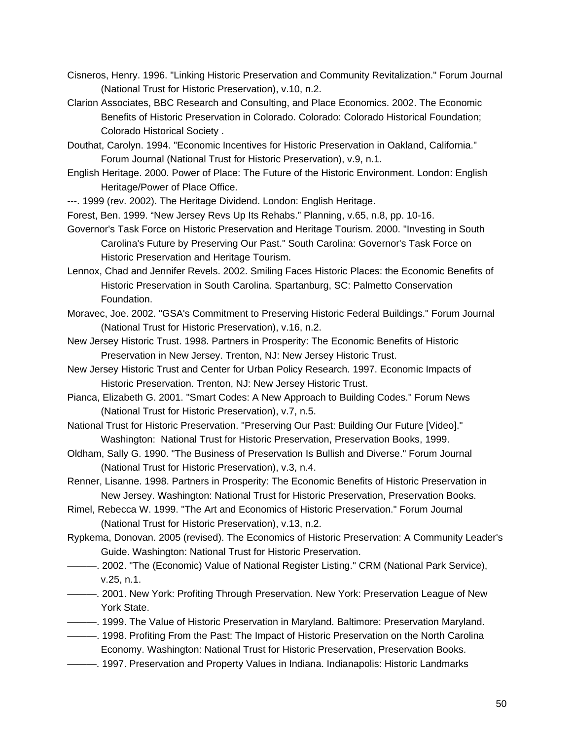- Cisneros, Henry. 1996. "Linking Historic Preservation and Community Revitalization." Forum Journal (National Trust for Historic Preservation), v.10, n.2.
- Clarion Associates, BBC Research and Consulting, and Place Economics. 2002. The Economic Benefits of Historic Preservation in Colorado. Colorado: Colorado Historical Foundation; Colorado Historical Society .
- Douthat, Carolyn. 1994. "Economic Incentives for Historic Preservation in Oakland, California." Forum Journal (National Trust for Historic Preservation), v.9, n.1.
- English Heritage. 2000. Power of Place: The Future of the Historic Environment. London: English Heritage/Power of Place Office.
- ---. 1999 (rev. 2002). The Heritage Dividend. London: English Heritage.
- Forest, Ben. 1999. "New Jersey Revs Up Its Rehabs." Planning, v.65, n.8, pp. 10-16.
- Governor's Task Force on Historic Preservation and Heritage Tourism. 2000. "Investing in South Carolina's Future by Preserving Our Past." South Carolina: Governor's Task Force on Historic Preservation and Heritage Tourism.
- Lennox, Chad and Jennifer Revels. 2002. Smiling Faces Historic Places: the Economic Benefits of Historic Preservation in South Carolina. Spartanburg, SC: Palmetto Conservation Foundation.
- Moravec, Joe. 2002. "GSA's Commitment to Preserving Historic Federal Buildings." Forum Journal (National Trust for Historic Preservation), v.16, n.2.
- New Jersey Historic Trust. 1998. Partners in Prosperity: The Economic Benefits of Historic Preservation in New Jersey. Trenton, NJ: New Jersey Historic Trust.
- New Jersey Historic Trust and Center for Urban Policy Research. 1997. Economic Impacts of Historic Preservation. Trenton, NJ: New Jersey Historic Trust.
- Pianca, Elizabeth G. 2001. "Smart Codes: A New Approach to Building Codes." Forum News (National Trust for Historic Preservation), v.7, n.5.
- National Trust for Historic Preservation. "Preserving Our Past: Building Our Future [Video]." Washington: National Trust for Historic Preservation, Preservation Books, 1999.
- Oldham, Sally G. 1990. "The Business of Preservation Is Bullish and Diverse." Forum Journal (National Trust for Historic Preservation), v.3, n.4.
- Renner, Lisanne. 1998. Partners in Prosperity: The Economic Benefits of Historic Preservation in New Jersey. Washington: National Trust for Historic Preservation, Preservation Books.
- Rimel, Rebecca W. 1999. "The Art and Economics of Historic Preservation." Forum Journal (National Trust for Historic Preservation), v.13, n.2.
- Rypkema, Donovan. 2005 (revised). The Economics of Historic Preservation: A Community Leader's Guide. Washington: National Trust for Historic Preservation.
- ———. 2002. "The (Economic) Value of National Register Listing." CRM (National Park Service), v.25, n.1.
- ———. 2001. New York: Profiting Through Preservation. New York: Preservation League of New York State.
- ———. 1999. The Value of Historic Preservation in Maryland. Baltimore: Preservation Maryland.
- ———. 1998. Profiting From the Past: The Impact of Historic Preservation on the North Carolina Economy. Washington: National Trust for Historic Preservation, Preservation Books.
- ———. 1997. Preservation and Property Values in Indiana. Indianapolis: Historic Landmarks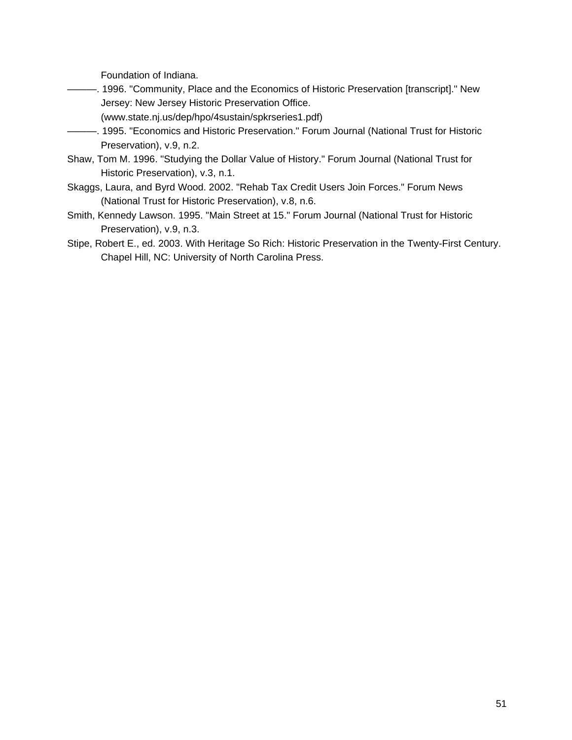Foundation of Indiana.

- ———. 1996. "Community, Place and the Economics of Historic Preservation [transcript]." New Jersey: New Jersey Historic Preservation Office.
	- (www.state.nj.us/dep/hpo/4sustain/spkrseries1.pdf)
- ———. 1995. "Economics and Historic Preservation." Forum Journal (National Trust for Historic Preservation), v.9, n.2.
- Shaw, Tom M. 1996. "Studying the Dollar Value of History." Forum Journal (National Trust for Historic Preservation), v.3, n.1.
- Skaggs, Laura, and Byrd Wood. 2002. "Rehab Tax Credit Users Join Forces." Forum News (National Trust for Historic Preservation), v.8, n.6.
- Smith, Kennedy Lawson. 1995. "Main Street at 15." Forum Journal (National Trust for Historic Preservation), v.9, n.3.
- Stipe, Robert E., ed. 2003. With Heritage So Rich: Historic Preservation in the Twenty-First Century. Chapel Hill, NC: University of North Carolina Press.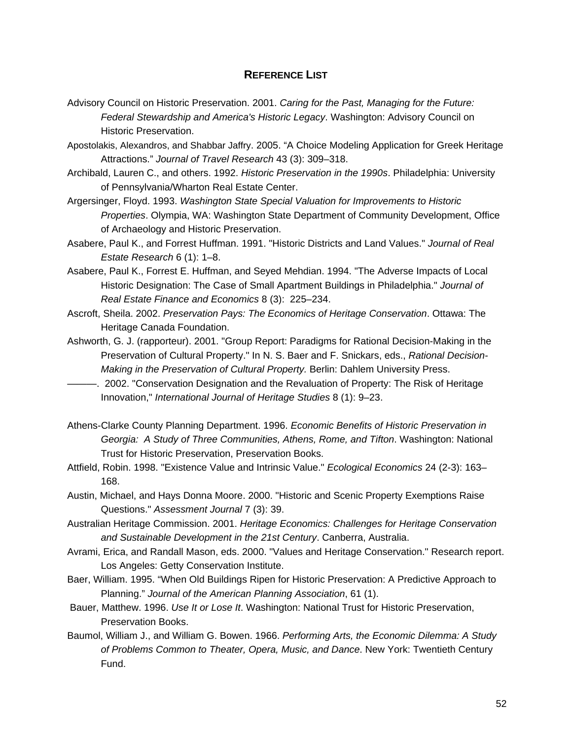### **REFERENCE LIST**

- Advisory Council on Historic Preservation. 2001. *Caring for the Past, Managing for the Future: Federal Stewardship and America's Historic Legacy*. Washington: Advisory Council on Historic Preservation.
- Apostolakis, Alexandros, and Shabbar Jaffry. 2005. "A Choice Modeling Application for Greek Heritage Attractions." *Journal of Travel Research* 43 (3): 309–318.
- Archibald, Lauren C., and others. 1992. *Historic Preservation in the 1990s*. Philadelphia: University of Pennsylvania/Wharton Real Estate Center.
- Argersinger, Floyd. 1993. *Washington State Special Valuation for Improvements to Historic Properties*. Olympia, WA: Washington State Department of Community Development, Office of Archaeology and Historic Preservation.
- Asabere, Paul K., and Forrest Huffman. 1991. "Historic Districts and Land Values." *Journal of Real Estate Research* 6 (1): 1–8.
- Asabere, Paul K., Forrest E. Huffman, and Seyed Mehdian. 1994. "The Adverse Impacts of Local Historic Designation: The Case of Small Apartment Buildings in Philadelphia." *Journal of Real Estate Finance and Economics* 8 (3): 225–234.
- Ascroft, Sheila. 2002. *Preservation Pays: The Economics of Heritage Conservation*. Ottawa: The Heritage Canada Foundation.
- Ashworth, G. J. (rapporteur). 2001. "Group Report: Paradigms for Rational Decision-Making in the Preservation of Cultural Property." In N. S. Baer and F. Snickars, eds., *Rational Decision-Making in the Preservation of Cultural Property.* Berlin: Dahlem University Press.
- ———. 2002. "Conservation Designation and the Revaluation of Property: The Risk of Heritage Innovation," *International Journal of Heritage Studies* 8 (1): 9–23.
- Athens-Clarke County Planning Department. 1996. *Economic Benefits of Historic Preservation in Georgia: A Study of Three Communities, Athens, Rome, and Tifton*. Washington: National Trust for Historic Preservation, Preservation Books.
- Attfield, Robin. 1998. "Existence Value and Intrinsic Value." *Ecological Economics* 24 (2-3): 163– 168.
- Austin, Michael, and Hays Donna Moore. 2000. "Historic and Scenic Property Exemptions Raise Questions." *Assessment Journal* 7 (3): 39.
- Australian Heritage Commission. 2001. *Heritage Economics: Challenges for Heritage Conservation and Sustainable Development in the 21st Century*. Canberra, Australia.
- Avrami, Erica, and Randall Mason, eds. 2000. "Values and Heritage Conservation." Research report. Los Angeles: Getty Conservation Institute.
- Baer, William. 1995. "When Old Buildings Ripen for Historic Preservation: A Predictive Approach to Planning." *Journal of the American Planning Association*, 61 (1).
- Bauer, Matthew. 1996. *Use It or Lose It*. Washington: National Trust for Historic Preservation, Preservation Books.
- Baumol, William J., and William G. Bowen. 1966. *Performing Arts, the Economic Dilemma: A Study of Problems Common to Theater, Opera, Music, and Dance*. New York: Twentieth Century Fund.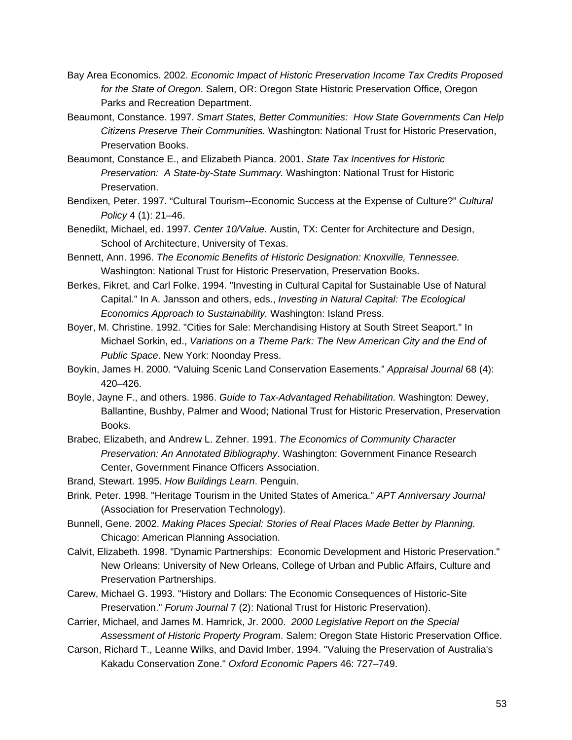- Bay Area Economics. 2002. *Economic Impact of Historic Preservation Income Tax Credits Proposed for the State of Oregon*. Salem, OR: Oregon State Historic Preservation Office, Oregon Parks and Recreation Department.
- Beaumont, Constance. 1997. *Smart States, Better Communities: How State Governments Can Help Citizens Preserve Their Communities.* Washington: National Trust for Historic Preservation, Preservation Books.
- Beaumont, Constance E., and Elizabeth Pianca. 2001. *State Tax Incentives for Historic Preservation: A State-by-State Summary.* Washington: National Trust for Historic Preservation.
- Bendixen*,* Peter. 1997. "Cultural Tourism--Economic Success at the Expense of Culture?" *Cultural Policy* 4 (1): 21–46.
- Benedikt, Michael, ed. 1997. *Center 10/Value*. Austin, TX: Center for Architecture and Design, School of Architecture, University of Texas.
- Bennett, Ann. 1996. *The Economic Benefits of Historic Designation: Knoxville, Tennessee.* Washington: National Trust for Historic Preservation, Preservation Books.
- Berkes, Fikret, and Carl Folke. 1994. "Investing in Cultural Capital for Sustainable Use of Natural Capital." In A. Jansson and others, eds., *Investing in Natural Capital: The Ecological Economics Approach to Sustainability.* Washington: Island Press.
- Boyer, M. Christine. 1992. "Cities for Sale: Merchandising History at South Street Seaport." In Michael Sorkin, ed., *Variations on a Theme Park: The New American City and the End of Public Space*. New York: Noonday Press.
- Boykin, James H. 2000. "Valuing Scenic Land Conservation Easements." *Appraisal Journal* 68 (4): 420–426.
- Boyle, Jayne F., and others. 1986. *Guide to Tax-Advantaged Rehabilitation.* Washington: Dewey, Ballantine, Bushby, Palmer and Wood; National Trust for Historic Preservation, Preservation Books.
- Brabec, Elizabeth, and Andrew L. Zehner. 1991. *The Economics of Community Character Preservation: An Annotated Bibliography*. Washington: Government Finance Research Center, Government Finance Officers Association.
- Brand, Stewart. 1995. *How Buildings Learn*. Penguin.
- Brink, Peter. 1998. "Heritage Tourism in the United States of America." *APT Anniversary Journal*  (Association for Preservation Technology).
- Bunnell, Gene. 2002. *Making Places Special: Stories of Real Places Made Better by Planning.* Chicago: American Planning Association.
- Calvit, Elizabeth. 1998. "Dynamic Partnerships: Economic Development and Historic Preservation." New Orleans: University of New Orleans, College of Urban and Public Affairs, Culture and Preservation Partnerships.
- Carew, Michael G. 1993. "History and Dollars: The Economic Consequences of Historic-Site Preservation." *Forum Journal* 7 (2): National Trust for Historic Preservation).
- Carrier, Michael, and James M. Hamrick, Jr. 2000. *2000 Legislative Report on the Special Assessment of Historic Property Program*. Salem: Oregon State Historic Preservation Office.
- Carson, Richard T., Leanne Wilks, and David Imber. 1994. "Valuing the Preservation of Australia's Kakadu Conservation Zone." *Oxford Economic Papers* 46: 727–749.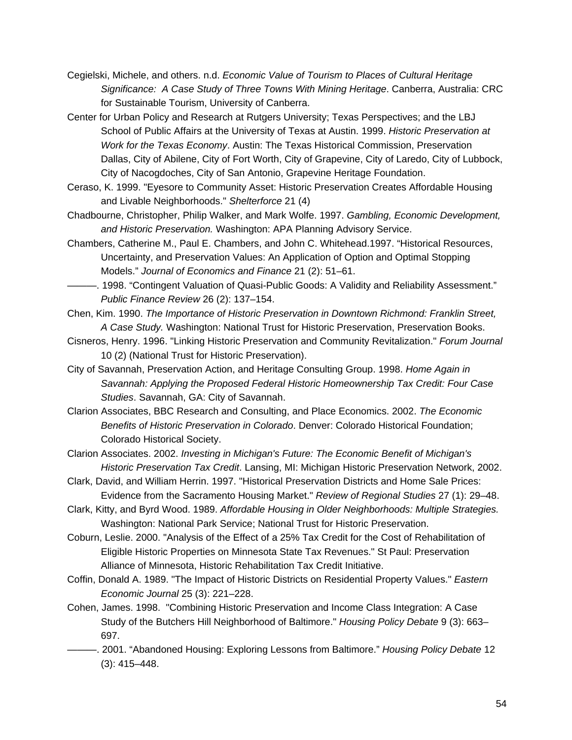- Cegielski, Michele, and others. n.d. *Economic Value of Tourism to Places of Cultural Heritage Significance: A Case Study of Three Towns With Mining Heritage*. Canberra, Australia: CRC for Sustainable Tourism, University of Canberra.
- Center for Urban Policy and Research at Rutgers University; Texas Perspectives; and the LBJ School of Public Affairs at the University of Texas at Austin. 1999. *Historic Preservation at Work for the Texas Economy*. Austin: The Texas Historical Commission, Preservation Dallas, City of Abilene, City of Fort Worth, City of Grapevine, City of Laredo, City of Lubbock, City of Nacogdoches, City of San Antonio, Grapevine Heritage Foundation.
- Ceraso, K. 1999. "Eyesore to Community Asset: Historic Preservation Creates Affordable Housing and Livable Neighborhoods." *Shelterforce* 21 (4)
- Chadbourne, Christopher, Philip Walker, and Mark Wolfe. 1997. *Gambling, Economic Development, and Historic Preservation.* Washington: APA Planning Advisory Service.
- Chambers, Catherine M., Paul E. Chambers, and John C. Whitehead.1997. "Historical Resources, Uncertainty, and Preservation Values: An Application of Option and Optimal Stopping Models." *Journal of Economics and Finance* 21 (2): 51–61.
- ———. 1998. "Contingent Valuation of Quasi-Public Goods: A Validity and Reliability Assessment." *Public Finance Review* 26 (2): 137–154.
- Chen, Kim. 1990. *The Importance of Historic Preservation in Downtown Richmond: Franklin Street, A Case Study.* Washington: National Trust for Historic Preservation, Preservation Books.
- Cisneros, Henry. 1996. "Linking Historic Preservation and Community Revitalization." *Forum Journal*  10 (2) (National Trust for Historic Preservation).
- City of Savannah, Preservation Action, and Heritage Consulting Group. 1998. *Home Again in Savannah: Applying the Proposed Federal Historic Homeownership Tax Credit: Four Case Studies*. Savannah, GA: City of Savannah.
- Clarion Associates, BBC Research and Consulting, and Place Economics. 2002. *The Economic Benefits of Historic Preservation in Colorado*. Denver: Colorado Historical Foundation; Colorado Historical Society.
- Clarion Associates. 2002. *Investing in Michigan's Future: The Economic Benefit of Michigan's Historic Preservation Tax Credit*. Lansing, MI: Michigan Historic Preservation Network, 2002.
- Clark, David, and William Herrin. 1997. "Historical Preservation Districts and Home Sale Prices: Evidence from the Sacramento Housing Market." *Review of Regional Studies* 27 (1): 29–48.
- Clark, Kitty, and Byrd Wood. 1989. *Affordable Housing in Older Neighborhoods: Multiple Strategies.* Washington: National Park Service; National Trust for Historic Preservation.
- Coburn, Leslie. 2000. "Analysis of the Effect of a 25% Tax Credit for the Cost of Rehabilitation of Eligible Historic Properties on Minnesota State Tax Revenues." St Paul: Preservation Alliance of Minnesota, Historic Rehabilitation Tax Credit Initiative.
- Coffin, Donald A. 1989. "The Impact of Historic Districts on Residential Property Values." *Eastern Economic Journal* 25 (3): 221–228.
- Cohen, James. 1998. "Combining Historic Preservation and Income Class Integration: A Case Study of the Butchers Hill Neighborhood of Baltimore." *Housing Policy Debate* 9 (3): 663– 697.
- ———. 2001. "Abandoned Housing: Exploring Lessons from Baltimore." *Housing Policy Debate* 12 (3): 415–448.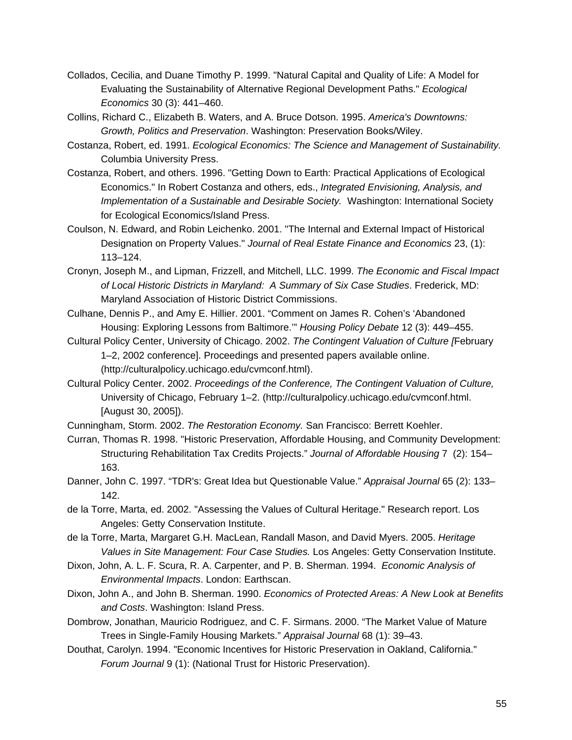- Collados, Cecilia, and Duane Timothy P. 1999. "Natural Capital and Quality of Life: A Model for Evaluating the Sustainability of Alternative Regional Development Paths." *Ecological Economics* 30 (3): 441–460.
- Collins, Richard C., Elizabeth B. Waters, and A. Bruce Dotson. 1995. *America's Downtowns: Growth, Politics and Preservation*. Washington: Preservation Books/Wiley.
- Costanza, Robert, ed. 1991. *Ecological Economics: The Science and Management of Sustainability.*  Columbia University Press.
- Costanza, Robert, and others. 1996. "Getting Down to Earth: Practical Applications of Ecological Economics." In Robert Costanza and others, eds., *Integrated Envisioning, Analysis, and Implementation of a Sustainable and Desirable Society.* Washington: International Society for Ecological Economics/Island Press.
- Coulson, N. Edward, and Robin Leichenko. 2001. "The Internal and External Impact of Historical Designation on Property Values." *Journal of Real Estate Finance and Economics* 23, (1): 113–124.
- Cronyn, Joseph M., and Lipman, Frizzell, and Mitchell, LLC. 1999. *The Economic and Fiscal Impact of Local Historic Districts in Maryland: A Summary of Six Case Studies*. Frederick, MD: Maryland Association of Historic District Commissions.
- Culhane, Dennis P., and Amy E. Hillier. 2001. "Comment on James R. Cohen's 'Abandoned Housing: Exploring Lessons from Baltimore.'" *Housing Policy Debate* 12 (3): 449–455.
- Cultural Policy Center, University of Chicago. 2002. *The Contingent Valuation of Culture [*February 1–2, 2002 conference]. Proceedings and presented papers available online. (http://culturalpolicy.uchicago.edu/cvmconf.html).
- Cultural Policy Center. 2002. *Proceedings of the Conference, The Contingent Valuation of Culture,* University of Chicago, February 1–2. (http://culturalpolicy.uchicago.edu/cvmconf.html. [August 30, 2005]).
- Cunningham, Storm. 2002. *The Restoration Economy.* San Francisco: Berrett Koehler.
- Curran, Thomas R. 1998. "Historic Preservation, Affordable Housing, and Community Development: Structuring Rehabilitation Tax Credits Projects." *Journal of Affordable Housing* 7 (2): 154– 163.
- Danner, John C. 1997. "TDR's: Great Idea but Questionable Value." *Appraisal Journal* 65 (2): 133– 142.
- de la Torre, Marta, ed. 2002. "Assessing the Values of Cultural Heritage." Research report. Los Angeles: Getty Conservation Institute.
- de la Torre, Marta, Margaret G.H. MacLean, Randall Mason, and David Myers. 2005. *Heritage Values in Site Management: Four Case Studies.* Los Angeles: Getty Conservation Institute.
- Dixon, John, A. L. F. Scura, R. A. Carpenter, and P. B. Sherman. 1994. *Economic Analysis of Environmental Impacts*. London: Earthscan.
- Dixon, John A., and John B. Sherman. 1990. *Economics of Protected Areas: A New Look at Benefits and Costs*. Washington: Island Press.
- Dombrow, Jonathan, Mauricio Rodriguez, and C. F. Sirmans. 2000. "The Market Value of Mature Trees in Single-Family Housing Markets." *Appraisal Journal* 68 (1): 39–43.
- Douthat, Carolyn. 1994. "Economic Incentives for Historic Preservation in Oakland, California." *Forum Journal* 9 (1): (National Trust for Historic Preservation).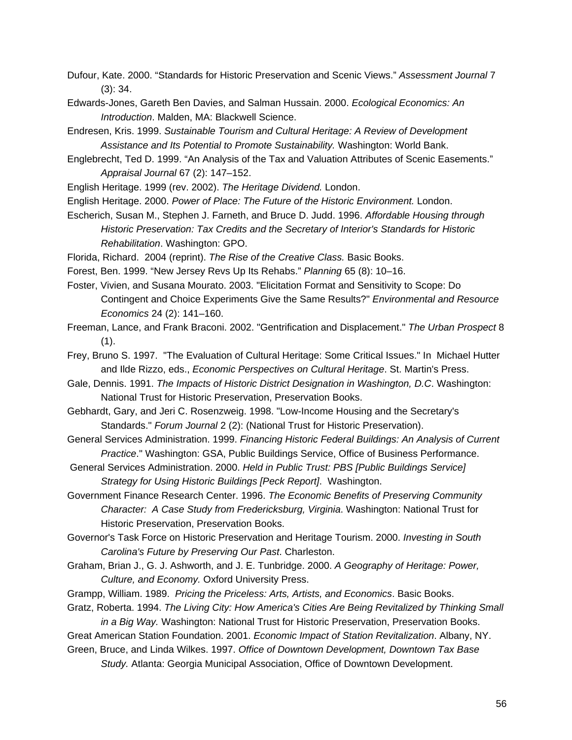- Dufour, Kate. 2000. "Standards for Historic Preservation and Scenic Views." *Assessment Journal* 7 (3): 34.
- Edwards-Jones, Gareth Ben Davies, and Salman Hussain. 2000. *Ecological Economics: An Introduction*. Malden, MA: Blackwell Science.
- Endresen, Kris. 1999. *Sustainable Tourism and Cultural Heritage: A Review of Development Assistance and Its Potential to Promote Sustainability.* Washington: World Bank.
- Englebrecht, Ted D. 1999. "An Analysis of the Tax and Valuation Attributes of Scenic Easements." *Appraisal Journal* 67 (2): 147–152.
- English Heritage. 1999 (rev. 2002). *The Heritage Dividend.* London.
- English Heritage. 2000. *Power of Place: The Future of the Historic Environment.* London.
- Escherich, Susan M., Stephen J. Farneth, and Bruce D. Judd. 1996. *Affordable Housing through Historic Preservation: Tax Credits and the Secretary of Interior's Standards for Historic Rehabilitation*. Washington: GPO.
- Florida, Richard. 2004 (reprint). *The Rise of the Creative Class.* Basic Books.
- Forest, Ben. 1999. "New Jersey Revs Up Its Rehabs." *Planning* 65 (8): 10–16.
- Foster, Vivien, and Susana Mourato. 2003. "Elicitation Format and Sensitivity to Scope: Do Contingent and Choice Experiments Give the Same Results?" *Environmental and Resource Economics* 24 (2): 141–160.
- Freeman, Lance, and Frank Braconi. 2002. "Gentrification and Displacement." *The Urban Prospect* 8 (1).
- Frey, Bruno S. 1997. "The Evaluation of Cultural Heritage: Some Critical Issues." In Michael Hutter and Ilde Rizzo, eds., *Economic Perspectives on Cultural Heritage*. St. Martin's Press.
- Gale, Dennis. 1991. *The Impacts of Historic District Designation in Washington, D.C*. Washington: National Trust for Historic Preservation, Preservation Books.
- Gebhardt, Gary, and Jeri C. Rosenzweig. 1998. "Low-Income Housing and the Secretary's Standards." *Forum Journal* 2 (2): (National Trust for Historic Preservation).
- General Services Administration. 1999. *Financing Historic Federal Buildings: An Analysis of Current Practice*." Washington: GSA, Public Buildings Service, Office of Business Performance.
- General Services Administration. 2000. *Held in Public Trust: PBS [Public Buildings Service] Strategy for Using Historic Buildings [Peck Report]*. Washington.
- Government Finance Research Center. 1996. *The Economic Benefits of Preserving Community Character: A Case Study from Fredericksburg, Virginia*. Washington: National Trust for Historic Preservation, Preservation Books.
- Governor's Task Force on Historic Preservation and Heritage Tourism. 2000. *Investing in South Carolina's Future by Preserving Our Past*. Charleston.
- Graham, Brian J., G. J. Ashworth, and J. E. Tunbridge. 2000. *A Geography of Heritage: Power, Culture, and Economy.* Oxford University Press.
- Grampp, William. 1989. *Pricing the Priceless: Arts, Artists, and Economics*. Basic Books.
- Gratz, Roberta. 1994. *The Living City: How America's Cities Are Being Revitalized by Thinking Small in a Big Way.* Washington: National Trust for Historic Preservation, Preservation Books.
- Great American Station Foundation. 2001. *Economic Impact of Station Revitalization*. Albany, NY.
- Green, Bruce, and Linda Wilkes. 1997. *Office of Downtown Development, Downtown Tax Base Study.* Atlanta: Georgia Municipal Association, Office of Downtown Development.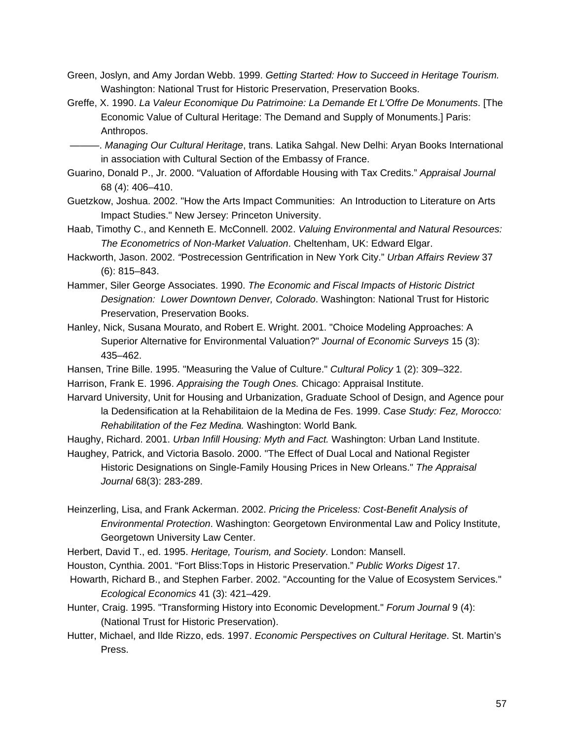- Green, Joslyn, and Amy Jordan Webb. 1999. *Getting Started: How to Succeed in Heritage Tourism.* Washington: National Trust for Historic Preservation, Preservation Books.
- Greffe, X. 1990. *La Valeur Economique Du Patrimoine: La Demande Et L'Offre De Monuments*. [The Economic Value of Cultural Heritage: The Demand and Supply of Monuments.] Paris: Anthropos.

 ———. *Managing Our Cultural Heritage*, trans. Latika Sahgal. New Delhi: Aryan Books International in association with Cultural Section of the Embassy of France.

- Guarino, Donald P., Jr. 2000. "Valuation of Affordable Housing with Tax Credits." *Appraisal Journal* 68 (4): 406–410.
- Guetzkow, Joshua. 2002. "How the Arts Impact Communities: An Introduction to Literature on Arts Impact Studies." New Jersey: Princeton University.
- Haab, Timothy C., and Kenneth E. McConnell. 2002. *Valuing Environmental and Natural Resources: The Econometrics of Non-Market Valuation*. Cheltenham, UK: Edward Elgar.
- Hackworth, Jason. 2002. *"*Postrecession Gentrification in New York City." *Urban Affairs Review* 37 (6): 815–843.
- Hammer, Siler George Associates. 1990. *The Economic and Fiscal Impacts of Historic District Designation: Lower Downtown Denver, Colorado*. Washington: National Trust for Historic Preservation, Preservation Books.
- Hanley, Nick, Susana Mourato, and Robert E. Wright. 2001. "Choice Modeling Approaches: A Superior Alternative for Environmental Valuation?" *Journal of Economic Surveys* 15 (3): 435–462.
- Hansen, Trine Bille. 1995. "Measuring the Value of Culture." *Cultural Policy* 1 (2): 309–322. Harrison, Frank E. 1996. *Appraising the Tough Ones.* Chicago: Appraisal Institute.
- Harvard University, Unit for Housing and Urbanization, Graduate School of Design, and Agence pour la Dedensification at la Rehabilitaion de la Medina de Fes. 1999. *Case Study: Fez, Morocco: Rehabilitation of the Fez Medina.* Washington: World Bank*.*

Haughy, Richard. 2001. *Urban Infill Housing: Myth and Fact.* Washington: Urban Land Institute.

- Haughey, Patrick, and Victoria Basolo. 2000. "The Effect of Dual Local and National Register Historic Designations on Single-Family Housing Prices in New Orleans." *The Appraisal Journal* 68(3): 283-289.
- Heinzerling, Lisa, and Frank Ackerman. 2002. *Pricing the Priceless: Cost-Benefit Analysis of Environmental Protection*. Washington: Georgetown Environmental Law and Policy Institute, Georgetown University Law Center.
- Herbert, David T., ed. 1995. *Heritage, Tourism, and Society*. London: Mansell.
- Houston, Cynthia. 2001. "Fort Bliss:Tops in Historic Preservation." *Public Works Digest* 17.
- Howarth, Richard B., and Stephen Farber. 2002. "Accounting for the Value of Ecosystem Services." *Ecological Economics* 41 (3): 421–429.
- Hunter, Craig. 1995. "Transforming History into Economic Development." *Forum Journal* 9 (4): (National Trust for Historic Preservation).
- Hutter, Michael, and Ilde Rizzo, eds. 1997. *Economic Perspectives on Cultural Heritage*. St. Martin's Press.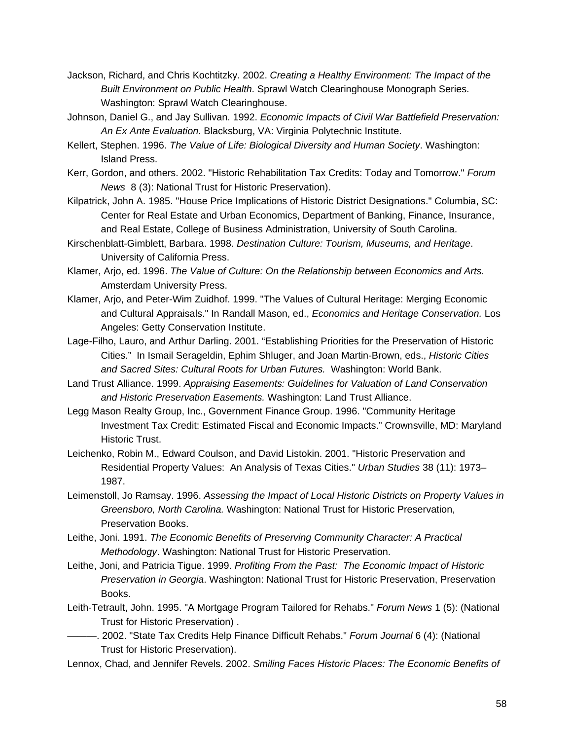- Jackson, Richard, and Chris Kochtitzky. 2002. *Creating a Healthy Environment: The Impact of the Built Environment on Public Health*. Sprawl Watch Clearinghouse Monograph Series. Washington: Sprawl Watch Clearinghouse.
- Johnson, Daniel G., and Jay Sullivan. 1992. *Economic Impacts of Civil War Battlefield Preservation: An Ex Ante Evaluation*. Blacksburg, VA: Virginia Polytechnic Institute.
- Kellert, Stephen. 1996. *The Value of Life: Biological Diversity and Human Society*. Washington: Island Press.
- Kerr, Gordon, and others. 2002. "Historic Rehabilitation Tax Credits: Today and Tomorrow." *Forum News* 8 (3): National Trust for Historic Preservation).
- Kilpatrick, John A. 1985. "House Price Implications of Historic District Designations." Columbia, SC: Center for Real Estate and Urban Economics, Department of Banking, Finance, Insurance, and Real Estate, College of Business Administration, University of South Carolina.
- Kirschenblatt-Gimblett, Barbara. 1998. *Destination Culture: Tourism, Museums, and Heritage*. University of California Press.
- Klamer, Arjo, ed. 1996. *The Value of Culture: On the Relationship between Economics and Arts*. Amsterdam University Press.
- Klamer, Arjo, and Peter-Wim Zuidhof. 1999. "The Values of Cultural Heritage: Merging Economic and Cultural Appraisals." In Randall Mason, ed., *Economics and Heritage Conservation.* Los Angeles: Getty Conservation Institute.
- Lage-Filho, Lauro, and Arthur Darling. 2001. "Establishing Priorities for the Preservation of Historic Cities." In Ismail Serageldin, Ephim Shluger, and Joan Martin-Brown, eds., *Historic Cities and Sacred Sites: Cultural Roots for Urban Futures.* Washington: World Bank.
- Land Trust Alliance. 1999. *Appraising Easements: Guidelines for Valuation of Land Conservation and Historic Preservation Easements.* Washington: Land Trust Alliance.
- Legg Mason Realty Group, Inc., Government Finance Group. 1996. "Community Heritage Investment Tax Credit: Estimated Fiscal and Economic Impacts." Crownsville, MD: Maryland Historic Trust.
- Leichenko, Robin M., Edward Coulson, and David Listokin. 2001. "Historic Preservation and Residential Property Values: An Analysis of Texas Cities." *Urban Studies* 38 (11): 1973– 1987.
- Leimenstoll, Jo Ramsay. 1996. *Assessing the Impact of Local Historic Districts on Property Values in Greensboro, North Carolina.* Washington: National Trust for Historic Preservation, Preservation Books.
- Leithe, Joni. 1991. *The Economic Benefits of Preserving Community Character: A Practical Methodology*. Washington: National Trust for Historic Preservation.
- Leithe, Joni, and Patricia Tigue. 1999. *Profiting From the Past: The Economic Impact of Historic Preservation in Georgia*. Washington: National Trust for Historic Preservation, Preservation Books.
- Leith-Tetrault, John. 1995. "A Mortgage Program Tailored for Rehabs." *Forum News* 1 (5): (National Trust for Historic Preservation) .
- ———. 2002. "State Tax Credits Help Finance Difficult Rehabs." *Forum Journal* 6 (4): (National Trust for Historic Preservation).
- Lennox, Chad, and Jennifer Revels. 2002. *Smiling Faces Historic Places: The Economic Benefits of*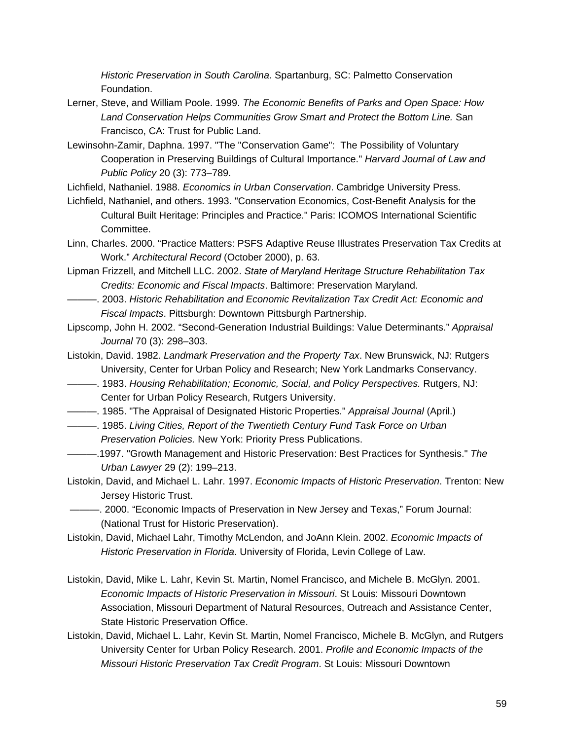*Historic Preservation in South Carolina*. Spartanburg, SC: Palmetto Conservation Foundation.

- Lerner, Steve, and William Poole. 1999. *The Economic Benefits of Parks and Open Space: How Land Conservation Helps Communities Grow Smart and Protect the Bottom Line.* San Francisco, CA: Trust for Public Land.
- Lewinsohn-Zamir, Daphna. 1997. "The "Conservation Game": The Possibility of Voluntary Cooperation in Preserving Buildings of Cultural Importance." *Harvard Journal of Law and Public Policy* 20 (3): 773–789.

Lichfield, Nathaniel. 1988. *Economics in Urban Conservation*. Cambridge University Press.

- Lichfield, Nathaniel, and others. 1993. "Conservation Economics, Cost-Benefit Analysis for the Cultural Built Heritage: Principles and Practice." Paris: ICOMOS International Scientific Committee.
- Linn, Charles. 2000. "Practice Matters: PSFS Adaptive Reuse Illustrates Preservation Tax Credits at Work." *Architectural Record* (October 2000), p. 63.
- Lipman Frizzell, and Mitchell LLC. 2002. *State of Maryland Heritage Structure Rehabilitation Tax Credits: Economic and Fiscal Impacts*. Baltimore: Preservation Maryland.
- ———. 2003. *Historic Rehabilitation and Economic Revitalization Tax Credit Act: Economic and Fiscal Impacts*. Pittsburgh: Downtown Pittsburgh Partnership.
- Lipscomp, John H. 2002. "Second-Generation Industrial Buildings: Value Determinants." *Appraisal Journal* 70 (3): 298–303.
- Listokin, David. 1982. *Landmark Preservation and the Property Tax*. New Brunswick, NJ: Rutgers University, Center for Urban Policy and Research; New York Landmarks Conservancy.
- ———. 1983. *Housing Rehabilitation; Economic, Social, and Policy Perspectives.* Rutgers, NJ: Center for Urban Policy Research, Rutgers University.
- ———. 1985. "The Appraisal of Designated Historic Properties." *Appraisal Journal* (April.)
- ———. 1985. *Living Cities, Report of the Twentieth Century Fund Task Force on Urban Preservation Policies.* New York: Priority Press Publications.
- ———.1997. "Growth Management and Historic Preservation: Best Practices for Synthesis." *The Urban Lawyer* 29 (2): 199–213.
- Listokin, David, and Michael L. Lahr. 1997. *Economic Impacts of Historic Preservation*. Trenton: New Jersey Historic Trust.
- ———. 2000. "Economic Impacts of Preservation in New Jersey and Texas," Forum Journal: (National Trust for Historic Preservation).
- Listokin, David, Michael Lahr, Timothy McLendon, and JoAnn Klein. 2002. *Economic Impacts of Historic Preservation in Florida*. University of Florida, Levin College of Law.
- Listokin, David, Mike L. Lahr, Kevin St. Martin, Nomel Francisco, and Michele B. McGlyn. 2001. *Economic Impacts of Historic Preservation in Missouri*. St Louis: Missouri Downtown Association, Missouri Department of Natural Resources, Outreach and Assistance Center, State Historic Preservation Office.
- Listokin, David, Michael L. Lahr, Kevin St. Martin, Nomel Francisco, Michele B. McGlyn, and Rutgers University Center for Urban Policy Research. 2001. *Profile and Economic Impacts of the Missouri Historic Preservation Tax Credit Program*. St Louis: Missouri Downtown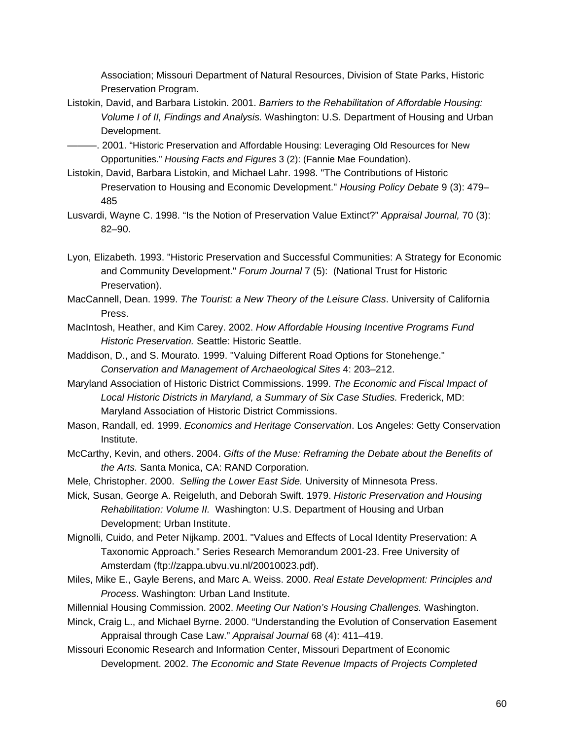Association; Missouri Department of Natural Resources, Division of State Parks, Historic Preservation Program.

- Listokin, David, and Barbara Listokin. 2001. *Barriers to the Rehabilitation of Affordable Housing: Volume I of II, Findings and Analysis.* Washington: U.S. Department of Housing and Urban Development.
- ———. 2001. "Historic Preservation and Affordable Housing: Leveraging Old Resources for New Opportunities." *Housing Facts and Figures* 3 (2): (Fannie Mae Foundation).
- Listokin, David, Barbara Listokin, and Michael Lahr. 1998. "The Contributions of Historic Preservation to Housing and Economic Development." *Housing Policy Debate* 9 (3): 479– 485
- Lusvardi, Wayne C. 1998. "Is the Notion of Preservation Value Extinct?" *Appraisal Journal,* 70 (3): 82–90.
- Lyon, Elizabeth. 1993. "Historic Preservation and Successful Communities: A Strategy for Economic and Community Development." *Forum Journal* 7 (5): (National Trust for Historic Preservation).
- MacCannell, Dean. 1999. *The Tourist: a New Theory of the Leisure Class*. University of California Press.
- MacIntosh, Heather, and Kim Carey. 2002. *How Affordable Housing Incentive Programs Fund Historic Preservation.* Seattle: Historic Seattle.
- Maddison, D., and S. Mourato. 1999. "Valuing Different Road Options for Stonehenge." *Conservation and Management of Archaeological Sites* 4: 203–212.
- Maryland Association of Historic District Commissions. 1999. *The Economic and Fiscal Impact of Local Historic Districts in Maryland, a Summary of Six Case Studies.* Frederick, MD: Maryland Association of Historic District Commissions.
- Mason, Randall, ed. 1999. *Economics and Heritage Conservation*. Los Angeles: Getty Conservation Institute.
- McCarthy, Kevin, and others. 2004. *Gifts of the Muse: Reframing the Debate about the Benefits of the Arts.* Santa Monica, CA: RAND Corporation.
- Mele, Christopher. 2000. *Selling the Lower East Side.* University of Minnesota Press.
- Mick, Susan, George A. Reigeluth, and Deborah Swift. 1979. *Historic Preservation and Housing Rehabilitation: Volume II.* Washington: U.S. Department of Housing and Urban Development; Urban Institute.
- Mignolli, Cuido, and Peter Nijkamp. 2001. "Values and Effects of Local Identity Preservation: A Taxonomic Approach." Series Research Memorandum 2001-23. Free University of Amsterdam (ftp://zappa.ubvu.vu.nl/20010023.pdf).
- Miles, Mike E., Gayle Berens, and Marc A. Weiss. 2000. *Real Estate Development: Principles and Process*. Washington: Urban Land Institute.
- Millennial Housing Commission. 2002. *Meeting Our Nation's Housing Challenges.* Washington.
- Minck, Craig L., and Michael Byrne. 2000. "Understanding the Evolution of Conservation Easement Appraisal through Case Law." *Appraisal Journal* 68 (4): 411–419.
- Missouri Economic Research and Information Center, Missouri Department of Economic Development. 2002. *The Economic and State Revenue Impacts of Projects Completed*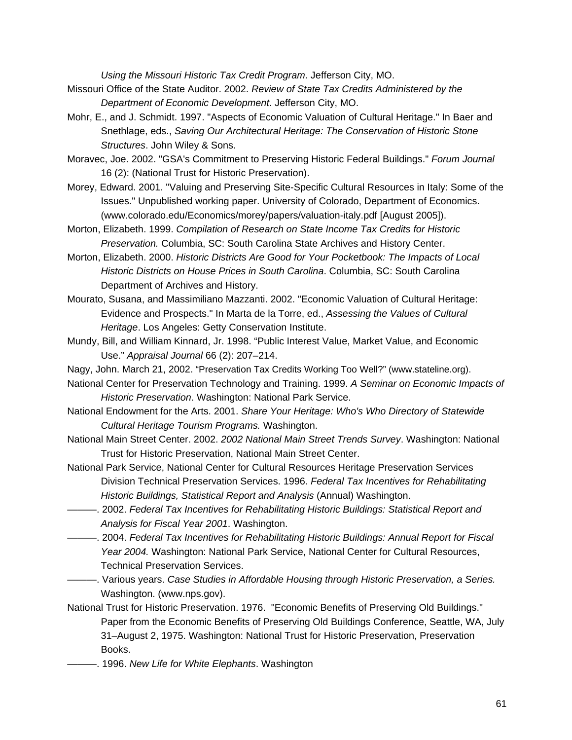*Using the Missouri Historic Tax Credit Program*. Jefferson City, MO.

- Missouri Office of the State Auditor. 2002. *Review of State Tax Credits Administered by the Department of Economic Development*. Jefferson City, MO.
- Mohr, E., and J. Schmidt. 1997. "Aspects of Economic Valuation of Cultural Heritage." In Baer and Snethlage, eds., *Saving Our Architectural Heritage: The Conservation of Historic Stone Structures*. John Wiley & Sons.
- Moravec, Joe. 2002. "GSA's Commitment to Preserving Historic Federal Buildings." *Forum Journal*  16 (2): (National Trust for Historic Preservation).
- Morey, Edward. 2001. "Valuing and Preserving Site-Specific Cultural Resources in Italy: Some of the Issues." Unpublished working paper. University of Colorado, Department of Economics. (www.colorado.edu/Economics/morey/papers/valuation-italy.pdf [August 2005]).
- Morton, Elizabeth. 1999. *Compilation of Research on State Income Tax Credits for Historic Preservation.* Columbia, SC: South Carolina State Archives and History Center.
- Morton, Elizabeth. 2000. *Historic Districts Are Good for Your Pocketbook: The Impacts of Local Historic Districts on House Prices in South Carolina*. Columbia, SC: South Carolina Department of Archives and History.
- Mourato, Susana, and Massimiliano Mazzanti. 2002. "Economic Valuation of Cultural Heritage: Evidence and Prospects." In Marta de la Torre, ed., *Assessing the Values of Cultural Heritage*. Los Angeles: Getty Conservation Institute.
- Mundy, Bill, and William Kinnard, Jr. 1998. "Public Interest Value, Market Value, and Economic Use." *Appraisal Journal* 66 (2): 207–214.
- Nagy, John. March 21, 2002. "Preservation Tax Credits Working Too Well?" (www.stateline.org).
- National Center for Preservation Technology and Training. 1999. *A Seminar on Economic Impacts of Historic Preservation*. Washington: National Park Service.
- National Endowment for the Arts. 2001. *Share Your Heritage: Who's Who Directory of Statewide Cultural Heritage Tourism Programs.* Washington.
- National Main Street Center. 2002. *2002 National Main Street Trends Survey*. Washington: National Trust for Historic Preservation, National Main Street Center.
- National Park Service, National Center for Cultural Resources Heritage Preservation Services Division Technical Preservation Services. 1996. *Federal Tax Incentives for Rehabilitating Historic Buildings, Statistical Report and Analysis* (Annual) Washington.
- ———. 2002. *Federal Tax Incentives for Rehabilitating Historic Buildings: Statistical Report and Analysis for Fiscal Year 2001*. Washington.
- ———. 2004. *Federal Tax Incentives for Rehabilitating Historic Buildings: Annual Report for Fiscal Year 2004.* Washington: National Park Service, National Center for Cultural Resources, Technical Preservation Services.
- ———. Various years. *Case Studies in Affordable Housing through Historic Preservation, a Series.*  Washington. (www.nps.gov).
- National Trust for Historic Preservation. 1976. "Economic Benefits of Preserving Old Buildings." Paper from the Economic Benefits of Preserving Old Buildings Conference, Seattle, WA, July 31–August 2, 1975. Washington: National Trust for Historic Preservation, Preservation Books.
- ———. 1996. *New Life for White Elephants*. Washington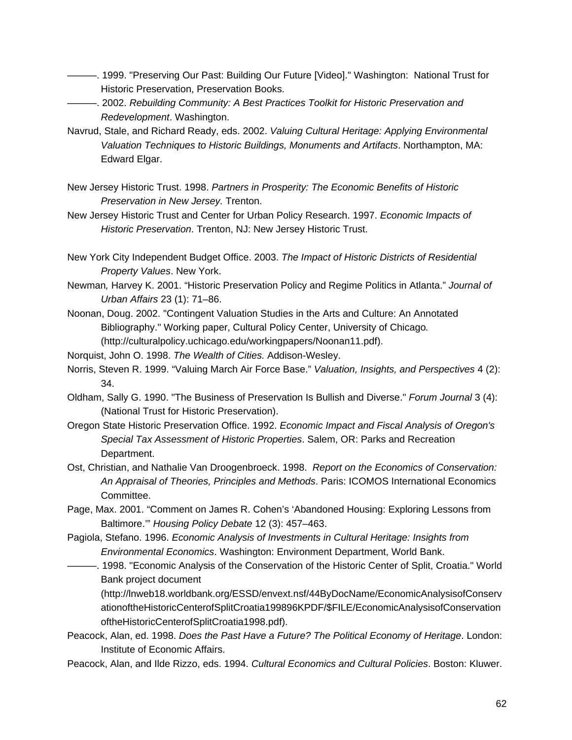- ———. 1999. "Preserving Our Past: Building Our Future [Video]." Washington: National Trust for Historic Preservation, Preservation Books.
- ———. 2002. *Rebuilding Community: A Best Practices Toolkit for Historic Preservation and Redevelopment*. Washington.
- Navrud, Stale, and Richard Ready, eds. 2002. *Valuing Cultural Heritage: Applying Environmental Valuation Techniques to Historic Buildings, Monuments and Artifacts*. Northampton, MA: Edward Elgar.
- New Jersey Historic Trust. 1998. *Partners in Prosperity: The Economic Benefits of Historic Preservation in New Jersey.* Trenton.
- New Jersey Historic Trust and Center for Urban Policy Research. 1997. *Economic Impacts of Historic Preservation*. Trenton, NJ: New Jersey Historic Trust.
- New York City Independent Budget Office. 2003. *The Impact of Historic Districts of Residential Property Values*. New York.
- Newman*,* Harvey K. 2001. "Historic Preservation Policy and Regime Politics in Atlanta." *Journal of Urban Affairs* 23 (1): 71–86.
- Noonan, Doug. 2002. "Contingent Valuation Studies in the Arts and Culture: An Annotated Bibliography." Working paper, Cultural Policy Center, University of Chicago*.*  (http://culturalpolicy.uchicago.edu/workingpapers/Noonan11.pdf).
- Norquist, John O. 1998. *The Wealth of Cities.* Addison-Wesley.
- Norris, Steven R. 1999. "Valuing March Air Force Base." *Valuation, Insights, and Perspectives* 4 (2): 34.
- Oldham, Sally G. 1990. "The Business of Preservation Is Bullish and Diverse." *Forum Journal* 3 (4): (National Trust for Historic Preservation).
- Oregon State Historic Preservation Office. 1992. *Economic Impact and Fiscal Analysis of Oregon's Special Tax Assessment of Historic Properties*. Salem, OR: Parks and Recreation Department.
- Ost, Christian, and Nathalie Van Droogenbroeck. 1998. *Report on the Economics of Conservation: An Appraisal of Theories, Principles and Methods*. Paris: ICOMOS International Economics Committee.
- Page, Max. 2001. "Comment on James R. Cohen's 'Abandoned Housing: Exploring Lessons from Baltimore.'" *Housing Policy Debate* 12 (3): 457–463.
- Pagiola, Stefano. 1996. *Economic Analysis of Investments in Cultural Heritage: Insights from Environmental Economics*. Washington: Environment Department, World Bank.
	- ———. 1998. "Economic Analysis of the Conservation of the Historic Center of Split, Croatia." World Bank project document

(http://lnweb18.worldbank.org/ESSD/envext.nsf/44ByDocName/EconomicAnalysisofConserv ationoftheHistoricCenterofSplitCroatia199896KPDF/\$FILE/EconomicAnalysisofConservation oftheHistoricCenterofSplitCroatia1998.pdf).

- Peacock, Alan, ed. 1998. *Does the Past Have a Future? The Political Economy of Heritage*. London: Institute of Economic Affairs.
- Peacock, Alan, and Ilde Rizzo, eds. 1994. *Cultural Economics and Cultural Policies*. Boston: Kluwer.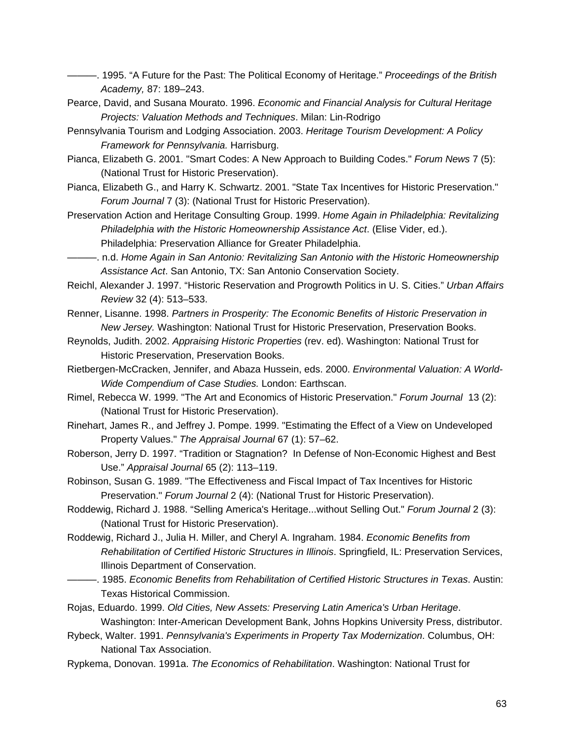- ———. 1995. "A Future for the Past: The Political Economy of Heritage." *Proceedings of the British Academy,* 87: 189–243.
- Pearce, David, and Susana Mourato. 1996. *Economic and Financial Analysis for Cultural Heritage Projects: Valuation Methods and Techniques*. Milan: Lin-Rodrigo
- Pennsylvania Tourism and Lodging Association. 2003. *Heritage Tourism Development: A Policy Framework for Pennsylvania.* Harrisburg.
- Pianca, Elizabeth G. 2001. "Smart Codes: A New Approach to Building Codes." *Forum News* 7 (5): (National Trust for Historic Preservation).
- Pianca, Elizabeth G., and Harry K. Schwartz. 2001. "State Tax Incentives for Historic Preservation." *Forum Journal* 7 (3): (National Trust for Historic Preservation).
- Preservation Action and Heritage Consulting Group. 1999. *Home Again in Philadelphia: Revitalizing Philadelphia with the Historic Homeownership Assistance Act*. (Elise Vider, ed.). Philadelphia: Preservation Alliance for Greater Philadelphia.
- ———. n.d. *Home Again in San Antonio: Revitalizing San Antonio with the Historic Homeownership Assistance Act*. San Antonio, TX: San Antonio Conservation Society.
- Reichl, Alexander J. 1997. "Historic Reservation and Progrowth Politics in U. S. Cities." *Urban Affairs Review* 32 (4): 513–533.
- Renner, Lisanne. 1998. *Partners in Prosperity: The Economic Benefits of Historic Preservation in New Jersey.* Washington: National Trust for Historic Preservation, Preservation Books.
- Reynolds, Judith. 2002. *Appraising Historic Properties* (rev. ed). Washington: National Trust for Historic Preservation, Preservation Books.
- Rietbergen-McCracken, Jennifer, and Abaza Hussein, eds. 2000. *Environmental Valuation: A World-Wide Compendium of Case Studies.* London: Earthscan.
- Rimel, Rebecca W. 1999. "The Art and Economics of Historic Preservation." *Forum Journal* 13 (2): (National Trust for Historic Preservation).
- Rinehart, James R., and Jeffrey J. Pompe. 1999. "Estimating the Effect of a View on Undeveloped Property Values." *The Appraisal Journal* 67 (1): 57–62.
- Roberson, Jerry D. 1997. "Tradition or Stagnation? In Defense of Non-Economic Highest and Best Use." *Appraisal Journal* 65 (2): 113–119.
- Robinson, Susan G. 1989. "The Effectiveness and Fiscal Impact of Tax Incentives for Historic Preservation." *Forum Journal* 2 (4): (National Trust for Historic Preservation).
- Roddewig, Richard J. 1988. "Selling America's Heritage...without Selling Out." *Forum Journal* 2 (3): (National Trust for Historic Preservation).
- Roddewig, Richard J., Julia H. Miller, and Cheryl A. Ingraham. 1984. *Economic Benefits from Rehabilitation of Certified Historic Structures in Illinois*. Springfield, IL: Preservation Services, Illinois Department of Conservation.
- ———. 1985. *Economic Benefits from Rehabilitation of Certified Historic Structures in Texas*. Austin: Texas Historical Commission.
- Rojas, Eduardo. 1999. *Old Cities, New Assets: Preserving Latin America's Urban Heritage*. Washington: Inter-American Development Bank, Johns Hopkins University Press, distributor.
- Rybeck, Walter. 1991. *Pennsylvania's Experiments in Property Tax Modernization*. Columbus, OH: National Tax Association.
- Rypkema, Donovan. 1991a. *The Economics of Rehabilitation*. Washington: National Trust for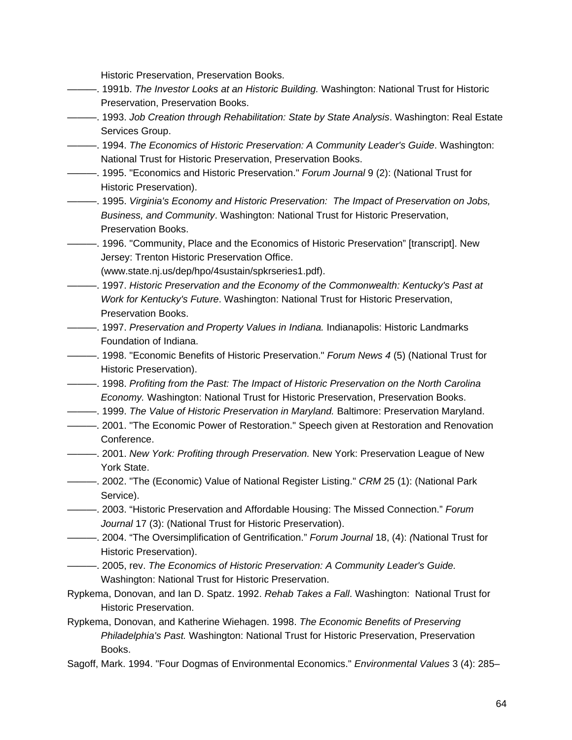Historic Preservation, Preservation Books.

- ———. 1991b. *The Investor Looks at an Historic Building.* Washington: National Trust for Historic Preservation, Preservation Books.
- ———. 1993. *Job Creation through Rehabilitation: State by State Analysis*. Washington: Real Estate Services Group.
- ———. 1994. *The Economics of Historic Preservation: A Community Leader's Guide*. Washington: National Trust for Historic Preservation, Preservation Books.
- ———. 1995. "Economics and Historic Preservation." *Forum Journal* 9 (2): (National Trust for Historic Preservation).
- ———. 1995. *Virginia's Economy and Historic Preservation: The Impact of Preservation on Jobs, Business, and Community*. Washington: National Trust for Historic Preservation, Preservation Books.

———. 1996. "Community, Place and the Economics of Historic Preservation" [transcript]. New Jersey: Trenton Historic Preservation Office.

(www.state.nj.us/dep/hpo/4sustain/spkrseries1.pdf).

- ———. 1997. *Historic Preservation and the Economy of the Commonwealth: Kentucky's Past at Work for Kentucky's Future*. Washington: National Trust for Historic Preservation, Preservation Books.
- ———. 1997. *Preservation and Property Values in Indiana.* Indianapolis: Historic Landmarks Foundation of Indiana.
- ———. 1998. "Economic Benefits of Historic Preservation." *Forum News 4* (5) (National Trust for Historic Preservation).
- ———. 1998. *Profiting from the Past: The Impact of Historic Preservation on the North Carolina Economy.* Washington: National Trust for Historic Preservation, Preservation Books.
- ———. 1999. *The Value of Historic Preservation in Maryland.* Baltimore: Preservation Maryland.
- ———. 2001. "The Economic Power of Restoration." Speech given at Restoration and Renovation Conference.
- ———. 2001. *New York: Profiting through Preservation.* New York: Preservation League of New York State.
- ———. 2002. "The (Economic) Value of National Register Listing." *CRM* 25 (1): (National Park Service).
- ———. 2003. "Historic Preservation and Affordable Housing: The Missed Connection." *Forum Journal* 17 (3): (National Trust for Historic Preservation).
- ———. 2004. "The Oversimplification of Gentrification." *Forum Journal* 18, (4): *(*National Trust for Historic Preservation).
- ———. 2005, rev. *The Economics of Historic Preservation: A Community Leader's Guide.* Washington: National Trust for Historic Preservation.
- Rypkema, Donovan, and Ian D. Spatz. 1992. *Rehab Takes a Fall*. Washington: National Trust for Historic Preservation.
- Rypkema, Donovan, and Katherine Wiehagen. 1998. *The Economic Benefits of Preserving Philadelphia's Past.* Washington: National Trust for Historic Preservation, Preservation Books.
- Sagoff, Mark. 1994. "Four Dogmas of Environmental Economics." *Environmental Values* 3 (4): 285–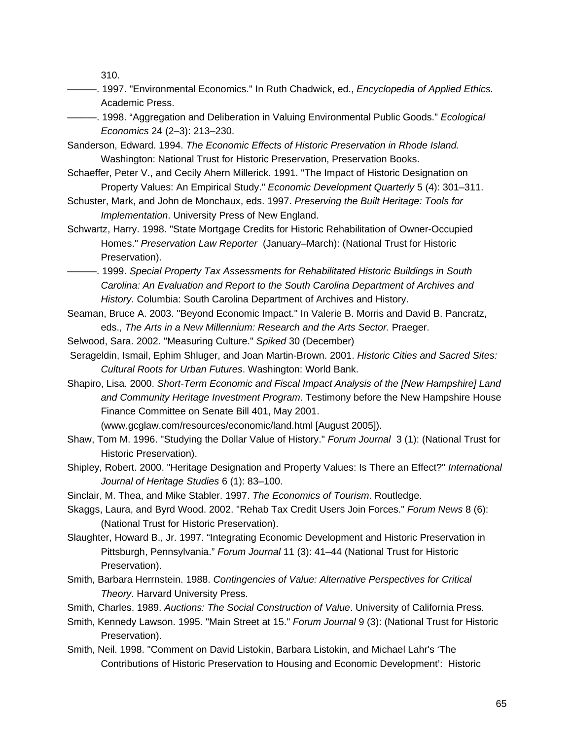310.

———. 1997. "Environmental Economics." In Ruth Chadwick, ed., *Encyclopedia of Applied Ethics.* Academic Press.

———. 1998. "Aggregation and Deliberation in Valuing Environmental Public Goods." *Ecological Economics* 24 (2–3): 213–230.

Sanderson, Edward. 1994. *The Economic Effects of Historic Preservation in Rhode Island.* Washington: National Trust for Historic Preservation, Preservation Books.

- Schaeffer, Peter V., and Cecily Ahern Millerick. 1991. "The Impact of Historic Designation on Property Values: An Empirical Study." *Economic Development Quarterly* 5 (4): 301–311.
- Schuster, Mark, and John de Monchaux, eds. 1997. *Preserving the Built Heritage: Tools for Implementation*. University Press of New England.
- Schwartz, Harry. 1998. "State Mortgage Credits for Historic Rehabilitation of Owner-Occupied Homes." *Preservation Law Reporter* (January–March): (National Trust for Historic Preservation).
- ———. 1999. *Special Property Tax Assessments for Rehabilitated Historic Buildings in South Carolina: An Evaluation and Report to the South Carolina Department of Archives and History.* Columbia: South Carolina Department of Archives and History.
- Seaman, Bruce A. 2003. "Beyond Economic Impact." In Valerie B. Morris and David B. Pancratz, eds., *The Arts in a New Millennium: Research and the Arts Sector.* Praeger.

Selwood, Sara. 2002. "Measuring Culture." *Spiked* 30 (December)

- Serageldin, Ismail, Ephim Shluger, and Joan Martin-Brown. 2001. *Historic Cities and Sacred Sites: Cultural Roots for Urban Futures*. Washington: World Bank.
- Shapiro, Lisa. 2000. *Short-Term Economic and Fiscal Impact Analysis of the [New Hampshire] Land and Community Heritage Investment Program*. Testimony before the New Hampshire House Finance Committee on Senate Bill 401, May 2001.

(www.gcglaw.com/resources/economic/land.html [August 2005]).

- Shaw, Tom M. 1996. "Studying the Dollar Value of History." *Forum Journal* 3 (1): (National Trust for Historic Preservation).
- Shipley, Robert. 2000. "Heritage Designation and Property Values: Is There an Effect?" *International Journal of Heritage Studies* 6 (1): 83–100.
- Sinclair, M. Thea, and Mike Stabler. 1997. *The Economics of Tourism*. Routledge.
- Skaggs, Laura, and Byrd Wood. 2002. "Rehab Tax Credit Users Join Forces." *Forum News* 8 (6): (National Trust for Historic Preservation).
- Slaughter, Howard B., Jr. 1997. "Integrating Economic Development and Historic Preservation in Pittsburgh, Pennsylvania." *Forum Journal* 11 (3): 41–44 (National Trust for Historic Preservation).
- Smith, Barbara Herrnstein. 1988. *Contingencies of Value: Alternative Perspectives for Critical Theory*. Harvard University Press.
- Smith, Charles. 1989. *Auctions: The Social Construction of Value*. University of California Press.
- Smith, Kennedy Lawson. 1995. "Main Street at 15." *Forum Journal* 9 (3): (National Trust for Historic Preservation).
- Smith, Neil. 1998. "Comment on David Listokin, Barbara Listokin, and Michael Lahr's 'The Contributions of Historic Preservation to Housing and Economic Development': Historic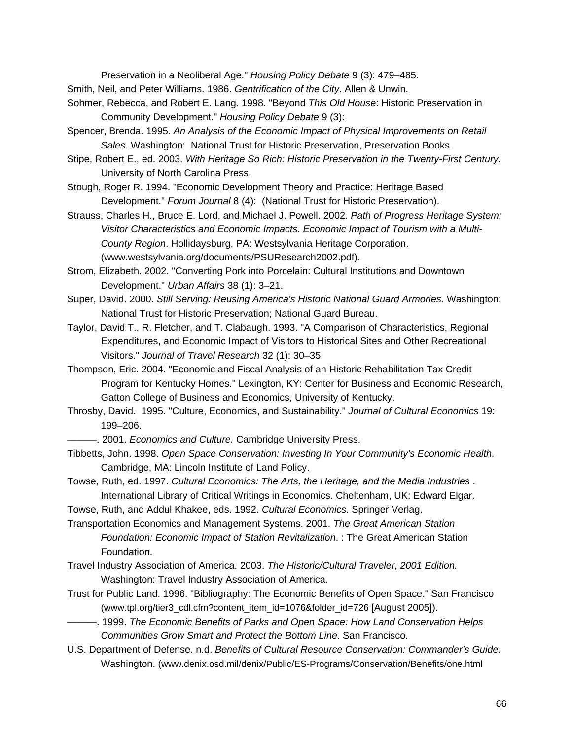Preservation in a Neoliberal Age." *Housing Policy Debate* 9 (3): 479–485.

- Smith, Neil, and Peter Williams. 1986. *Gentrification of the City*. Allen & Unwin.
- Sohmer, Rebecca, and Robert E. Lang. 1998. "Beyond *This Old House*: Historic Preservation in Community Development." *Housing Policy Debate* 9 (3):
- Spencer, Brenda. 1995. *An Analysis of the Economic Impact of Physical Improvements on Retail Sales.* Washington: National Trust for Historic Preservation, Preservation Books.
- Stipe, Robert E., ed. 2003. *With Heritage So Rich: Historic Preservation in the Twenty-First Century.* University of North Carolina Press.
- Stough, Roger R. 1994. "Economic Development Theory and Practice: Heritage Based Development." *Forum Journal* 8 (4): (National Trust for Historic Preservation).
- Strauss, Charles H., Bruce E. Lord, and Michael J. Powell. 2002. *Path of Progress Heritage System: Visitor Characteristics and Economic Impacts. Economic Impact of Tourism with a Multi-County Region*. Hollidaysburg, PA: Westsylvania Heritage Corporation. (www.westsylvania.org/documents/PSUResearch2002.pdf).
- Strom, Elizabeth. 2002. "Converting Pork into Porcelain: Cultural Institutions and Downtown Development." *Urban Affairs* 38 (1): 3–21.
- Super, David. 2000. *Still Serving: Reusing America's Historic National Guard Armories.* Washington: National Trust for Historic Preservation; National Guard Bureau.
- Taylor, David T., R. Fletcher, and T. Clabaugh. 1993. "A Comparison of Characteristics, Regional Expenditures, and Economic Impact of Visitors to Historical Sites and Other Recreational Visitors." *Journal of Travel Research* 32 (1): 30–35.
- Thompson, Eric. 2004. "Economic and Fiscal Analysis of an Historic Rehabilitation Tax Credit Program for Kentucky Homes." Lexington, KY: Center for Business and Economic Research, Gatton College of Business and Economics, University of Kentucky.
- Throsby, David. 1995. "Culture, Economics, and Sustainability." *Journal of Cultural Economics* 19: 199–206.
	- $-$ . 2001. *Economics and Culture.* Cambridge University Press.
- Tibbetts, John. 1998. *Open Space Conservation: Investing In Your Community's Economic Health*. Cambridge, MA: Lincoln Institute of Land Policy.
- Towse, Ruth, ed. 1997. *Cultural Economics: The Arts, the Heritage, and the Media Industries* . International Library of Critical Writings in Economics. Cheltenham, UK: Edward Elgar.
- Towse, Ruth, and Addul Khakee, eds. 1992. *Cultural Economics*. Springer Verlag.
- Transportation Economics and Management Systems. 2001. *The Great American Station Foundation: Economic Impact of Station Revitalization*. : The Great American Station Foundation.
- Travel Industry Association of America. 2003. *The Historic/Cultural Traveler, 2001 Edition.* Washington: Travel Industry Association of America.
- Trust for Public Land. 1996. "Bibliography: The Economic Benefits of Open Space." San Francisco (www.tpl.org/tier3\_cdl.cfm?content\_item\_id=1076&folder\_id=726 [August 2005]).
- ———. 1999. *The Economic Benefits of Parks and Open Space: How Land Conservation Helps Communities Grow Smart and Protect the Bottom Line*. San Francisco.
- U.S. Department of Defense. n.d. *Benefits of Cultural Resource Conservation: Commander's Guide.*  Washington. (www.denix.osd.mil/denix/Public/ES-Programs/Conservation/Benefits/one.html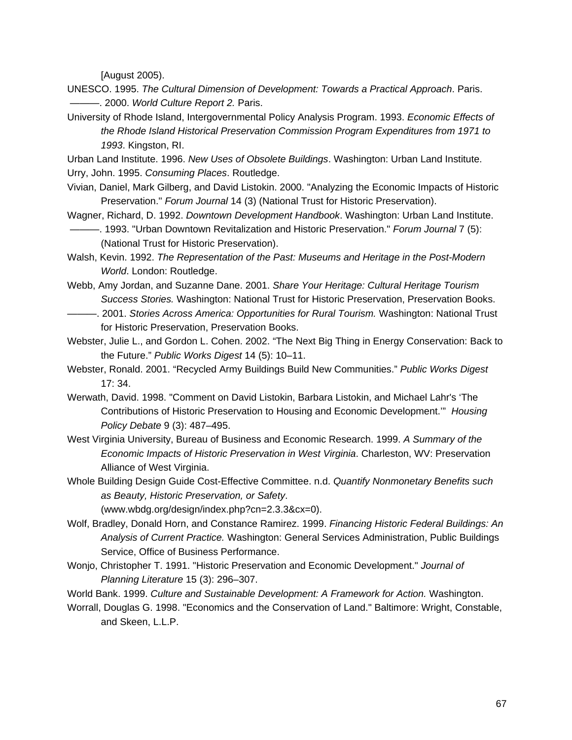[August 2005).

UNESCO. 1995. *The Cultural Dimension of Development: Towards a Practical Approach*. Paris. ———. 2000. *World Culture Report 2.* Paris.

University of Rhode Island, Intergovernmental Policy Analysis Program. 1993. *Economic Effects of the Rhode Island Historical Preservation Commission Program Expenditures from 1971 to 1993*. Kingston, RI.

Urban Land Institute. 1996. *New Uses of Obsolete Buildings*. Washington: Urban Land Institute. Urry, John. 1995. *Consuming Places*. Routledge.

- Vivian, Daniel, Mark Gilberg, and David Listokin. 2000. "Analyzing the Economic Impacts of Historic Preservation." *Forum Journal* 14 (3) (National Trust for Historic Preservation).
- Wagner, Richard, D. 1992. *Downtown Development Handbook*. Washington: Urban Land Institute. ———. 1993. "Urban Downtown Revitalization and Historic Preservation." *Forum Journal* 7 (5): (National Trust for Historic Preservation).
- Walsh, Kevin. 1992. *The Representation of the Past: Museums and Heritage in the Post-Modern World*. London: Routledge.

Webb, Amy Jordan, and Suzanne Dane. 2001. *Share Your Heritage: Cultural Heritage Tourism Success Stories.* Washington: National Trust for Historic Preservation, Preservation Books.

———. 2001. *Stories Across America: Opportunities for Rural Tourism.* Washington: National Trust for Historic Preservation, Preservation Books.

Webster, Julie L., and Gordon L. Cohen. 2002. "The Next Big Thing in Energy Conservation: Back to the Future." *Public Works Digest* 14 (5): 10–11.

- Webster, Ronald. 2001. "Recycled Army Buildings Build New Communities." *Public Works Digest*  17: 34.
- Werwath, David. 1998. "Comment on David Listokin, Barbara Listokin, and Michael Lahr's 'The Contributions of Historic Preservation to Housing and Economic Development.'" *Housing Policy Debate* 9 (3): 487–495.
- West Virginia University, Bureau of Business and Economic Research. 1999. *A Summary of the Economic Impacts of Historic Preservation in West Virginia*. Charleston, WV: Preservation Alliance of West Virginia.
- Whole Building Design Guide Cost-Effective Committee. n.d. *Quantify Nonmonetary Benefits such as Beauty, Historic Preservation, or Safety*.

(www.wbdg.org/design/index.php?cn=2.3.3&cx=0).

- Wolf, Bradley, Donald Horn, and Constance Ramirez. 1999. *Financing Historic Federal Buildings: An Analysis of Current Practice.* Washington: General Services Administration, Public Buildings Service, Office of Business Performance.
- Wonjo, Christopher T. 1991. "Historic Preservation and Economic Development." *Journal of Planning Literature* 15 (3): 296–307.

World Bank. 1999. *Culture and Sustainable Development: A Framework for Action.* Washington.

Worrall, Douglas G. 1998. "Economics and the Conservation of Land." Baltimore: Wright, Constable, and Skeen, L.L.P.